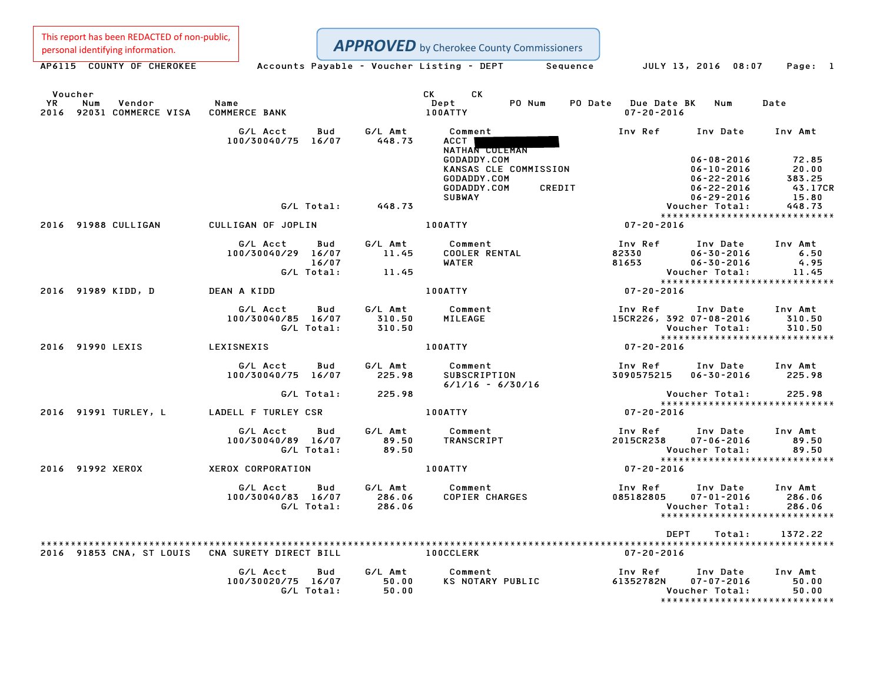This report has been REDACTED of non-public,

Personal identifying information.<br>
Accounts Payable - Voucher Listing - DEPT Sequence JULY 13, 2016 08:07 Page: 1 APPROVED by Cherokee County Commissioners

Voucher CK CK

| Voucher<br><b>YR</b><br>Num<br>2016 92031 COMMERCE VISA COMMERCE BANK | <b>Vendor Name</b>                                                              |                | CK CK<br>PO Num<br>$\mathbf{Depth}$<br>100ATTY                                                                  | PO Date Due Date BK Num<br>$07 - 20 - 2016$                                                                                                                   | Date             |
|-----------------------------------------------------------------------|---------------------------------------------------------------------------------|----------------|-----------------------------------------------------------------------------------------------------------------|---------------------------------------------------------------------------------------------------------------------------------------------------------------|------------------|
|                                                                       | G/L Acct Bud<br>100/30040/75 16/07                                              | 448.73         | G/L Amt Comment<br>448.73 ACCT<br>NATHAN COLEMAN                                                                | Inv Ref      Inv Date     Inv Amt                                                                                                                             |                  |
|                                                                       |                                                                                 |                | GODADDY.COM<br>KANSAS CLE COMMISSION<br>GODADDY.COM<br>CREDIT<br>GODADDY.COM<br><b>SUBWAY</b>                   | $06-08-2016$<br>$06-10-2016$<br>$06-22-2016$<br>$06-22-2016$<br>$06-29-2016$<br>$06-29-2016$<br>$06-29-2016$<br>$06-29-2016$<br>$06-72$<br>$06-72$<br>$06-72$ |                  |
|                                                                       | G/L Total: 448.73                                                               |                |                                                                                                                 | Voucher Total:                                                                                                                                                | 448.73           |
| 2016 91988 CULLIGAN                                                   |                                                                                 |                | 100ATTY THE CONTROL OF THE CONTROL OF THE CONTROL OF THE CONTROL OF THE CONTROL OF THE CONTROL OF THE CONTROL O | *****************************<br>$07 - 20 - 2016$                                                                                                             |                  |
|                                                                       | CULLIGAN OF JOPLIN                                                              |                |                                                                                                                 |                                                                                                                                                               |                  |
|                                                                       | G/L Acct Bud G/L Amt Comment<br>100/30040/29 16/07 11.45 COOLER RENTAL<br>16/07 |                | WATER                                                                                                           | 1nv Ref 1nv Date 1nv Amt<br>82330 06–30–2016 6.50<br>81653 06–30–2016 4.95                                                                                    |                  |
|                                                                       | $G/L$ Total: $11.45$                                                            |                |                                                                                                                 | Voucher Total:                                                                                                                                                | 11.45            |
|                                                                       |                                                                                 |                | 100ATTY                                                                                                         | *****************************                                                                                                                                 |                  |
| 2016 91989 KIDD, D                                                    | DEAN A KIDD                                                                     |                |                                                                                                                 | $07 - 20 - 2016$                                                                                                                                              |                  |
|                                                                       | G/L Acct Bud G/L Amt Comment<br>100/30040/85 16/07 310.50<br>G/L Total: 310.50  |                | MILEAGE                                                                                                         | Inv Ref Inv Date Inv Amt<br>15CR226, 392 07-08-2016<br>Voucher Total:                                                                                         | 310.50<br>310.50 |
|                                                                       |                                                                                 |                | 100ATTY                                                                                                         | voucner local.<br>****************************<br>07-20-2016                                                                                                  |                  |
| 2016 91990 LEXIS LEXISNEXIS                                           |                                                                                 |                |                                                                                                                 |                                                                                                                                                               |                  |
|                                                                       | 100/30040/75 16/07 225.98                                                       |                | $6/1/16 - 6/30/16$                                                                                              | Inv Ref Inv Date Inv Amt<br>3090575215  06-30-2016  225.98                                                                                                    |                  |
|                                                                       | G/L Total: 225.98                                                               |                |                                                                                                                 |                                                                                                                                                               |                  |
| 2016 91991 TURLEY, L                                                  | LADELL F TURLEY CSR                                                             |                | <b>100ATTY</b>                                                                                                  | $07 - 20 - 2016$                                                                                                                                              |                  |
|                                                                       |                                                                                 |                |                                                                                                                 |                                                                                                                                                               |                  |
|                                                                       | 100/30040/89 16/07<br>G/L Total:                                                | 89.50<br>89.50 |                                                                                                                 | Inv Ref      Inv Date     Inv Amt<br>2015CR238<br>07-06-2016<br>Voucher Total: 89.50<br>****************************                                          | 89.50            |
|                                                                       |                                                                                 |                |                                                                                                                 | $07 - 20 - 2016$                                                                                                                                              |                  |
| 2016 91992 XEROX                                                      | XEROX CORPORATION                                                               |                | <b>100ATTY</b>                                                                                                  |                                                                                                                                                               |                  |
|                                                                       | G/L Acct<br>100/30040/83 16/07 286.06<br>G/L Total: 286.06                      |                |                                                                                                                 | Inv Ref Inv Date Inv Amt<br>$07 - 01 - 2016$<br>Voucher Total:<br>*****************************                                                               | 286.06<br>286.06 |
|                                                                       |                                                                                 |                |                                                                                                                 |                                                                                                                                                               |                  |
|                                                                       |                                                                                 |                |                                                                                                                 | <b>DEPT</b><br>Total:                                                                                                                                         | 1372.22          |
| 2016 91853 CNA, ST LOUIS - CNA SURETY DIRECT BILL                     |                                                                                 |                | <b>100CCLERK</b>                                                                                                | 07-20-2016                                                                                                                                                    |                  |
|                                                                       | <b>Bud</b><br>G/L Acct<br>100/30020/75 16/07 50.00<br>$G/L$ Total: 50.00        |                | G/L Amt Comment<br>50.00 KS NOTARY PUBLIC<br>KS NOTARY PUBLIC                                                   | Inv Ref      Inv Date     Inv Amt<br>61352782N<br>$07 - 07 - 2016$<br>Voucher Total:                                                                          | 50.00<br>50.00   |
|                                                                       |                                                                                 |                |                                                                                                                 | *****************************                                                                                                                                 |                  |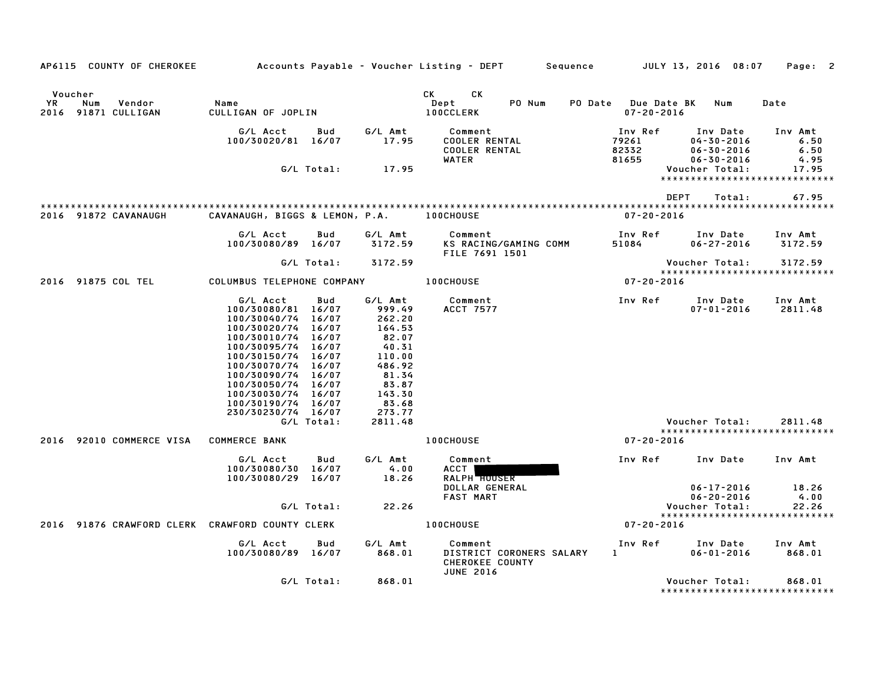| AP6115 COUNTY OF CHEROKEE                             |                                                                                                                                                                                                                                                                            |              |                                                                                                                            | Accounts Payable – Voucher Listing – DEPT         Sequence         JULY 13, 2016  08:07                                                                                                                                                                                    |                                         |                                                                      | Page: 2                                  |
|-------------------------------------------------------|----------------------------------------------------------------------------------------------------------------------------------------------------------------------------------------------------------------------------------------------------------------------------|--------------|----------------------------------------------------------------------------------------------------------------------------|----------------------------------------------------------------------------------------------------------------------------------------------------------------------------------------------------------------------------------------------------------------------------|-----------------------------------------|----------------------------------------------------------------------|------------------------------------------|
| Voucher<br>YR<br>Num<br>Vendor<br>2016 91871 CULLIGAN | Name<br>CULLIGAN OF JOPLIN                                                                                                                                                                                                                                                 |              |                                                                                                                            | CK and the set of the set of the set of the set of the set of the set of the set of the set of the set of the set of the set of the set of the set of the set of the set of the set of the set of the set of the set of the se<br>СK<br>PO Num<br>Dept<br><b>100CCLERK</b> | PO Date Due Date BK<br>$07 - 20 - 2016$ | Num                                                                  | Date                                     |
|                                                       | G/L Acct<br>100/30020/81 16/07                                                                                                                                                                                                                                             | Bud          | G/L Amt<br>17.95                                                                                                           | Comment<br><b>COOLER RENTAL</b><br><b>COOLER RENTAL</b><br><b>WATER</b>                                                                                                                                                                                                    | Inv Ref<br>79261<br>82332<br>81655      | Inv Date<br>$04 - 30 - 2016$<br>$06 - 30 - 2016$<br>$06 - 30 - 2016$ | Inv Amt<br>6.50<br>6.50<br>4.95          |
|                                                       |                                                                                                                                                                                                                                                                            | G/L Total:   | 17.95                                                                                                                      |                                                                                                                                                                                                                                                                            |                                         | Voucher Total:<br>*****************************                      | 17.95                                    |
|                                                       |                                                                                                                                                                                                                                                                            |              |                                                                                                                            |                                                                                                                                                                                                                                                                            |                                         | DEPT<br>Total:                                                       | 67.95                                    |
| 2016 91872 CAVANAUGH                                  | CAVANAUGH, BIGGS & LEMON, P.A.                                                                                                                                                                                                                                             |              |                                                                                                                            | <b>100CHOUSE</b>                                                                                                                                                                                                                                                           | $07 - 20 - 2016$                        |                                                                      |                                          |
|                                                       | G/L Acct<br>100/30080/89 16/07                                                                                                                                                                                                                                             | Bud          | G/L Amt<br>3172.59                                                                                                         | Comment<br>KS RACING/GAMING COMM<br>FILE 7691 1501                                                                                                                                                                                                                         | Inv Ref<br>51084                        | Inv Date<br>$06 - 27 - 2016$                                         | Inv Amt<br>3172.59                       |
|                                                       |                                                                                                                                                                                                                                                                            | G/L Total:   | 3172.59                                                                                                                    |                                                                                                                                                                                                                                                                            |                                         | Voucher Total:                                                       | 3172.59                                  |
| 2016 91875 COL TEL                                    | COLUMBUS TELEPHONE COMPANY                                                                                                                                                                                                                                                 |              |                                                                                                                            | <b>100CHOUSE</b>                                                                                                                                                                                                                                                           | $07 - 20 - 2016$                        | *****************************                                        |                                          |
|                                                       | G/L Acct<br>100/30080/81 16/07<br>100/30040/74 16/07<br>100/30020/74 16/07<br>100/30010/74<br>100/30095/74 16/07<br>100/30150/74 16/07<br>100/30070/74 16/07<br>100/30090/74 16/07<br>100/30050/74 16/07<br>100/30030/74 16/07<br>100/30190/74 16/07<br>230/30230/74 16/07 | Bud<br>16/07 | G/L Amt<br>999.49<br>262.20<br>164.53<br>82.07<br>40.31<br>110.00<br>486.92<br>81.34<br>83.87<br>143.30<br>83.68<br>273.77 | Comment<br>ACCT 7577                                                                                                                                                                                                                                                       | Inv Ref                                 | Inv Date<br>$07 - 01 - 2016$                                         | Inv Amt<br>2811.48                       |
|                                                       |                                                                                                                                                                                                                                                                            | G/L Total:   | 2811.48                                                                                                                    |                                                                                                                                                                                                                                                                            |                                         | Voucher Total:<br>*****************************                      | 2811.48                                  |
| 2016 92010 COMMERCE VISA                              | <b>COMMERCE BANK</b>                                                                                                                                                                                                                                                       |              |                                                                                                                            | 100CHOUSE                                                                                                                                                                                                                                                                  | $07 - 20 - 2016$                        |                                                                      |                                          |
|                                                       | G/L Acct<br>100/30080/30 16/07<br>100/30080/29 16/07                                                                                                                                                                                                                       | Bud          | G/L Amt<br>4.00<br>18.26                                                                                                   | Comment<br>ACCT I<br>RALPH <b>HOUSER</b><br>DOLLAR GENERAL                                                                                                                                                                                                                 | Inv Ref                                 | Inv Date<br>$06 - 17 - 2016$                                         | Inv Amt<br>18.26                         |
|                                                       |                                                                                                                                                                                                                                                                            | G/L Total:   | 22.26                                                                                                                      | <b>FAST MART</b>                                                                                                                                                                                                                                                           |                                         | $06 - 20 - 2016$<br>Voucher Total:                                   | 4.00<br>22.26                            |
| 2016 91876 CRAWFORD CLERK CRAWFORD COUNTY CLERK       |                                                                                                                                                                                                                                                                            |              |                                                                                                                            | <b>100CHOUSE</b>                                                                                                                                                                                                                                                           | $07 - 20 - 2016$                        | *****************************                                        |                                          |
|                                                       | G/L Acct<br>100/30080/89 16/07                                                                                                                                                                                                                                             | Bud          | G/L Amt<br>868.01                                                                                                          | Comment<br>DISTRICT CORONERS SALARY<br>CHEROKEE COUNTY<br><b>JUNE 2016</b>                                                                                                                                                                                                 | Inv Ref<br>$1$ and $1$                  | Inv Date<br>$06 - 01 - 2016$                                         | Inv Amt<br>868.01                        |
|                                                       |                                                                                                                                                                                                                                                                            | G/L Total:   | 868.01                                                                                                                     |                                                                                                                                                                                                                                                                            |                                         | Voucher Total:                                                       | 868.01<br>****************************** |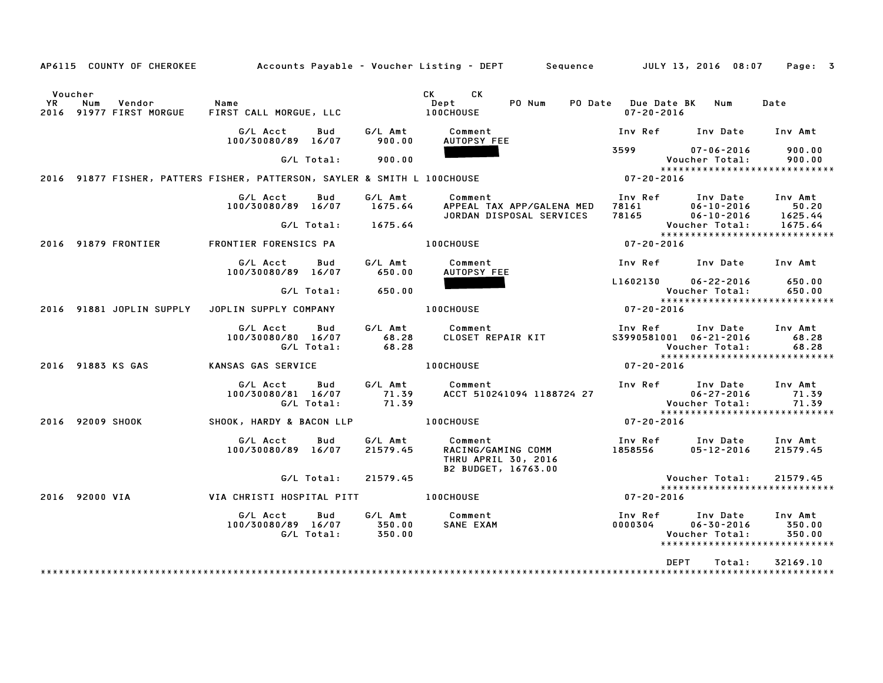|     | AP6115 COUNTY OF CHEROKEE                                                |                                              |                                      | Accounts Payable – Voucher Listing – DEPT         Sequence         JULY 13, 2016 08:07 |                                                 |                                                | Page: 3                                                      |
|-----|--------------------------------------------------------------------------|----------------------------------------------|--------------------------------------|----------------------------------------------------------------------------------------|-------------------------------------------------|------------------------------------------------|--------------------------------------------------------------|
| YR. | Voucher<br>Num<br>Vendor<br>2016 91977 FIRST MORGUE                      | Name<br>FIRST CALL MORGUE, LLC               |                                      | CK<br>CK .<br>PO Num<br>Dept<br><b>100CHOUSE</b>                                       | PO Date Due Date BK Num<br>$07 - 20 - 2016$     |                                                | Date                                                         |
|     |                                                                          | G/L Acct<br>100/30080/89 16/07               | G/L Amt<br>Bud<br>900.00             | Comment<br>AUTOPSY FEE                                                                 | Inv Ref Inv Date                                |                                                | Inv Amt                                                      |
|     |                                                                          | G/L Total:                                   | 900.00                               |                                                                                        | 3599                                            | 07-06-2016<br>Voucher Total:                   | 900.00<br>900.00                                             |
|     | 2016 91877 FISHER, PATTERS FISHER, PATTERSON, SAYLER & SMITH L 100CHOUSE |                                              |                                      |                                                                                        | $07 - 20 - 2016$                                |                                                | ******************************                               |
|     |                                                                          | G/L Acct<br>100/30080/89 16/07<br>G/L Total: | Bud<br>G/L Amt<br>1675.64<br>1675.64 | Comment<br>APPEAL TAX APP/GALENA MED<br>JORDAN DISPOSAL SERVICES                       | Inv Ref<br>78161<br>78165 06-10-2016            | Inv Date<br>$06 - 10 - 2016$<br>Voucher Total: | Inv Amt<br>50.20<br>1625.44<br>1675.64                       |
|     | 2016 91879 FRONTIER                                                      | FRONTIER FORENSICS PA                        |                                      | <b>100CHOUSE</b>                                                                       | 07-20-2016                                      |                                                | *****************************                                |
|     |                                                                          | G/L Acct<br>100/30080/89 16/07               | Bud<br>G/L Amt<br>650.00             | Comment<br>AUTOPSY FEE                                                                 | Inv Ref Inv Date Inv Amt                        |                                                |                                                              |
|     |                                                                          | G/L Total:                                   | 650.00                               |                                                                                        | L1602130                                        | $06 - 22 - 2016$<br>Voucher Total:             | 650.00<br>650.00                                             |
|     | 2016 91881 JOPLIN SUPPLY                                                 | JOPLIN SUPPLY COMPANY                        |                                      | <b>100CHOUSE</b>                                                                       | $07 - 20 - 2016$                                |                                                | *****************************                                |
|     |                                                                          | G/L Acct<br>100/30080/80 16/07<br>G/L Total: | G/L Amt<br>Bud<br>68.28<br>68.28     | Comment<br>CLOSET REPAIR KIT                                                           | Inv Ref      Inv Date<br>S3990581001 06-21-2016 | Voucher Total:                                 | Inv Amt<br>68.28<br>68.28                                    |
|     | 2016 91883 KS GAS                                                        | KANSAS GAS SERVICE                           |                                      | <b>100CHOUSE</b>                                                                       | 07-20-2016                                      |                                                | ******************************                               |
|     |                                                                          | G/L Acct<br>100/30080/81 16/07<br>G/L Total: | G/L Amt<br>Bud<br>71.39<br>71.39     | Comment<br>ACCT 510241094 1188724 27                                                   | Inv Ref Inv Date                                | $06 - 27 - 2016$<br>Voucher Total:             | Inv Amt<br>71.39<br>71.39                                    |
|     | 2016 92009 SHOOK                                                         | SHOOK, HARDY & BACON LLP                     |                                      | <b>100CHOUSE</b>                                                                       | $07 - 20 - 2016$                                |                                                | ******************************                               |
|     |                                                                          | G/L Acct<br>100/30080/89 16/07               | G/L Amt<br>Bud<br>21579.45           | Comment<br>RACING/GAMING COMM<br>THRU APRIL 30, 2016<br>B2 BUDGET, 16763.00            | Inv Ref      Inv Date<br>1858556                | $05 - 12 - 2016$                               | Inv Amt<br>21579.45                                          |
|     |                                                                          | G/L Total:                                   | 21579.45                             |                                                                                        |                                                 | Voucher Total:                                 | 21579.45<br>*****************************                    |
|     | 2016 92000 VIA                                                           | VIA CHRISTI HOSPITAL PITT                    |                                      | <b>100CHOUSE</b>                                                                       | $07 - 20 - 2016$                                |                                                |                                                              |
|     |                                                                          | G/L Acct<br>100/30080/89 16/07<br>G/L Total: | G/L Amt<br>Bud<br>350.00<br>350.00   | Comment<br>SANE EXAM                                                                   | Inv Ref<br>0000304                              | Inv Date<br>$06 - 30 - 2016$<br>Voucher Total: | Inv Amt<br>350.00<br>350.00<br>***************************** |
|     |                                                                          |                                              |                                      |                                                                                        | <b>DEPT</b>                                     | Total:                                         | 32169.10                                                     |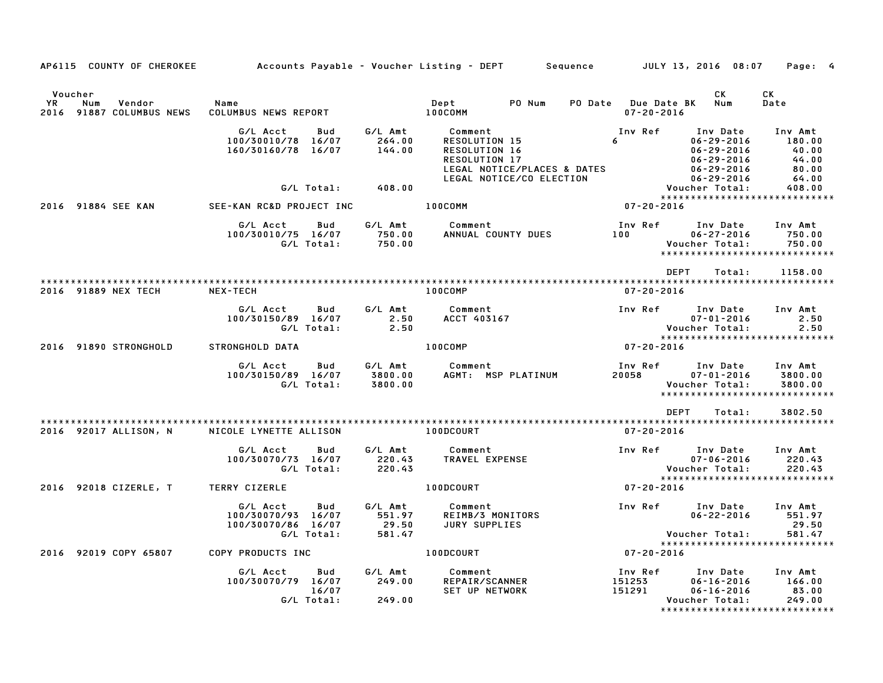|    | AP6115 COUNTY OF CHEROKEE                            |                                                                           |                             | Accounts Payable – Voucher Listing – DEPT         Sequence                                                                   |                                             | JULY 13, 2016 08:07                                                                                 | Page: 4                                               |
|----|------------------------------------------------------|---------------------------------------------------------------------------|-----------------------------|------------------------------------------------------------------------------------------------------------------------------|---------------------------------------------|-----------------------------------------------------------------------------------------------------|-------------------------------------------------------|
| YR | Voucher<br>Vendor<br>Num<br>2016 91887 COLUMBUS NEWS | Name<br>COLUMBUS NEWS REPORT                                              |                             | PO Num<br>Dept<br>100COMM                                                                                                    | PO Date Due Date BK Num<br>$07 - 20 - 2016$ | CK                                                                                                  | CK<br>Date                                            |
|    |                                                      | G/L Acct<br>Bud<br>100/30010/78 16/07<br>160/30160/78 16/07               | G/L Amt<br>264.00<br>144.00 | Comment<br>RESOLUTION 15<br>RESOLUTION 16<br><b>RESOLUTION 17</b><br>LEGAL NOTICE/PLACES & DATES<br>LEGAL NOTICE/CO ELECTION | Inv Ref<br>$6\degree$                       | Inv Date<br>$06 - 29 - 2016$<br>$06 - 29 - 2016$<br>06-29-2016<br>$06 - 29 - 2016$<br>06-29-2016    | Inv Amt<br>180.00<br>40.00<br>44.00<br>80.00<br>64.00 |
|    |                                                      | G/L Total:                                                                | 408.00                      |                                                                                                                              |                                             | Voucher Total:<br>******************************                                                    | 408.00                                                |
|    | 2016 91884 SEE KAN                                   | SEE-KAN RC&D PROJECT INC                                                  |                             | 100COMM                                                                                                                      | $07 - 20 - 2016$                            |                                                                                                     |                                                       |
|    |                                                      | G/L Acct<br>Bud<br>100/30010/75 16/07 750.00<br>G/L Total: 750.00         |                             | G/L Amt Comment<br>ANNUAL COUNTY DUES 100                                                                                    | Inv Ref                                     | Inv Date Inv Amt<br>$06 - 27 - 2016$<br>Voucher Total:<br>*****************************             | 750.00<br>750.00                                      |
|    |                                                      |                                                                           |                             |                                                                                                                              |                                             | <b>DEPT</b><br>Total:                                                                               | 1158.00                                               |
|    | 2016 91889 NEX TECH                                  | <b>NEX-TECH</b>                                                           |                             | 100COMP                                                                                                                      | 07-20-2016                                  |                                                                                                     |                                                       |
|    |                                                      | G/L Acct<br>Bud<br>100/30150/89 16/07<br>G/L Total:                       | G/L Amt<br>2.50<br>2.50     | Comment<br>ACCT 403167                                                                                                       | Inv Ref                                     | Inv Date<br>$07 - 01 - 2016$<br>Voucher Total:<br>******************************                    | Inv Amt<br>2.50<br>2.50                               |
|    | 2016 91890 STRONGHOLD                                | STRONGHOLD DATA                                                           |                             | 100COMP                                                                                                                      | $*****$<br>07-20-2016                       |                                                                                                     |                                                       |
|    |                                                      | G/L Acct<br><b>Bud</b><br>100/30150/89 16/07<br>G/L Total:                | 3800.00<br>3800.00          | G/L Amt Comment<br>3800.00 AGMT: MS<br>AGMT: MSP PLATINUM                                                                    | 20058                                       | Inv Ref Inv Date<br>$07 - 01 - 2016$<br>Voucher Total:<br>*****************************             | Inv Amt<br>3800.00<br>3800.00                         |
|    |                                                      |                                                                           |                             |                                                                                                                              |                                             | <b>DEPT</b><br>Total:                                                                               | 3802.50                                               |
|    | 2016 92017 ALLISON, N                                | NICOLE LYNETTE ALLISON                                                    |                             | 100DCOURT                                                                                                                    | $07 - 20 - 2016$                            |                                                                                                     |                                                       |
|    |                                                      | G/L Acct<br>Bud<br>100/30070/73 16/07<br>G/L Total:                       | G/L Amt<br>220.43<br>220.43 | Comment<br><b>TRAVEL EXPENSE</b>                                                                                             | Inv Ref                                     | Inv Date<br>$07 - 06 - 2016$<br>Voucher Total:<br>******************************                    | Inv Amt<br>220.43<br>220.43                           |
|    | 2016 92018 CIZERLE, T TERRY CIZERLE                  |                                                                           |                             | 100DCOURT                                                                                                                    | 07-20-2016                                  |                                                                                                     |                                                       |
|    |                                                      | G/L Acct<br>Bud<br>100/30070/93 16/07<br>100/30070/86 16/07<br>G/L Total: | 551.97<br>29.50<br>581.47   | G/L Amt Comment<br>REIMB/3 MONITORS<br>JURY SUPPLIES                                                                         | Inv Ref                                     | Inv Date<br>$06 - 22 - 2016$<br>Voucher Total:                                                      | Inv Amt<br>551.97<br>29.50<br>581.47                  |
|    | 2016 92019 COPY 65807                                | COPY PRODUCTS INC                                                         |                             | 100DCOURT                                                                                                                    | $07 - 20 - 2016$                            | ******************************                                                                      |                                                       |
|    |                                                      | G/L Acct<br>Bud<br>100/30070/79 16/07<br>16/07<br>G/L Total:              | G/L Amt<br>249.00<br>249.00 | Comment<br>REPAIR/SCAM<br>REPAIR/SCANNER<br><b>SET UP NETWORK</b>                                                            | Inv Ref<br>151253<br>291 WORK 151291        | Inv Date<br>$06 - 16 - 2016$<br>$06 - 16 - 2016$<br>Voucher Total:<br>***************************** | Inv Amt<br>166.00<br>83.00<br>249.00                  |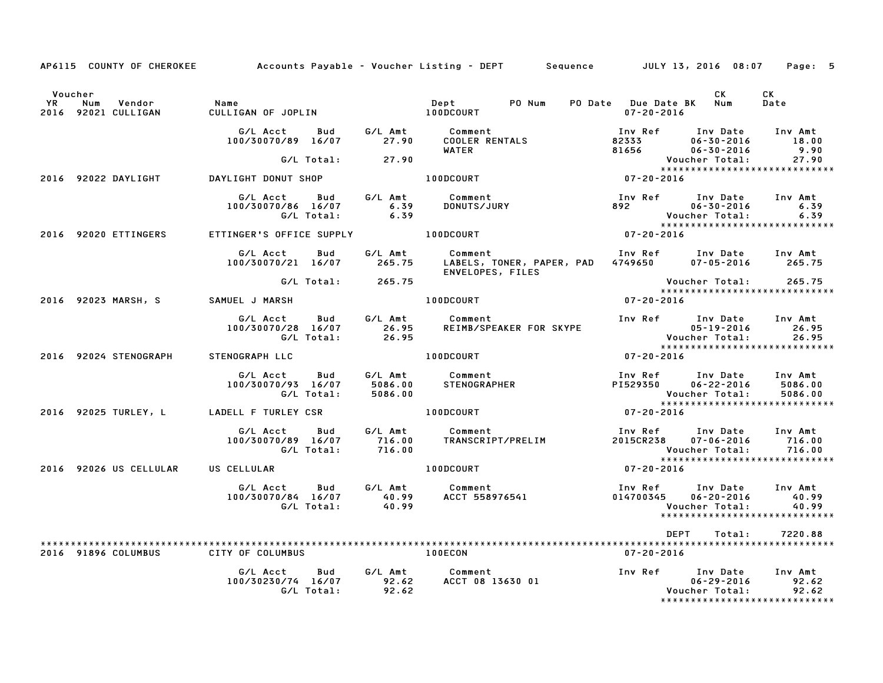|                      |                                      |                                                                                          |                  | AP6115 COUNTY OF CHEROKEE Accounts Payable - Voucher Listing - DEPT Sequence JULY 13, 2016 08:07                                                                                                       |                                                                                                 |                                      | Page: 5                                  |
|----------------------|--------------------------------------|------------------------------------------------------------------------------------------|------------------|--------------------------------------------------------------------------------------------------------------------------------------------------------------------------------------------------------|-------------------------------------------------------------------------------------------------|--------------------------------------|------------------------------------------|
| Voucher<br><b>YR</b> | Num<br>Vendor<br>2016 92021 CULLIGAN | CULLITS<br>UTLITS                                                                        |                  | PO Num                                                                                                                                                                                                 | PO Date Due Date BK Num<br>07-20-2016                                                           | CK C                                 | CK<br>Date                               |
|                      |                                      | G/L Acct Bud G/L Amt Comment                                                             |                  | G/L Acct  Bud  G/L Amt  Comment<br>100/30070/89  16/07  27.90  COOLER RENTALS<br>WATER                                                                                                                 | Inv Ref Inv Date Inv Amt                                                                        | 06-30-2016                           | 18.00<br>9.90                            |
|                      |                                      | G/L Total:                                                                               | 27.90            |                                                                                                                                                                                                        |                                                                                                 | Voucher Total:                       | 27.90                                    |
|                      | 2016 92022 DAYLIGHT                  | DAYLIGHT DONUT SHOP                                                                      |                  | 100DCOURT 07-20-2016                                                                                                                                                                                   |                                                                                                 |                                      | *****************************            |
|                      |                                      | G/L Acct       Bud        G/L Amt            Comment<br>100/30070/86 16/07<br>G/L Total: | $6.39$<br>$6.39$ | Comment<br>DONUTS/JURY                                                                                                                                                                                 | Inv Ref Inv Date Inv Amt<br>892 06-30-2016<br>Voucher Total:                                    |                                      | 6.39<br>6.39                             |
|                      | 2016 92020 ETTINGERS                 |                                                                                          |                  | ETTINGER'S OFFICE SUPPLY 100DCOURT                                                                                                                                                                     | Voucher Total: 6.39<br>*****************************<br>07-20-2016                              |                                      |                                          |
|                      |                                      | G/L Acct   Bud   G/L Amt<br>100/30070/21 16/07 265.75                                    |                  | Comment<br>LABELS, TONER, PAPER, PAD 4749650<br>ENVELOPES, FILES                                                                                                                                       | Inv Ref      Inv Date    Inv Amt<br>4749650        07–05–2016       265.75                      |                                      |                                          |
|                      |                                      | G/L Total: 265.75                                                                        |                  |                                                                                                                                                                                                        | Voucher Total: 265.75<br>***************************                                            |                                      |                                          |
|                      | 2016 92023 MARSH, S                  | SAMUEL J MARSH                                                                           |                  | $07 - 20 - 2016$<br><b>100DCOURT</b>                                                                                                                                                                   |                                                                                                 |                                      |                                          |
|                      |                                      | G/L Acct<br>100/30070/28 16/07 26.95<br>G/L Total: 26.95                                 |                  | Bud G/L Amt Comment                                                                                                                                                                                    |                                                                                                 |                                      |                                          |
|                      | 2016 92024 STENOGRAPH                | STENOGRAPH LLC                                                                           |                  | 100DCOURT                                                                                                                                                                                              | $07 - 20 - 2016$                                                                                |                                      |                                          |
|                      |                                      | G/L Total: 5086.00                                                                       |                  |                                                                                                                                                                                                        | Inv Ref Inv Date Inv Amt<br>PI529350                                                            | 06-22-2016 5086.00<br>Voucher Total: | 5086.00<br>***************************** |
|                      |                                      | 2016 92025 TURLEY, L LADELL F TURLEY CSR                                                 |                  | 100DCOURT                                                                                                                                                                                              | $07 - 20 - 2016$                                                                                |                                      |                                          |
|                      |                                      |                                                                                          |                  |                                                                                                                                                                                                        | Inv Ref       Inv Date     Inv Amt<br>2015CR238      07–06–2016        716.00<br>Voucher Total: |                                      | 716.00<br>****************************** |
|                      | 2016 92026 US CELLULAR               | US CELLULAR                                                                              |                  | <b>100DCOURT</b>                                                                                                                                                                                       | $07 - 20 - 2016$                                                                                |                                      |                                          |
|                      |                                      | G/L Acct Bud                                                                             |                  | G/L Amt Comment                                                                                                                                                                                        | Inv Ref Inv Date Inv Amt<br>014700345 06-20-2016                                                | Voucher Total:                       | 40.99<br>40.99                           |
|                      |                                      |                                                                                          |                  |                                                                                                                                                                                                        | <b>DEPT</b>                                                                                     | Total:                               | 7220.88                                  |
|                      | 2016 91896 COLUMBUS                  | CITY OF COLUMBUS                                                                         |                  | 100ECON                                                                                                                                                                                                | 07-20-2016                                                                                      |                                      |                                          |
|                      |                                      |                                                                                          | 92.62            | G/L Amt Comment<br>G/L Acct Bud G/L Amt Comment 100/30230/74 16/07 92.62 ACCT 08 13630 01<br>100/30230/74 16/07 92.62 ACCT 08 13630 01 06-29-2016 92.62<br>6/L Total: 92.62 92.62 Voucher Total: 92.62 |                                                                                                 |                                      | *****************************            |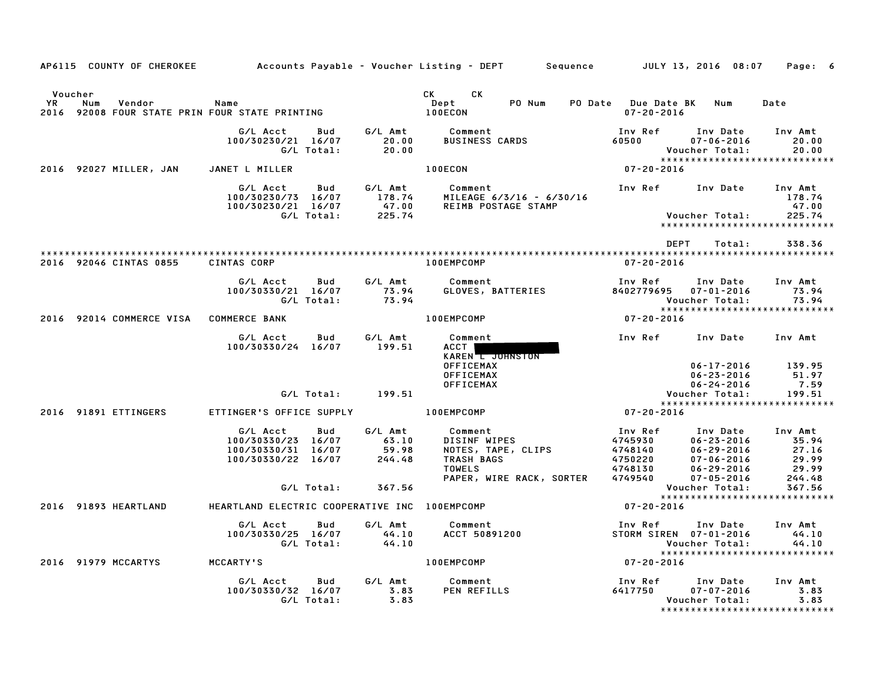|                      |     |                                        |                                                                                         |                          |                                     | AP6115 COUNTY OF CHEROKEE Accounts Payable – Voucher Listing – DEPT Sequence JULY 13, 2016 08:07         |                                                                |                                                                                                              | Page: 6                                                    |
|----------------------|-----|----------------------------------------|-----------------------------------------------------------------------------------------|--------------------------|-------------------------------------|----------------------------------------------------------------------------------------------------------|----------------------------------------------------------------|--------------------------------------------------------------------------------------------------------------|------------------------------------------------------------|
| Voucher<br><b>YR</b> | Num | Vendor                                 | Name<br>2016 92008 FOUR STATE PRIN FOUR STATE PRINTING                                  |                          |                                     | CK CK<br>PO Num<br>Dept<br>100ECON                                                                       | PO Date Due Date BK Num<br>$07 - 20 - 2016$                    |                                                                                                              | Date                                                       |
|                      |     |                                        | G/L Acct<br>100/30230/21 16/07                                                          | Bud<br>G/L Total:        | 20.00<br>20.00                      | G/L Amt Comment<br><b>BUSINESS CARDS</b>                                                                 | Inv Ref<br>60500                                               | Inv Date<br>$07 - 06 - 2016$<br>Voucher Total:                                                               | Inv Amt<br>20.00<br>20.00<br>***************************** |
|                      |     | 2016 92027 MILLER, JAN                 | JANET L MILLER                                                                          |                          |                                     | <b>100ECON</b>                                                                                           | $07 - 20 - 2016$                                               |                                                                                                              |                                                            |
|                      |     |                                        | G/L Acct<br>9/10/30230/73 16/07 178.74<br>100/30230/21 16/07 47.00<br>6/L Total: 225.74 |                          | Bud G/LAmt                          | Comment<br>MILEAGE 6/3/16 - 6/30/16<br>REIMB POSTAGE STAMP                                               |                                                                | Inv Ref      Inv Date     Inv Amt<br><b>Voucher Total:</b>                                                   | 178.74<br>47.00<br>225.74                                  |
|                      |     |                                        |                                                                                         |                          |                                     |                                                                                                          |                                                                |                                                                                                              | *****************************                              |
|                      |     | 2016 92046 CINTAS 0855                 | <b>CINTAS CORP</b>                                                                      |                          |                                     | 100EMPCOMP                                                                                               | DEPT<br>$07 - 20 - 2016$                                       | Total:                                                                                                       | 338.36                                                     |
|                      |     |                                        | G/L Acct<br>100/30330/21 16/07                                                          | <b>Bud</b><br>G/L Total: | G/L Amt<br>73.94<br>73.94           | Comment<br><b>GLOVES, BATTERIES</b>                                                                      | Inv Ref<br>8402779695                                          | Inv Date<br>07-01-2016<br>Voucher Total:                                                                     | Inv Amt<br>73.94<br>73.94                                  |
|                      |     | 2016 92014 COMMERCE VISA COMMERCE BANK |                                                                                         |                          |                                     | <b>100EMPCOMP</b>                                                                                        | $07 - 20 - 2016$                                               |                                                                                                              | ******************************                             |
|                      |     |                                        | G/L Acct<br>100/30330/24 16/07 199.51                                                   | Bud                      | G/L Amt                             | Comment<br>ACCT I<br>KAREN L JOHNSTON<br><b>OFFICEMAX</b>                                                |                                                                | Inv Ref Inv Date Inv Amt<br>$06 - 17 - 2016$                                                                 | 139.95                                                     |
|                      |     |                                        |                                                                                         |                          |                                     | <b>OFFICEMAX</b><br><b>OFFICEMAX</b>                                                                     |                                                                | $06 - 23 - 2016$<br>$06 - 24 - 2016$                                                                         | 51.97<br>7.59                                              |
|                      |     |                                        |                                                                                         |                          | G/L Total: 199.51                   |                                                                                                          |                                                                | Voucher Total:                                                                                               | 199.51<br>*****************************                    |
|                      |     | 2016 91891 ETTINGERS                   | ETTINGER'S OFFICE SUPPLY                                                                |                          |                                     | 100EMPCOMP                                                                                               | $07 - 20 - 2016$                                               |                                                                                                              |                                                            |
|                      |     |                                        | G/L Acct<br>100/30330/23 16/07<br>100/30330/31 16/07<br>100/30330/22 16/07              | Bud                      | G/L Amt<br>63.10<br>59.98<br>244.48 | Comment<br>DISINF WIPES<br>NOTES, TAPE, CLIPS<br>TRASH BAGS<br><b>TOWELS</b><br>PAPER, WIRE RACK, SORTER | Inv Ref<br>4745930<br>4748140<br>4750220<br>4748130<br>4749540 | Inv Date<br>$06 - 23 - 2016$<br>$06 - 29 - 2016$<br>$07 - 06 - 2016$<br>$06 - 29 - 2016$<br>$07 - 05 - 2016$ | Inv Amt<br>35.94<br>27.16<br>29.99<br>29.99<br>244.48      |
|                      |     |                                        |                                                                                         | G/L Total:               | 367.56                              |                                                                                                          |                                                                |                                                                                                              | Voucher Total: 367.56<br>****************************      |
|                      |     | 2016 91893 HEARTLAND                   | HEARTLAND ELECTRIC COOPERATIVE INC 100EMPCOMP                                           |                          |                                     |                                                                                                          | 07-20-2016                                                     |                                                                                                              |                                                            |
|                      |     |                                        | G/L Acct<br>100/30330/25 16/07                                                          | Bud<br>G/L Total:        | G/L Amt<br>44.10<br>44.10           | Comment<br>ACCT 50891200                                                                                 | Inv Ref<br>STORM SIREN 07-01-2016                              | Inv Date<br>Voucher Total:                                                                                   | Inv Amt<br>44.10<br>44.10<br>***************************** |
|                      |     | 2016 91979 MCCARTYS                    | MCCARTY'S                                                                               |                          |                                     | 100EMPCOMP                                                                                               | $07 - 20 - 2016$                                               |                                                                                                              |                                                            |
|                      |     |                                        | G/L Acct Bud<br>100/30330/32 16/07                                                      | G/L Total:               | G/L Amt<br>3.83<br>3.83             | Comment<br>PEN REFILLS                                                                                   | 6417750                                                        | Inv Ref Inv Date<br>$07 - 07 - 2016$<br>Voucher Total:                                                       | Inv Amt<br>3.83<br>3.83                                    |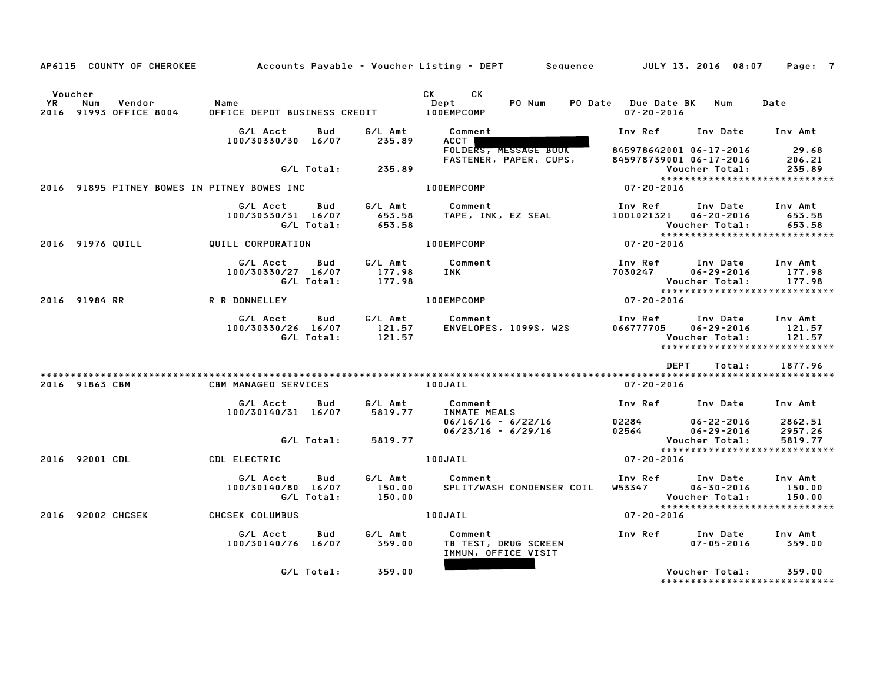|               |                                             |                                              |                                    | AP6115 COUNTY OF CHEROKEE Accounts Payable – Voucher Listing – DEPT Sequence JULY 13, 2016 08:07 |                                             |                                                  | Page: 7                                                      |
|---------------|---------------------------------------------|----------------------------------------------|------------------------------------|--------------------------------------------------------------------------------------------------|---------------------------------------------|--------------------------------------------------|--------------------------------------------------------------|
| Voucher<br>YR | Num<br>Vendor<br>2016 91993 OFFICE 8004     | Name<br>OFFICE DEPOT BUSINESS CREDIT         |                                    | CK <sub>2</sub><br>CK<br>PO Num<br>Dept<br>100EMPCOMP                                            | PO Date Due Date BK Num<br>$07 - 20 - 2016$ |                                                  | Date                                                         |
|               |                                             | G/L Acct<br>100/30330/30 16/07               | G/L Amt<br>Bud<br>235.89           | Comment<br>ACCT I<br>FOLDERS, MESSAGE BOOK                                                       | Inv Ref<br>845978642001 06-17-2016          | Inv Date Inv Amt                                 | 29.68                                                        |
|               |                                             |                                              | G/L Total: 235.89                  | FASTENER, PAPER, CUPS,                                                                           | 845978739001 06-17-2016                     | Voucher Total:                                   | 206.21<br>235.89<br>*****************************            |
|               | 2016 91895 PITNEY BOWES IN PITNEY BOWES INC |                                              |                                    | <b>100EMPCOMP</b>                                                                                | $07 - 20 - 2016$                            |                                                  |                                                              |
|               |                                             | G/L Acct<br>100/30330/31 16/07<br>G/L Total: | G/L Amt<br>Bud<br>653.58           | Comment<br>653.58      TAPE, INK, EZ SEAL                                                        | Inv Ref<br>1001021321 06-20-2016            | Inv Date<br>Voucher Total:                       | Inv Amt<br>653.58<br>653.58                                  |
|               | 2016 91976 QUILL                            | QUILL CORPORATION                            |                                    | 100EMPCOMP                                                                                       | 07-20-2016                                  |                                                  | *****************************                                |
|               |                                             | G/L Acct<br>100/30330/27 16/07<br>G/L Total: | G/L Amt<br>Bud<br>177.98<br>177.98 | Comment<br>INK                                                                                   | Inv Ref<br>7030247                          | Inv Date<br>$06 - 29 - 2016$<br>Voucher Total:   | Inv Amt<br>177.98<br>177.98                                  |
|               | 2016 91984 RR                               | R R DONNELLEY                                |                                    | 100EMPCOMP                                                                                       | $07 - 20 - 2016$                            |                                                  |                                                              |
|               |                                             | G/L Acct<br>100/30330/26 16/07<br>G/L Total: | Bud<br>G/L Amt<br>121.57<br>121.57 | Comment<br>ENVELOPES, 1099S, W2S                                                                 | Inv Ref<br>066777705                        | Inv Date<br>$06 - 29 - 2016$<br>Voucher Total:   | Inv Amt<br>121.57<br>121.57<br>***************************** |
|               |                                             |                                              |                                    |                                                                                                  | DEPT                                        | Total:                                           | 1877.96                                                      |
|               | 2016 91863 CBM                              | <b>CBM MANAGED SERVICES</b>                  |                                    | 100JAIL                                                                                          | 07-20-2016                                  |                                                  |                                                              |
|               |                                             | G/L Acct<br>100/30140/31 16/07               | G/L Amt<br>Bud<br>5819.77          | Comment<br>INMATE MEALS                                                                          | Inv Ref Inv Date                            |                                                  | Inv Amt                                                      |
|               |                                             |                                              | G/L Total:<br>5819.77              | $06/16/16 - 6/22/16$<br>$06/23/16 - 6/29/16$                                                     | 02284<br>02564                              | 06-22-2016<br>$06 - 29 - 2016$<br>Voucher Total: | 2862.51<br>2957.26<br>5819.77                                |
|               | 2016 92001 CDL                              | CDL ELECTRIC                                 |                                    | 100JAIL                                                                                          | $07 - 20 - 2016$                            |                                                  | *****************************                                |
|               |                                             | G/L Acct<br>100/30140/80 16/07<br>G/L Total: | G/L Amt<br>Bud<br>150.00<br>150.00 | Comment<br>SPLIT/WASH CONDENSER COIL                                                             | Inv Ref Inv Date<br>W53347                  | $06 - 30 - 2016$<br>Voucher Total:               | Inv Amt<br>150.00<br>150.00                                  |
|               | 2016 92002 CHCSEK                           | CHCSEK COLUMBUS                              |                                    | 100JAIL                                                                                          | $07 - 20 - 2016$                            |                                                  |                                                              |
|               |                                             | G/L Acct<br>100/30140/76 16/07               | Bud<br>G/L Amt<br>359.00           | Comment<br>TB TEST, DRUG SCREEN<br>IMMUN, OFFICE VISIT                                           | Inv Ref      Inv Date     Inv Amt           | $07 - 05 - 2016$                                 | 359.00                                                       |
|               |                                             | G/L Total:                                   | 359.00                             |                                                                                                  |                                             | Voucher Total:                                   | 359.00<br>*****************************                      |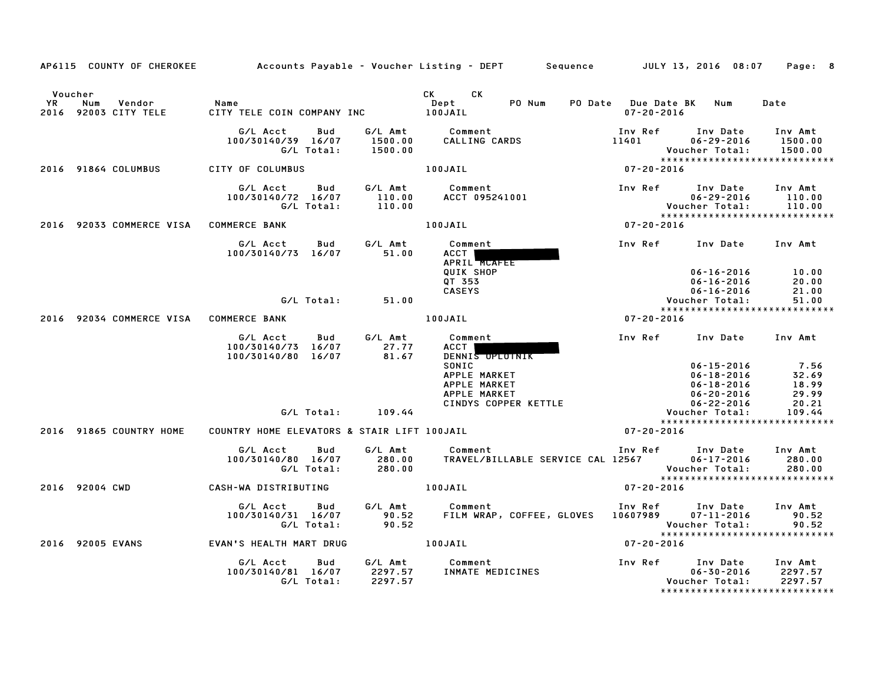|                      |                                        |                                                             |                               | AP6115 COUNTY OF CHEROKEE Accounts Payable - Voucher Listing - DEPT Sequence JULY 13, 2016 08:07                           |                                         |                                                                                                                              | Page: 8                                                    |
|----------------------|----------------------------------------|-------------------------------------------------------------|-------------------------------|----------------------------------------------------------------------------------------------------------------------------|-----------------------------------------|------------------------------------------------------------------------------------------------------------------------------|------------------------------------------------------------|
| Voucher<br><b>YR</b> | Num<br>Vendor<br>2016 92003 CITY TELE  | Name<br>CITY TELE COIN COMPANY INC DEPT                     |                               | CK CK<br>PO Num<br>Dept                                                                                                    | PO Date Due Date BK<br>$07 - 20 - 2016$ | Num                                                                                                                          | Date                                                       |
|                      |                                        | G/L Acct<br>Bud<br>100/30140/39 16/07<br>G/L Total:         | 1500.00<br>1500.00            | G/L Amt Comment<br>CALLING CARDS                                                                                           | Inv Ref<br>11401 2001                   | Inv Date<br>$06 - 29 - 2016$<br>Voucher Total:                                                                               | Inv Amt<br>1500.00<br>1500.00                              |
|                      | 2016 91864 COLUMBUS                    | CITY OF COLUMBUS                                            |                               | 100JAIL                                                                                                                    | $07 - 20 - 2016$                        |                                                                                                                              |                                                            |
|                      |                                        | Bud<br>G/L Acct<br>100/30140/72 16/07<br>G/L Total:         | G/L Amt<br>110.00<br>110.00   | Comment<br>ACCT 095241001                                                                                                  |                                         | Inv Ref Inv Date<br>$06 - 29 - 2016$<br>Voucher Total:                                                                       | Inv Amt<br>110.00<br>110.00                                |
|                      | 2016 92033 COMMERCE VISA COMMERCE BANK |                                                             |                               | 100JAIL                                                                                                                    | $07 - 20 - 2016$                        |                                                                                                                              | ******************************                             |
|                      |                                        | G/L Acct<br>Bud<br>100/30140/73 16/07                       | G/L Amt<br>51.00              | Comment<br>ACCT  <br>APRIL MCAFEE<br>QUIK SHOP                                                                             | Inv Ref Inv Date Inv Amt                | $06 - 16 - 2016$                                                                                                             | 10.00                                                      |
|                      |                                        |                                                             |                               | QT 353<br><b>CASEYS</b>                                                                                                    |                                         | $06 - 16 - 2016$<br>$06 - 16 - 2016$                                                                                         | 20.00<br>21.00                                             |
|                      |                                        | G/L Total: 51.00                                            |                               |                                                                                                                            |                                         | Voucher Total:                                                                                                               | 51.00                                                      |
|                      | 2016 92034 COMMERCE VISA COMMERCE BANK |                                                             |                               | 100JAIL                                                                                                                    | $07 - 20 - 2016$                        |                                                                                                                              | *****************************                              |
|                      |                                        | G/L Acct<br>Bud<br>100/30140/73 16/07<br>100/30140/80 16/07 | G/L Amt<br>27.77<br>81.67     | Comment<br><b>ACCT</b><br>DENNIS OPLOTNIK<br>SONIC<br>APPLE MARKET<br>APPLE MARKET<br>APPLE MARKET<br>CINDYS COPPER KETTLE |                                         | Inv Ref Inv Date Inv Amt<br>$06 - 15 - 2016$<br>$06 - 18 - 2016$<br>$06 - 18 - 2016$<br>$06 - 20 - 2016$<br>$06 - 22 - 2016$ | 7.56<br>32.69<br>18.99<br>29.99<br>20.21                   |
|                      |                                        | G/L Total:                                                  | 109.44                        |                                                                                                                            |                                         | Voucher Total:                                                                                                               | 109.44<br>*****************************                    |
|                      | 2016 91865 COUNTRY HOME                | COUNTRY HOME ELEVATORS & STAIR LIFT 100JAIL                 |                               |                                                                                                                            | $07 - 20 - 2016$                        |                                                                                                                              |                                                            |
|                      |                                        | G/L Acct<br>Bud<br>100/30140/80 16/07<br>G/L Total:         | G/L Amt<br>280.00<br>280.00   | Comment<br>TRAVEL/BILLABLE SERVICE CAL 12567                                                                               | Inv Ref                                 | Inv Date<br>$06 - 17 - 2016$<br>Voucher Total:                                                                               | Inv Amt<br>280.00<br>280.00                                |
|                      | 2016 92004 CWD                         | CASH-WA DISTRIBUTING                                        |                               | 100JAIL                                                                                                                    | $07 - 20 - 2016$                        |                                                                                                                              | ******************************                             |
|                      |                                        | G/L Acct<br>Bud<br>100/30140/31 16/07<br>G/L Total:         | G/L Amt<br>90.52<br>90.52     | Comment<br>FILM WRAP, COFFEE, GLOVES 10607989                                                                              | Inv Ref Inv Date                        | $07 - 11 - 2016$<br>Voucher Total:                                                                                           | Inv Amt<br>90.52<br>90.52<br>***************************** |
|                      | 2016 92005 EVANS                       | EVAN'S HEALTH MART DRUG                                     | 100JAIL                       |                                                                                                                            | $07 - 20 - 2016$                        |                                                                                                                              |                                                            |
|                      |                                        | G/L Acct<br>Bud<br>100/30140/81 16/07<br>G/L Total:         | G/L Amt<br>2297.57<br>2297.57 | Comment<br>INMATE MEDICINES                                                                                                | Inv Ref      Inv Date                   | $06 - 30 - 2016$<br>Voucher Total:                                                                                           | Inv Amt<br>2297.57<br>2297.57                              |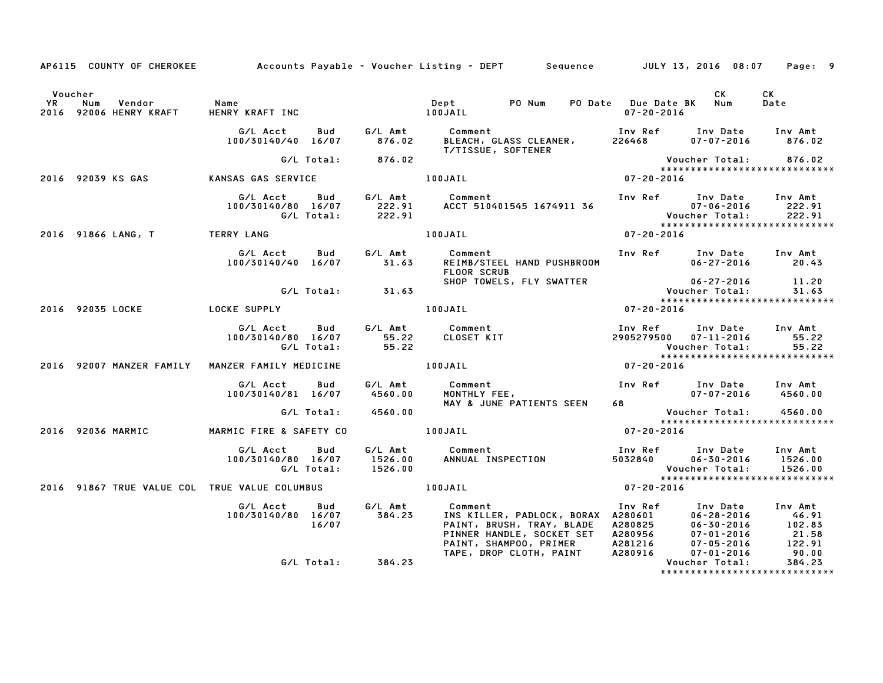|         |                                                               |  |                      | AP6115 COUNTY OF CHEROKEE Accounts Payable - Voucher Listing - DEPT Sequence JULY 13, 2016 08:07 Page: 9                                                                                                                                               |                  |                |            |
|---------|---------------------------------------------------------------|--|----------------------|--------------------------------------------------------------------------------------------------------------------------------------------------------------------------------------------------------------------------------------------------------|------------------|----------------|------------|
| Voucher |                                                               |  |                      |                                                                                                                                                                                                                                                        |                  | CK L           | CK<br>Date |
|         |                                                               |  |                      | G/L Acct      Bud       G/L Amt           Comment                            Inv Ref      Inv Date     Inv Amt<br>100/30140/40   16/07         876.02       BLEACH, GLASS CLEANER,        226468        07–07–2016        876.02<br>T/TISSUE, SOFTENER |                  |                |            |
|         |                                                               |  | G/L Total: 876.02    |                                                                                                                                                                                                                                                        |                  |                |            |
|         | 2016 92039 KS GAS KANSAS GAS SERVICE THE ROUAL MODERN SERVICE |  |                      |                                                                                                                                                                                                                                                        |                  |                |            |
|         |                                                               |  |                      | G/L Acct Bud G/L Amt Comment Inv Ref Inv Date Inv Amt<br>100/30140/80 16/07 222.91 ACCT 510401545 1674911 36 07-06-2016 222.91<br>G/L Total: 222.91 00JAIL 100JAIL 100JAIL 07-20-2016 122.916                                                          |                  |                |            |
|         | 2016 91866 LANG, T TERRY LANG                                 |  |                      |                                                                                                                                                                                                                                                        |                  |                |            |
|         |                                                               |  |                      | G/L Acct Bud G/L Amt Comment Inv Ref Inv Date Inv Amt<br>100/30140/40 16/07 31.63 REIMB/STEEL HAND PUSHBROOM 06–27–2016 20.43<br><b>FLOOR SCRUB</b>                                                                                                    |                  |                |            |
|         |                                                               |  | $G/L$ Total: $31.63$ |                                                                                                                                                                                                                                                        |                  |                |            |
|         |                                                               |  |                      |                                                                                                                                                                                                                                                        |                  |                |            |
|         |                                                               |  |                      | 2016 92035 LOCKE           LOCKE SUPPLY                         100JAIL                           07-20-2016                                                                                                                                           |                  |                |            |
|         |                                                               |  |                      | 6/L Acct Bud G/L Amt Comment Inv Ref Inv Date Inv Amt<br>100/30140/80 16/07 55.22 CLOSET KIT 2905279500 07–11–2016 55.22<br>6/L Total: 55.22 Voucher Total: 55.22<br>NZER FAMILY MEDICINE 100JAIL 100JAIL 07–20–2016                                   |                  |                |            |
|         | 2016 92007 MANZER FAMILY MANZER FAMILY MEDICINE               |  |                      |                                                                                                                                                                                                                                                        |                  |                |            |
|         |                                                               |  |                      |                                                                                                                                                                                                                                                        |                  |                |            |
|         |                                                               |  |                      | 6/L Acct Bud G/L Amt Comment Inv Ref Inv Date Inv Amt<br>100/30140/81 16/07 4560.00 MONTHLY FEE, 07-07-2016 4560.00<br>6/L Total: 4560.00 MAY & JUNE PATIENTS SEEN 68<br>6/L Total: 4560.00 MAY & JUNE PATIENTS SEEN 48                                |                  |                |            |
|         |                                                               |  |                      |                                                                                                                                                                                                                                                        |                  |                |            |
|         |                                                               |  |                      |                                                                                                                                                                                                                                                        | $07 - 20 - 2016$ |                |            |
|         | 2016 92036 MARMIC MARMIC FIRE & SAFETY CO    100JAIL          |  |                      |                                                                                                                                                                                                                                                        |                  |                |            |
|         |                                                               |  |                      |                                                                                                                                                                                                                                                        |                  |                |            |
|         |                                                               |  |                      | 2016 91867 TRUE VALUE COL TRUE VALUE COLUMBUS   100JAIL   100JAIL   07-20-2016                                                                                                                                                                         |                  |                |            |
|         |                                                               |  |                      | 6/L Acct Bud 6/L Amt Comment Inv Ref Inv Date Inv Amt<br>100/30140/80 16/07 384.23 INS KILLER, PADLOCK, BORAX A280601 06-28-2016 46.91<br>16/07 16/07 PAINT, BRUSH, TRAY, BLADE A280825 06-30-2016 102.83<br>PINNER HANDLE, SOCKET SET                 |                  |                |            |
|         |                                                               |  | G/L Total: 384.23    |                                                                                                                                                                                                                                                        |                  | Voucher Total: | 384.23     |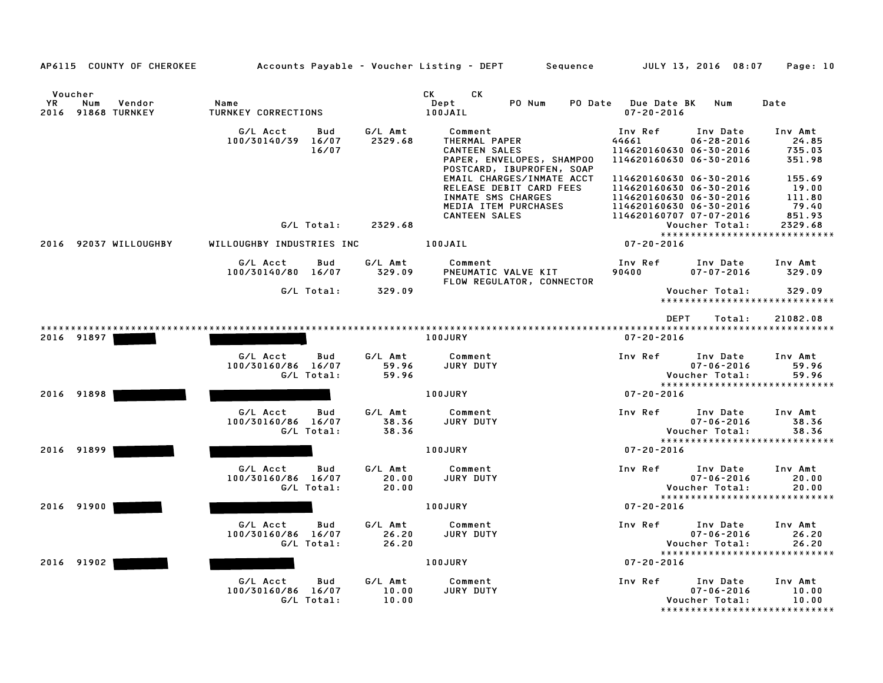| AP6115 COUNTY OF CHEROKEE                                   |                                                     |                           | Accounts Payable – Voucher Listing – DEPT         Sequence                                                                                                                                                                                                        | JULY 13, 2016 08:07                                                                                                               | Page: 10                                                   |
|-------------------------------------------------------------|-----------------------------------------------------|---------------------------|-------------------------------------------------------------------------------------------------------------------------------------------------------------------------------------------------------------------------------------------------------------------|-----------------------------------------------------------------------------------------------------------------------------------|------------------------------------------------------------|
| Voucher<br><b>YR</b><br>Num<br>Vendor<br>2016 91868 TURNKEY | Name<br>TURNKEY CORRECTIONS                         |                           | CK and the set of the set of the set of the set of the set of the set of the set of the set of the set of the set of the set of the set of the set of the set of the set of the set of the set of the set of the set of the se<br>CK<br>Dept<br>PO Num<br>100JAIL | PO Date Due Date BK<br>Num<br>$07 - 20 - 2016$                                                                                    | Date                                                       |
|                                                             | G/L Acct<br>Bud<br>100/30140/39 16/07<br>16/07      | G/L Amt<br>2329.68        | Comment<br>THERMAL PAPER<br><b>CANTEEN SALES</b><br>PAPER, ENVELOPES, SHAMPOO<br>POSTCARD, IBUPROFEN, SOAP<br>EMAIL CHARGES/INMATE ACCT                                                                                                                           | Inv Ref<br>Inv Date<br>44661<br>$06 - 28 - 2016$<br>114620160630 06-30-2016<br>114620160630 06-30-2016<br>114620160630 06-30-2016 | Inv Amt<br>24.85<br>735.03<br>351.98<br>155.69             |
|                                                             | G/L Total:                                          | 2329.68                   | RELEASE DEBIT CARD FEES<br>INMATE SMS CHARGES<br>MEDIA ITEM PURCHASES<br><b>CANTEEN SALES</b>                                                                                                                                                                     | 114620160630 06-30-2016<br>114620160630 06-30-2016<br>114620160630 06-30-2016<br>114620160707 07-07-2016<br>Voucher Total:        | 19.00<br>111.80<br>79.40<br>851.93<br>2329.68              |
| 2016 92037 WILLOUGHBY                                       | WILLOUGHBY INDUSTRIES INC                           |                           | 100JAIL                                                                                                                                                                                                                                                           | $07 - 20 - 2016$                                                                                                                  | *****************************                              |
|                                                             | G/L Acct<br>Bud<br>100/30140/80 16/07               | G/L Amt<br>329.09         | Comment<br>PNEUMATIC VALVE KIT<br>FLOW REGULATOR, CONNECTOR                                                                                                                                                                                                       | Inv Ref<br>Inv Date<br>90400<br>$07 - 07 - 2016$                                                                                  | Inv Amt<br>329.09                                          |
|                                                             | G/L Total:                                          | 329.09                    |                                                                                                                                                                                                                                                                   | Voucher Total:                                                                                                                    | 329.09<br>*****************************                    |
| 2016 91897                                                  |                                                     |                           | 100JURY                                                                                                                                                                                                                                                           | <b>DEPT</b><br>Total:<br>$07 - 20 - 2016$                                                                                         | 21082.08                                                   |
|                                                             | G/L Acct<br>Bud<br>100/30160/86 16/07<br>G/L Total: | G/L Amt<br>59.96<br>59.96 | Comment<br>JURY DUTY                                                                                                                                                                                                                                              | Inv Ref<br>Inv Date<br>$07 - 06 - 2016$<br>Voucher Total:                                                                         | Inv Amt<br>59.96<br>59.96                                  |
| 2016 91898                                                  |                                                     |                           | 100JURY                                                                                                                                                                                                                                                           | $07 - 20 - 2016$                                                                                                                  | *****************************                              |
|                                                             | G/L Acct<br>Bud<br>100/30160/86 16/07<br>G/L Total: | G/L Amt<br>38.36<br>38.36 | Comment<br>JURY DUTY                                                                                                                                                                                                                                              | Inv Ref<br>Inv Date<br>$07 - 06 - 2016$<br>Voucher Total:                                                                         | Inv Amt<br>38.36<br>38.36<br>***************************** |
| 2016 91899                                                  |                                                     |                           | <b>100JURY</b>                                                                                                                                                                                                                                                    | $07 - 20 - 2016$                                                                                                                  |                                                            |
|                                                             | G/L Acct<br>Bud<br>100/30160/86 16/07<br>G/L Total: | G/L Amt<br>20.00<br>20.00 | Comment<br>JURY DUTY                                                                                                                                                                                                                                              | Inv Ref<br>Inv Date<br>$07 - 06 - 2016$<br>Voucher Total:                                                                         | Inv Amt<br>20.00<br>20.00                                  |
| 2016 91900                                                  |                                                     |                           | 100JURY                                                                                                                                                                                                                                                           | $07 - 20 - 2016$                                                                                                                  | *****************************                              |
|                                                             | G/L Acct<br>Bud<br>100/30160/86 16/07<br>G/L Total: | G/L Amt<br>26.20<br>26.20 | Comment<br>JURY DUTY                                                                                                                                                                                                                                              | Inv Ref<br>Inv Date<br>$07 - 06 - 2016$<br>Voucher Total:                                                                         | Inv Amt<br>26.20<br>26.20                                  |
| 2016 91902                                                  |                                                     |                           | <b>100JURY</b>                                                                                                                                                                                                                                                    | 07-20-2016                                                                                                                        | *****************************                              |
|                                                             | G/L Acct<br>Bud<br>100/30160/86 16/07<br>G/L Total: | G/L Amt<br>10.00<br>10.00 | Comment<br>JURY DUTY                                                                                                                                                                                                                                              | Inv Ref<br>Inv Date<br>$07 - 06 - 2016$<br>Voucher Total:                                                                         | Inv Amt<br>10.00<br>10.00<br>***************************** |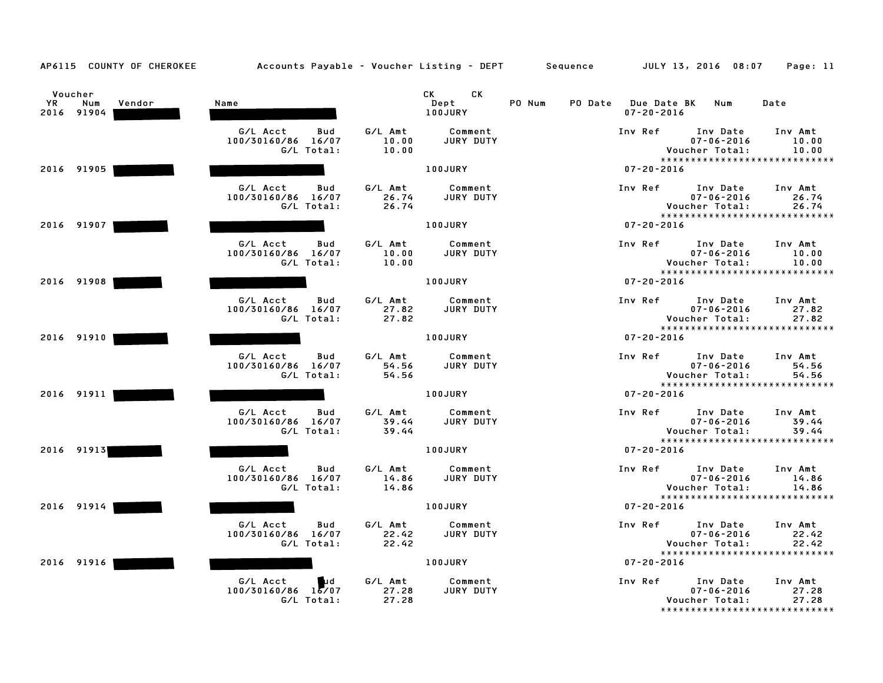| AP6115 COUNTY OF CHEROKEE                           | Accounts Payable – Voucher Listing – DEPT Sequence             |                                                          |                                                   | JULY 13, 2016 08:07<br>Page: 11                                                                               |
|-----------------------------------------------------|----------------------------------------------------------------|----------------------------------------------------------|---------------------------------------------------|---------------------------------------------------------------------------------------------------------------|
| Voucher<br><b>YR</b><br>Num<br>Vendor<br>2016 91904 | Name                                                           | CK<br>CK<br>Dept<br>100JURY                              | PO Num<br>PO Date Due Date BK<br>$07 - 20 - 2016$ | Num<br>Date                                                                                                   |
|                                                     | G/L Acct<br>Bud<br>100/30160/86 16/07<br>G/L Total:            | G/L Amt<br>Comment<br>10.00<br>JURY DUTY<br>10.00        | Inv Ref                                           | Inv Date<br>Inv Amt<br>$07 - 06 - 2016$<br>10.00<br>Voucher Total:<br>10.00<br>*****************************  |
| 2016 91905                                          |                                                                | 100JURY                                                  | $07 - 20 - 2016$                                  |                                                                                                               |
|                                                     | G/L Acct<br>Bud<br>100/30160/86 16/07<br>G/L Total:            | G/L Amt<br>Comment<br>JURY DUTY<br>26.74<br>26.74        | Inv Ref                                           | Inv Date<br>Inv Amt<br>$07 - 06 - 2016$<br>26.74<br>Voucher Total:<br>26.74<br>*****************************  |
| 2016 91907                                          |                                                                | 100JURY                                                  | $07 - 20 - 2016$                                  |                                                                                                               |
|                                                     | G/L Acct<br>Bud<br>100/30160/86 16/07<br>G/L Total:            | G/L Amt<br>Comment<br>10.00<br>JURY DUTY<br>10.00        | Inv Ref                                           | Inv Date<br>Inv Amt<br>$07 - 06 - 2016$<br>10.00<br>Voucher Total:<br>10.00<br>*****************************  |
| 2016 91908                                          |                                                                | 100JURY                                                  | $07 - 20 - 2016$                                  |                                                                                                               |
|                                                     | G/L Acct<br>Bud<br>100/30160/86 16/07<br>G/L Total:            | G/L Amt<br>Comment<br>27.82<br>JURY DUTY<br>27.82        | Inv Ref                                           | Inv Date<br>Inv Amt<br>$07 - 06 - 2016$<br>27.82<br>Voucher Total:<br>27.82<br>*****************************  |
| 2016 91910                                          |                                                                | <b>100JURY</b>                                           | $07 - 20 - 2016$                                  |                                                                                                               |
|                                                     | G/L Acct<br>Bud<br>100/30160/86 16/07<br>G/L Total:            | G/L Amt<br>Comment<br>JURY DUTY<br>54.56<br>54.56        | Inv Ref                                           | Inv Date<br>Inv Amt<br>$07 - 06 - 2016$<br>54.56<br>Voucher Total:<br>54.56                                   |
| 2016 91911                                          |                                                                | 100JURY                                                  | $07 - 20 - 2016$                                  | *****************************                                                                                 |
|                                                     | G/L Acct<br>Bud<br>100/30160/86 16/07<br>G/L Total:            | G/L Amt<br>Comment<br>JURY DUTY<br>39.44<br>39.44        | Inv Ref                                           | Inv Date<br>Inv Amt<br>$07 - 06 - 2016$<br>39.44<br>Voucher Total:<br>39.44<br>****************************** |
| 2016 91913                                          |                                                                | 100JURY                                                  | $07 - 20 - 2016$                                  |                                                                                                               |
|                                                     | G/L Acct<br>Bud<br>100/30160/86 16/07<br>G/L Total:            | G/L Amt<br>Comment<br>14.86<br><b>JURY DUTY</b><br>14.86 | Inv Ref                                           | Inv Date<br>Inv Amt<br>$07 - 06 - 2016$<br>14.86<br>Voucher Total:<br>14.86                                   |
| 2016 91914                                          |                                                                | 100JURY                                                  | $07 - 20 - 2016$                                  | *****************************                                                                                 |
|                                                     | G/L Acct<br>Bud<br>100/30160/86 16/07<br>G/L Total:            | G/L Amt<br>Comment<br>JURY DUTY<br>22.42<br>22.42        | Inv Ref                                           | Inv Date<br>Inv Amt<br>$07 - 06 - 2016$<br>22.42<br>Voucher Total:<br>22.42<br>*****************************  |
| 2016 91916                                          |                                                                | 100JURY                                                  | $07 - 20 - 2016$                                  |                                                                                                               |
|                                                     | G/L Acct<br><b>Lud</b><br>$100/30160/86$ $15/07$<br>G/L Total: | G/L Amt<br>Comment<br>27.28<br>JURY DUTY<br>27.28        | Inv Ref                                           | Inv Date<br>Inv Amt<br>27.28<br>$07 - 06 - 2016$<br>Voucher Total:<br>27.28<br>*****************************  |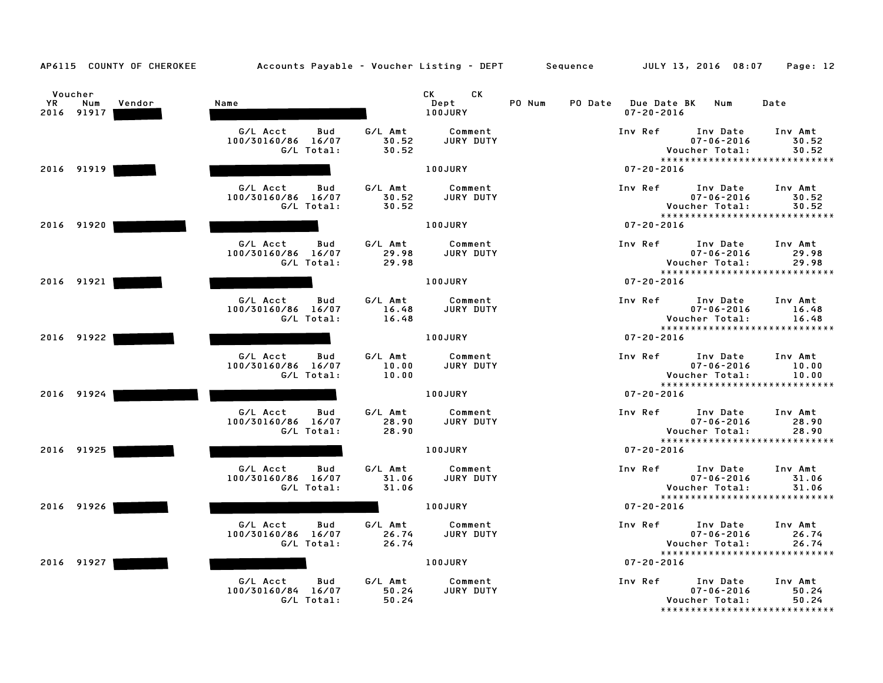| AP6115 COUNTY OF CHEROKEE                    | Accounts Payable – Voucher Listing – DEPT Sequence  |                           |                                                                                                                                                                                                                                                          |        |                                             | JULY 13, 2016 08:07                                                             | Page: 12                  |
|----------------------------------------------|-----------------------------------------------------|---------------------------|----------------------------------------------------------------------------------------------------------------------------------------------------------------------------------------------------------------------------------------------------------|--------|---------------------------------------------|---------------------------------------------------------------------------------|---------------------------|
| Voucher<br>YR<br>Num<br>Vendor<br>2016 91917 | Name                                                |                           | CK the control of the control of the control of the control of the control of the control of the control of the control of the control of the control of the control of the control of the control of the control of the contr<br>CK.<br>Dept<br>100JURY | PO Num | PO Date Due Date BK Num<br>$07 - 20 - 2016$ |                                                                                 | Date                      |
|                                              | G/L Acct<br>Bud<br>100/30160/86 16/07<br>G/L Total: | G/L Amt<br>30.52<br>30.52 | Comment<br>JURY DUTY                                                                                                                                                                                                                                     |        | Inv Ref                                     | Inv Date<br>$07 - 06 - 2016$<br>Voucher Total:<br>***************************** | Inv Amt<br>30.52<br>30.52 |
| 2016 91919                                   |                                                     |                           | 100JURY                                                                                                                                                                                                                                                  |        | $07 - 20 - 2016$                            |                                                                                 |                           |
|                                              | G/L Acct<br>Bud<br>100/30160/86 16/07<br>G/L Total: | G/L Amt<br>30.52<br>30.52 | Comment<br><b>JURY DUTY</b>                                                                                                                                                                                                                              |        | Inv Ref                                     | Inv Date<br>$07 - 06 - 2016$<br>Voucher Total:<br>***************************** | Inv Amt<br>30.52<br>30.52 |
| 2016 91920                                   |                                                     |                           | 100JURY                                                                                                                                                                                                                                                  |        | $07 - 20 - 2016$                            |                                                                                 |                           |
|                                              | G/L Acct<br>Bud<br>100/30160/86 16/07<br>G/L Total: | G/L Amt<br>29.98<br>29.98 | Comment<br>JURY DUTY                                                                                                                                                                                                                                     |        | Inv Ref                                     | Inv Date<br>$07 - 06 - 2016$<br>Voucher Total:<br>***************************** | Inv Amt<br>29.98<br>29.98 |
| 2016 91921                                   |                                                     |                           | 100JURY                                                                                                                                                                                                                                                  |        | $07 - 20 - 2016$                            |                                                                                 |                           |
|                                              | G/L Acct<br>Bud<br>100/30160/86 16/07<br>G/L Total: | G/L Amt<br>16.48<br>16.48 | Comment<br>JURY DUTY                                                                                                                                                                                                                                     |        | Inv Ref                                     | Inv Date<br>$07 - 06 - 2016$<br>Voucher Total:<br>***************************** | Inv Amt<br>16.48<br>16.48 |
| 2016 91922                                   |                                                     |                           | 100JURY                                                                                                                                                                                                                                                  |        | $07 - 20 - 2016$                            |                                                                                 |                           |
|                                              | G/L Acct<br>Bud<br>100/30160/86 16/07<br>G/L Total: | G/L Amt<br>10.00<br>10.00 | Comment<br>JURY DUTY                                                                                                                                                                                                                                     |        | Inv Ref                                     | Inv Date<br>$07 - 06 - 2016$<br>Voucher Total:                                  | Inv Amt<br>10.00<br>10.00 |
| 2016 91924                                   |                                                     |                           | 100JURY                                                                                                                                                                                                                                                  |        | $07 - 20 - 2016$                            | *****************************                                                   |                           |
|                                              | G/L Acct<br>Bud<br>100/30160/86 16/07<br>G/L Total: | G/L Amt<br>28.90<br>28.90 | Comment<br>JURY DUTY                                                                                                                                                                                                                                     |        |                                             | Inv Ref Inv Date<br>$07 - 06 - 2016$<br>Voucher Total:                          | Inv Amt<br>28.90<br>28.90 |
| 2016 91925                                   |                                                     |                           | 100JURY                                                                                                                                                                                                                                                  |        | $07 - 20 - 2016$                            | ******************************                                                  |                           |
|                                              | G/L Acct<br>Bud<br>100/30160/86 16/07<br>G/L Total: | G/L Amt<br>31.06<br>31.06 | Comment<br><b>JURY DUTY</b>                                                                                                                                                                                                                              |        | Inv Ref                                     | Inv Date<br>$07 - 06 - 2016$<br>Voucher Total:                                  | Inv Amt<br>31.06<br>31.06 |
| 2016 91926                                   |                                                     |                           | <b>100JURY</b>                                                                                                                                                                                                                                           |        | $07 - 20 - 2016$                            | *****************************                                                   |                           |
|                                              | G/L Acct<br>Bud<br>100/30160/86 16/07<br>G/L Total: | G/L Amt<br>26.74<br>26.74 | Comment<br>JURY DUTY                                                                                                                                                                                                                                     |        | Inv Ref                                     | Inv Date<br>$07 - 06 - 2016$<br>Voucher Total:<br>***************************** | Inv Amt<br>26.74<br>26.74 |
| 2016 91927                                   |                                                     |                           | 100JURY                                                                                                                                                                                                                                                  |        | $07 - 20 - 2016$                            |                                                                                 |                           |
|                                              | G/L Acct<br>Bud<br>100/30160/84 16/07<br>G/L Total: | G/L Amt<br>50.24<br>50.24 | Comment<br>JURY DUTY                                                                                                                                                                                                                                     |        | Inv Ref                                     | Inv Date<br>$07 - 06 - 2016$<br>Voucher Total:<br>***************************** | Inv Amt<br>50.24<br>50.24 |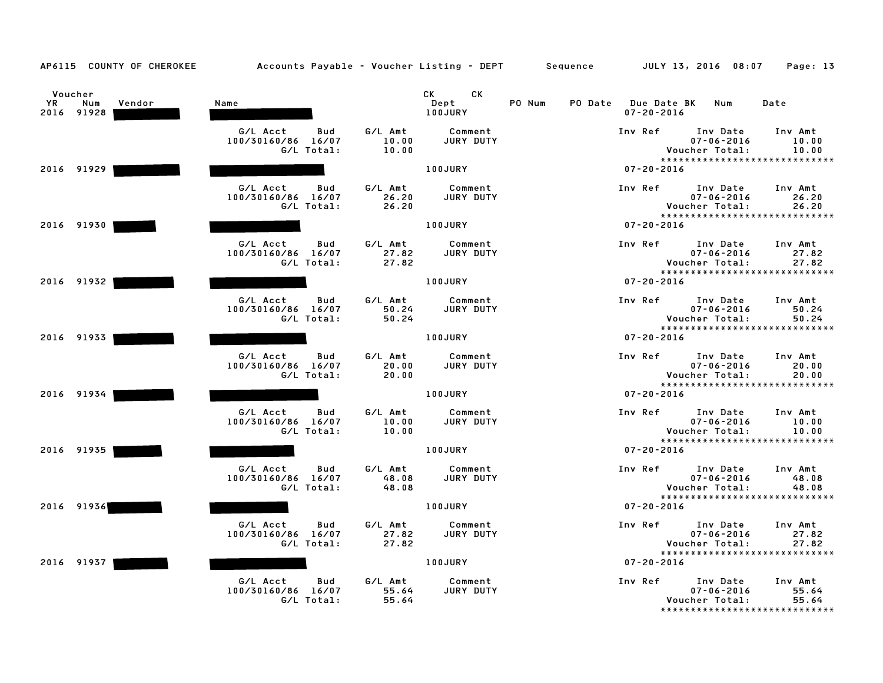| AP6115 COUNTY OF CHEROKEE                    | Accounts Payable - Voucher Listing - DEPT Sequence  |                                                          |                                                   | JULY 13, 2016 08:07<br>Page: 13                                                                                |
|----------------------------------------------|-----------------------------------------------------|----------------------------------------------------------|---------------------------------------------------|----------------------------------------------------------------------------------------------------------------|
| Voucher<br>YR<br>Num<br>Vendor<br>2016 91928 | Name                                                | СK<br>CK<br>Dept<br>100JURY                              | PO Num<br>PO Date Due Date BK<br>$07 - 20 - 2016$ | Num<br>Date                                                                                                    |
|                                              | G/L Acct<br>Bud<br>100/30160/86 16/07<br>G/L Total: | G/L Amt<br>Comment<br>10.00<br>JURY DUTY<br>10.00        | Inv Ref                                           | Inv Date<br>Inv Amt<br>$07 - 06 - 2016$<br>10.00<br>Voucher Total:<br>10.00<br>*****************************   |
| 2016 91929                                   |                                                     | 100JURY                                                  | $07 - 20 - 2016$                                  |                                                                                                                |
|                                              | G/L Acct<br>Bud<br>100/30160/86 16/07<br>G/L Total: | G/L Amt<br>Comment<br>26.20<br><b>JURY DUTY</b><br>26.20 | Inv Ref                                           | Inv Date<br>Inv Amt<br>$07 - 06 - 2016$<br>26.20<br>Voucher Total:<br>26.20<br>*****************************   |
| 2016 91930                                   |                                                     | 100JURY                                                  | $07 - 20 - 2016$                                  |                                                                                                                |
|                                              | G/L Acct<br>Bud<br>100/30160/86 16/07<br>G/L Total: | G/L Amt<br>Comment<br>JURY DUTY<br>27.82<br>27.82        | Inv Ref                                           | Inv Date<br>Inv Amt<br>$07 - 06 - 2016$<br>27.82<br>Voucher Total:<br>27.82<br>*****************************   |
| 2016 91932                                   |                                                     | 100JURY                                                  | $07 - 20 - 2016$                                  |                                                                                                                |
|                                              | G/L Acct<br>Bud<br>100/30160/86 16/07<br>G/L Total: | G/L Amt<br>Comment<br>50.24<br>JURY DUTY<br>50.24        | Inv Ref                                           | Inv Date<br>Inv Amt<br>$07 - 06 - 2016$<br>50.24<br>Voucher Total:<br>50.24<br>******************************  |
| 2016 91933                                   |                                                     | 100JURY                                                  | $07 - 20 - 2016$                                  |                                                                                                                |
|                                              | G/L Acct<br>Bud<br>100/30160/86 16/07<br>G/L Total: | G/L Amt<br>Comment<br>20.00<br>JURY DUTY<br>20.00        | Inv Ref                                           | Inv Date<br>Inv Amt<br>$07 - 06 - 2016$<br>20.00<br>Voucher Total:<br>20.00<br>******************************  |
| 2016 91934                                   |                                                     | <b>100JURY</b>                                           | $07 - 20 - 2016$                                  |                                                                                                                |
|                                              | G/L Acct<br>Bud<br>100/30160/86 16/07<br>G/L Total: | G/L Amt<br>Comment<br>JURY DUTY<br>10.00<br>10.00        | Inv Ref                                           | Inv Date<br>Inv Amt<br>$07 - 06 - 2016$<br>10.00<br>Voucher Total:<br>10.00<br>*****************************   |
| 2016 91935                                   |                                                     | 100JURY                                                  | $07 - 20 - 2016$                                  |                                                                                                                |
|                                              | G/L Acct<br>Bud<br>100/30160/86 16/07<br>G/L Total: | G/L Amt<br>Comment<br>48.08<br><b>JURY DUTY</b><br>48.08 | Inv Ref                                           | Inv Date<br>Inv Amt<br>$07 - 06 - 2016$<br>48.08<br>Voucher Total:<br>48.08                                    |
| 2016 91936                                   |                                                     | 100JURY                                                  | $07 - 20 - 2016$                                  | *****************************                                                                                  |
|                                              | G/L Acct<br>Bud<br>100/30160/86 16/07<br>G/L Total: | G/L Amt<br>Comment<br>27.82<br>JURY DUTY<br>27.82        | Inv Ref                                           | Inv Date<br>Inv Amt<br>$07 - 06 - 2016$<br>27.82<br>Voucher Total:<br>27.82<br>*****************************   |
| 2016 91937                                   |                                                     | 100JURY                                                  | $07 - 20 - 2016$                                  |                                                                                                                |
|                                              | G/L Acct<br>Bud<br>100/30160/86 16/07<br>G/L Total: | G/L Amt<br>Comment<br>55.64<br>JURY DUTY<br>55.64        | Inv Ref                                           | Inv Date<br>Inv Amt<br>$07 - 06 - 2016$<br>55.64<br>Voucher Total:<br>55.64<br>******************************* |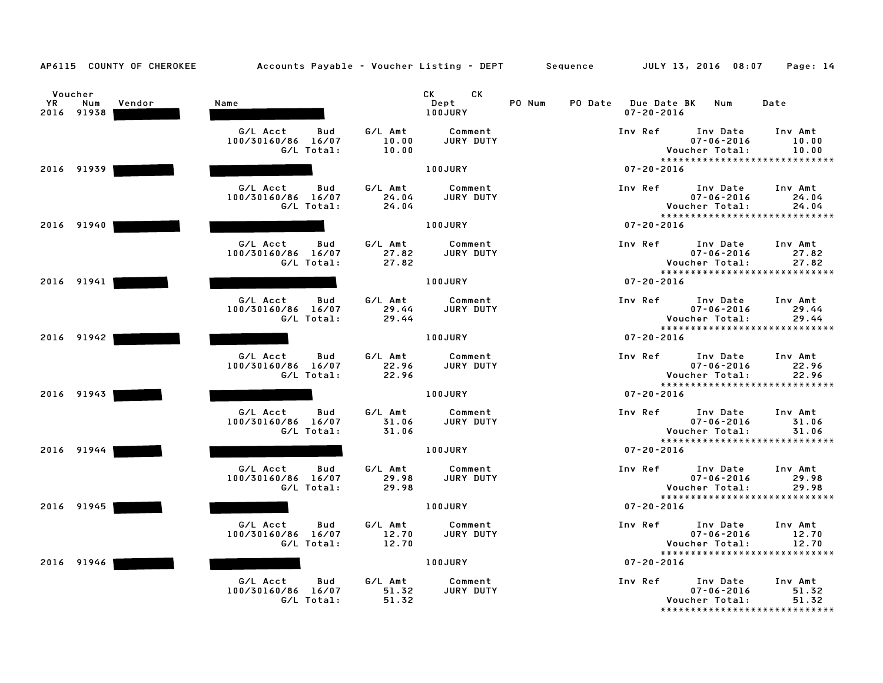| AP6115 COUNTY OF CHEROKEE                           | Accounts Payable – Voucher Listing – DEPT         Sequence |                                                   | JULY 13, 2016 08:07<br>Page: 14                                                                                           |
|-----------------------------------------------------|------------------------------------------------------------|---------------------------------------------------|---------------------------------------------------------------------------------------------------------------------------|
| Voucher<br><b>YR</b><br>Num<br>Vendor<br>2016 91938 | Name                                                       | CK<br>CK<br>Dept<br>100JURY                       | PO Num<br>PO Date Due Date BK Num<br>Date<br>$07 - 20 - 2016$                                                             |
|                                                     | G/L Acct<br>Bud<br>100/30160/86 16/07<br>G/L Total:        | G/L Amt<br>Comment<br>10.00<br>JURY DUTY<br>10.00 | Inv Ref<br>Inv Date<br>Inv Amt<br>$07 - 06 - 2016$<br>10.00<br>Voucher Total:<br>10.00<br>*****************************   |
| 2016 91939                                          |                                                            | 100JURY                                           | $07 - 20 - 2016$                                                                                                          |
|                                                     | G/L Acct<br>Bud<br>100/30160/86 16/07<br>G/L Total:        | G/L Amt<br>Comment<br>JURY DUTY<br>24.04<br>24.04 | Inv Ref<br>Inv Date<br>Inv Amt<br>$07 - 06 - 2016$<br>24.04<br>Voucher Total:<br>24.04<br>*****************************   |
| 2016 91940                                          |                                                            | 100JURY                                           | $07 - 20 - 2016$                                                                                                          |
|                                                     | G/L Acct<br>Bud<br>100/30160/86 16/07<br>G/L Total:        | G/L Amt<br>Comment<br>JURY DUTY<br>27.82<br>27.82 | Inv Ref<br>Inv Date<br>Inv Amt<br>$07 - 06 - 2016$<br>27.82<br>Voucher Total:<br>27.82<br>*****************************   |
| 2016 91941                                          |                                                            | 100JURY                                           | $07 - 20 - 2016$                                                                                                          |
|                                                     | G/L Acct<br>Bud<br>100/30160/86 16/07<br>G/L Total:        | G/L Amt<br>Comment<br>29.44<br>JURY DUTY<br>29.44 | Inv Ref<br>Inv Date<br>Inv Amt<br>29.44<br>$07 - 06 - 2016$<br>Voucher Total:<br>29.44<br>*****************************   |
| 2016 91942                                          |                                                            | 100JURY                                           | $07 - 20 - 2016$                                                                                                          |
|                                                     | G/L Acct<br>Bud<br>100/30160/86 16/07<br>G/L Total:        | G/L Amt<br>Comment<br>22.96<br>JURY DUTY<br>22.96 | Inv Ref<br>Inv Date<br>Inv Amt<br>$07 - 06 - 2016$<br>22.96<br>22.96<br>Voucher Total:<br>*****************************   |
| 2016 91943                                          |                                                            | 100JURY                                           | $07 - 20 - 2016$                                                                                                          |
|                                                     | G/L Acct<br>Bud<br>100/30160/86 16/07<br>G/L Total:        | G/L Amt<br>Comment<br>31.06<br>JURY DUTY<br>31.06 | Inv Ref<br>Inv Date<br>Inv Amt<br>$07 - 06 - 2016$<br>31.06<br>Voucher Total:<br>31.06<br>*****************************   |
| 2016 91944                                          |                                                            | 100JURY                                           | $07 - 20 - 2016$                                                                                                          |
|                                                     | G/L Acct<br>Bud<br>100/30160/86 16/07<br>G/L Total:        | Comment<br>G/L Amt<br>29.98<br>JURY DUTY<br>29.98 | Inv Ref<br>Inv Date<br>Inv Amt<br>$07 - 06 - 2016$<br>29.98<br>Voucher Total:<br>29.98                                    |
| 2016 91945                                          |                                                            | 100JURY                                           | *****************************<br>$07 - 20 - 2016$                                                                         |
|                                                     | G/L Acct<br>Bud<br>100/30160/86 16/07<br>G/L Total:        | G/L Amt<br>Comment<br>JURY DUTY<br>12.70<br>12.70 | Inv Ref<br>Inv Date<br>Inv Amt<br>$07 - 06 - 2016$<br>12.70<br>Voucher Total:<br>12.70<br>*****************************   |
| 2016 91946                                          |                                                            | 100JURY                                           | $07 - 20 - 2016$                                                                                                          |
|                                                     | G/L Acct<br>Bud<br>100/30160/86 16/07<br>G/L Total:        | G/L Amt<br>Comment<br>51.32<br>JURY DUTY<br>51.32 | Inv Ref<br>Inv Date<br>Inv Amt<br>$07 - 06 - 2016$<br>51.32<br>Voucher Total:<br>51.32<br>******************************* |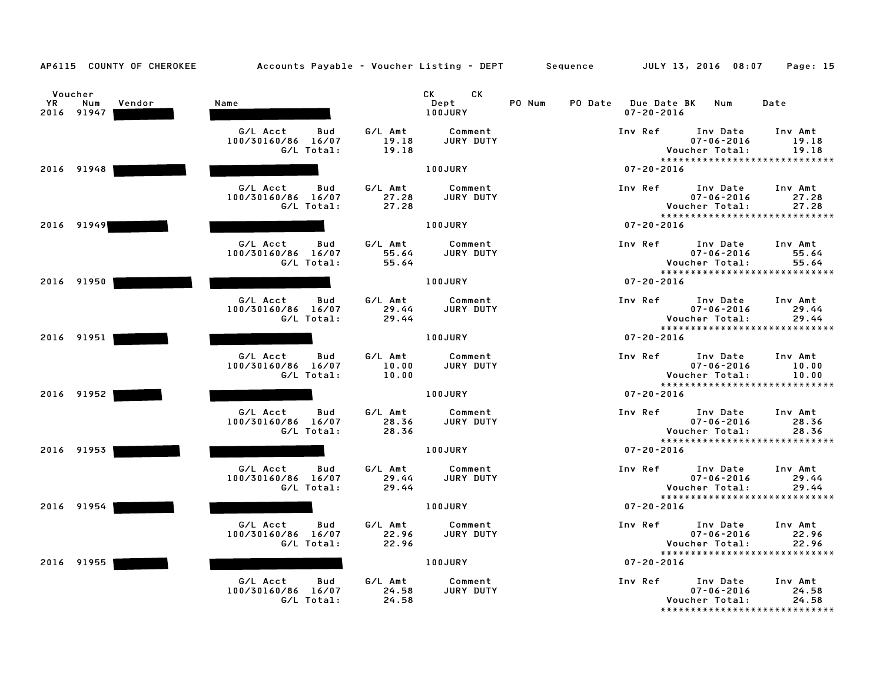| AP6115 COUNTY OF CHEROKEE                    | Accounts Payable – Voucher Listing – DEPT       Sequence |                           |                             |        |                         |                  | JULY 13, 2016 08:07                                                             | Page: 15                  |
|----------------------------------------------|----------------------------------------------------------|---------------------------|-----------------------------|--------|-------------------------|------------------|---------------------------------------------------------------------------------|---------------------------|
| Voucher<br>YR<br>Num<br>Vendor<br>2016 91947 | Name                                                     |                           | CK<br>CK<br>Dept<br>100JURY | PO Num | PO Date Due Date BK Num | $07 - 20 - 2016$ |                                                                                 | Date                      |
|                                              | G/L Acct<br>Bud<br>100/30160/86 16/07<br>G/L Total:      | G/L Amt<br>19.18<br>19.18 | Comment<br>JURY DUTY        |        |                         | Inv Ref          | Inv Date<br>$07 - 06 - 2016$<br>Voucher Total:<br>***************************** | Inv Amt<br>19.18<br>19.18 |
| 2016 91948                                   |                                                          |                           | 100JURY                     |        |                         | $07 - 20 - 2016$ |                                                                                 |                           |
|                                              | G/L Acct<br>Bud<br>100/30160/86 16/07<br>G/L Total:      | G/L Amt<br>27.28<br>27.28 | Comment<br><b>JURY DUTY</b> |        |                         | Inv Ref          | Inv Date<br>$07 - 06 - 2016$<br>Voucher Total:<br>***************************** | Inv Amt<br>27.28<br>27.28 |
| 2016 91949                                   |                                                          |                           | 100JURY                     |        |                         | $07 - 20 - 2016$ |                                                                                 |                           |
|                                              | G/L Acct<br>Bud<br>100/30160/86 16/07<br>G/L Total:      | G/L Amt<br>55.64<br>55.64 | Comment<br>JURY DUTY        |        |                         | Inv Ref          | Inv Date<br>$07 - 06 - 2016$<br>Voucher Total:<br>***************************** | Inv Amt<br>55.64<br>55.64 |
| 2016 91950                                   |                                                          |                           | 100JURY                     |        |                         | $07 - 20 - 2016$ |                                                                                 |                           |
|                                              | G/L Acct<br>Bud<br>100/30160/86 16/07<br>G/L Total:      | G/L Amt<br>29.44<br>29.44 | Comment<br>JURY DUTY        |        |                         | Inv Ref          | Inv Date<br>$07 - 06 - 2016$<br>Voucher Total:<br>***************************** | Inv Amt<br>29.44<br>29.44 |
| 2016 91951                                   |                                                          |                           | <b>100JURY</b>              |        |                         | $07 - 20 - 2016$ |                                                                                 |                           |
|                                              | G/L Acct<br>Bud<br>100/30160/86 16/07<br>G/L Total:      | G/L Amt<br>10.00<br>10.00 | Comment<br>JURY DUTY        |        |                         | Inv Ref          | Inv Date<br>$07 - 06 - 2016$<br>Voucher Total:<br>***************************** | Inv Amt<br>10.00<br>10.00 |
| 2016 91952                                   |                                                          |                           | <b>100JURY</b>              |        |                         | $07 - 20 - 2016$ |                                                                                 |                           |
|                                              | G/L Acct<br>Bud<br>100/30160/86 16/07<br>G/L Total:      | G/L Amt<br>28.36<br>28.36 | Comment<br>JURY DUTY        |        |                         | Inv Ref          | Inv Date<br>$07 - 06 - 2016$<br>Voucher Total:<br>***************************** | Inv Amt<br>28.36<br>28.36 |
| 2016 91953                                   |                                                          |                           | 100JURY                     |        |                         | $07 - 20 - 2016$ |                                                                                 |                           |
|                                              | G/L Acct<br>Bud<br>100/30160/86 16/07<br>G/L Total:      | G/L Amt<br>29.44<br>29.44 | Comment<br>JURY DUTY        |        |                         | Inv Ref          | Inv Date<br>$07 - 06 - 2016$<br>Voucher Total:                                  | Inv Amt<br>29.44<br>29.44 |
| 2016 91954                                   |                                                          |                           | 100JURY                     |        |                         | $07 - 20 - 2016$ | *****************************                                                   |                           |
|                                              | G/L Acct<br>Bud<br>100/30160/86 16/07<br>G/L Total:      | G/L Amt<br>22.96<br>22.96 | Comment<br>JURY DUTY        |        |                         | Inv Ref          | Inv Date<br>$07 - 06 - 2016$<br>Voucher Total:<br>***************************** | Inv Amt<br>22.96<br>22.96 |
| 2016 91955                                   |                                                          |                           | 100JURY                     |        |                         | $07 - 20 - 2016$ |                                                                                 |                           |
|                                              | G/L Acct<br>Bud<br>100/30160/86 16/07<br>G/L Total:      | G/L Amt<br>24.58<br>24.58 | Comment<br>JURY DUTY        |        |                         | Inv Ref          | Inv Date<br>$07 - 06 - 2016$<br>Voucher Total:<br>***************************** | Inv Amt<br>24.58<br>24.58 |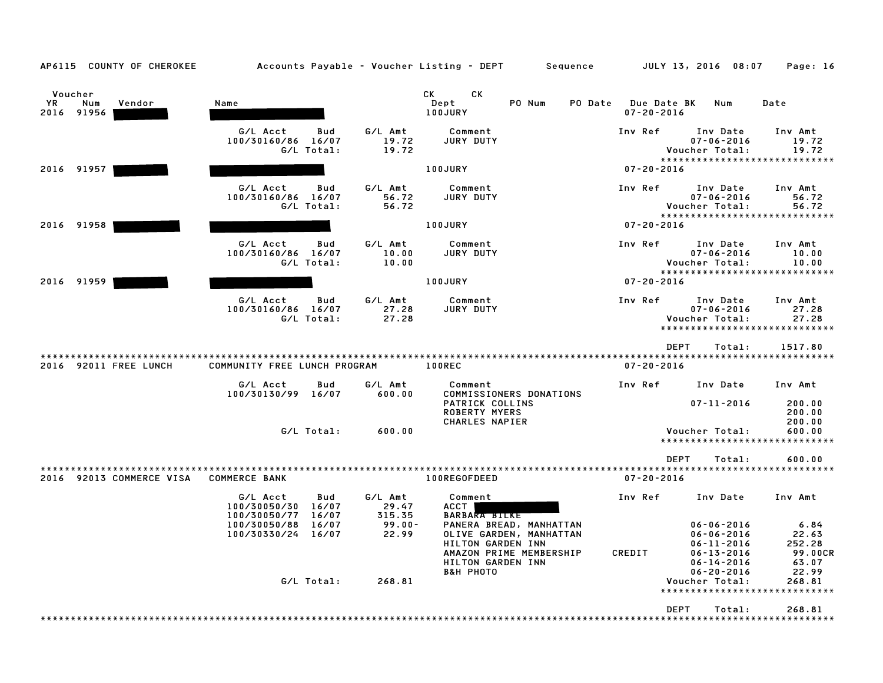| AP6115 COUNTY OF CHEROKEE |                              |            |           | Accounts Payable – Voucher Listing – DEPT    | Sequence          |                                 | JULY 13, 2016 08:07                             | Page: 16        |
|---------------------------|------------------------------|------------|-----------|----------------------------------------------|-------------------|---------------------------------|-------------------------------------------------|-----------------|
|                           |                              |            |           |                                              |                   |                                 |                                                 |                 |
| Voucher                   |                              |            |           | СK<br>CK                                     |                   |                                 |                                                 |                 |
| YR<br>Num<br>Vendor       | Name                         |            |           | Dept                                         | PO Num<br>PO Date | Due Date BK<br>$07 - 20 - 2016$ | Num                                             | Date            |
| 2016 91956                |                              |            |           | 100JURY                                      |                   |                                 |                                                 |                 |
|                           | G/L Acct                     | Bud        | G/L Amt   | Comment                                      |                   | Inv Ref                         | Inv Date                                        | Inv Amt         |
|                           | 100/30160/86                 | 16/07      | 19.72     | JURY DUTY                                    |                   |                                 | $07 - 06 - 2016$                                | 19.72           |
|                           |                              | G/L Total: | 19.72     |                                              |                   |                                 | Voucher Total:<br>***************************** | 19.72           |
| 2016 91957                |                              |            |           | 100JURY                                      |                   | $07 - 20 - 2016$                |                                                 |                 |
|                           |                              |            |           |                                              |                   |                                 |                                                 |                 |
|                           | G/L Acct                     | Bud        | G/L Amt   | Comment                                      |                   | Inv Ref                         | Inv Date                                        | Inv Amt         |
|                           | 100/30160/86 16/07           |            | 56.72     | JURY DUTY                                    |                   |                                 | $07 - 06 - 2016$                                | 56.72           |
|                           |                              | G/L Total: | 56.72     |                                              |                   |                                 | Voucher Total:<br>***************************** | 56.72           |
| 2016 91958                |                              |            |           | 100JURY                                      |                   | $07 - 20 - 2016$                |                                                 |                 |
|                           |                              |            |           |                                              |                   |                                 |                                                 |                 |
|                           | G/L Acct                     | Bud        | G/L Amt   | Comment                                      |                   | Inv Ref                         | Inv Date                                        | Inv Amt         |
|                           | 100/30160/86 16/07           |            | 10.00     | JURY DUTY                                    |                   |                                 | $07 - 06 - 2016$                                | 10.00           |
|                           | G/L Total:                   |            | 10.00     |                                              |                   |                                 | Voucher Total:<br>***************************** | 10.00           |
| 2016 91959                |                              |            |           | 100JURY                                      |                   | $07 - 20 - 2016$                |                                                 |                 |
|                           |                              |            |           |                                              |                   |                                 |                                                 |                 |
|                           | G/L Acct                     | Bud        | G/L Amt   | Comment                                      |                   | Inv Ref                         | Inv Date                                        | Inv Amt         |
|                           | 100/30160/86 16/07           |            | 27.28     | <b>JURY DUTY</b>                             |                   |                                 | $07 - 06 - 2016$                                | 27.28           |
|                           | G/L Total:                   |            | 27.28     |                                              |                   |                                 | Voucher Total:<br>***************************** | 27.28           |
|                           |                              |            |           |                                              |                   |                                 |                                                 |                 |
|                           |                              |            |           |                                              |                   |                                 | <b>DEPT</b><br>Total:                           | 1517.80         |
| 2016 92011 FREE LUNCH     | COMMUNITY FREE LUNCH PROGRAM |            |           | 100REC                                       |                   | $07 - 20 - 2016$                |                                                 |                 |
|                           | G/L Acct                     | Bud        | G/L Amt   | Comment                                      |                   | Inv Ref                         | Inv Date                                        | Inv Amt         |
|                           | 100/30130/99 16/07           |            | 600.00    | COMMISSIONERS DONATIONS                      |                   |                                 |                                                 |                 |
|                           |                              |            |           | PATRICK COLLINS                              |                   |                                 | $07 - 11 - 2016$                                | 200.00          |
|                           |                              |            |           | <b>ROBERTY MYERS</b>                         |                   |                                 |                                                 | 200.00          |
|                           |                              |            |           | CHARLES NAPIER                               |                   |                                 |                                                 | 200.00          |
|                           | G/L Total:                   |            | 600.00    |                                              |                   |                                 | Voucher Total:<br>***************************** | 600.00          |
|                           |                              |            |           |                                              |                   |                                 |                                                 |                 |
|                           |                              |            |           |                                              |                   |                                 | <b>DEPT</b><br>Total:                           | 600.00          |
|                           |                              |            |           |                                              |                   |                                 |                                                 |                 |
| 2016 92013 COMMERCE VISA  | <b>COMMERCE BANK</b>         |            |           | 100REGOFDEED                                 |                   | $07 - 20 - 2016$                |                                                 |                 |
|                           | G/L Acct                     | Bud        | G/L Amt   | Comment                                      |                   | Inv Ref                         | Inv Date                                        | Inv Amt         |
|                           | 100/30050/30                 | 16/07      | 29.47     | <b>ACCT</b>                                  |                   |                                 |                                                 |                 |
|                           | 100/30050/77                 | 16/07      | 315.35    | <b>BARBARA BILKE</b>                         |                   |                                 |                                                 |                 |
|                           | 100/30050/88                 | 16/07      | $99.00 -$ | PANERA BREAD, MANHATTAN                      |                   |                                 | $06 - 06 - 2016$                                | 6.84            |
|                           | 100/30330/24                 | 16/07      | 22.99     | OLIVE GARDEN, MANHATTAN<br>HILTON GARDEN INN |                   |                                 | $06 - 06 - 2016$<br>$06 - 11 - 2016$            | 22.63<br>252.28 |
|                           |                              |            |           | AMAZON PRIME MEMBERSHIP                      |                   | CREDIT                          | $06 - 13 - 2016$                                | <b>99.00CR</b>  |
|                           |                              |            |           | HILTON GARDEN INN                            |                   |                                 | $06 - 14 - 2016$                                | 63.07           |
|                           |                              |            |           | <b>B&amp;H PHOTO</b>                         |                   |                                 | $06 - 20 - 2016$                                | 22.99           |
|                           |                              | G/L Total: | 268.81    |                                              |                   |                                 | Voucher Total:                                  | 268.81          |
|                           |                              |            |           |                                              |                   |                                 | ***************                                 | **********      |
|                           |                              |            |           |                                              |                   |                                 | <b>DEPT</b><br>Total:                           | 268.81          |
|                           |                              |            |           |                                              |                   |                                 |                                                 |                 |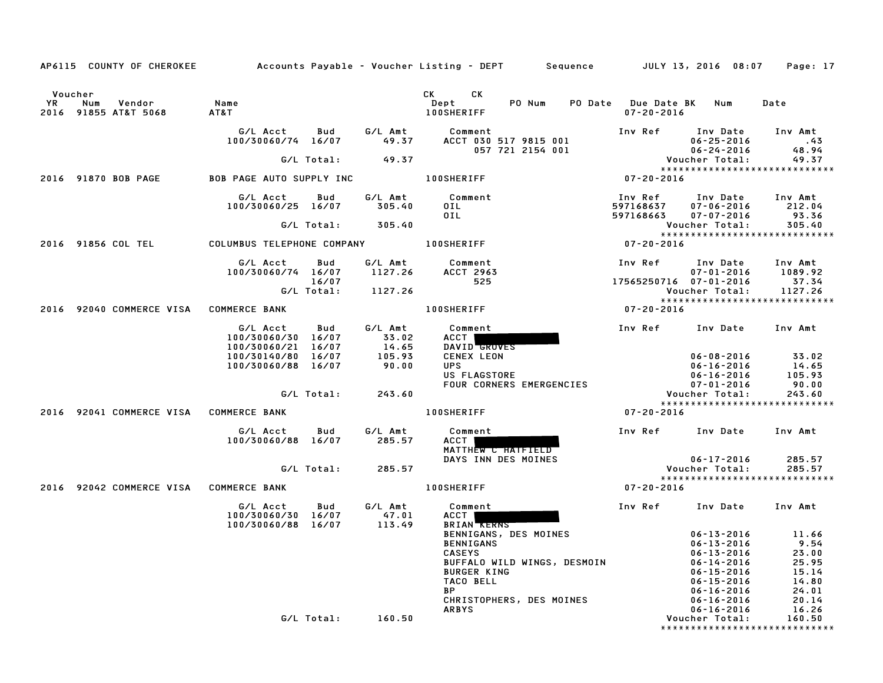| AP6115 COUNTY OF CHEROKEE                              |                                                |                     |                           | Accounts Payable – Voucher Listing – DEPT         Sequence         JULY 13, 2016  08:07                                                                                                                                                                                      |                                         |                                                          | Page: 17                                          |
|--------------------------------------------------------|------------------------------------------------|---------------------|---------------------------|------------------------------------------------------------------------------------------------------------------------------------------------------------------------------------------------------------------------------------------------------------------------------|-----------------------------------------|----------------------------------------------------------|---------------------------------------------------|
|                                                        |                                                |                     |                           |                                                                                                                                                                                                                                                                              |                                         |                                                          |                                                   |
| Voucher<br>YR<br>Num<br>Vendor<br>2016 91855 AT&T 5068 | Name<br>AT&T                                   |                     |                           | CK.<br>CK and the set of the set of the set of the set of the set of the set of the set of the set of the set of the set of the set of the set of the set of the set of the set of the set of the set of the set of the set of the se<br>Dept<br>PO Num<br><b>100SHERIFF</b> | PO Date Due Date BK<br>$07 - 20 - 2016$ | Num                                                      | Date                                              |
|                                                        | G/L Acct<br>100/30060/74 16/07                 | Bud                 | G/L Amt<br>49.37          | Comment<br>ACCT 030 517 9815 001                                                                                                                                                                                                                                             | Inv Ref                                 | Inv Date<br>$06 - 25 - 2016$                             | Inv Amt<br>$\cdot$ . 43                           |
|                                                        |                                                | G/L Total:          | 49.37                     | 057 721 2154 001                                                                                                                                                                                                                                                             |                                         | $06 - 24 - 2016$<br>Voucher Total:                       | 48.94<br>49.37                                    |
| 2016 91870 BOB PAGE                                    | <b>BOB PAGE AUTO SUPPLY INC</b>                |                     |                           | <b>100SHERIFF</b>                                                                                                                                                                                                                                                            | $07 - 20 - 2016$                        |                                                          | *****************************                     |
|                                                        | G/L Acct                                       | Bud                 | G/L Amt                   | Comment                                                                                                                                                                                                                                                                      | Inv Ref                                 | Inv Date                                                 | Inv Amt                                           |
|                                                        | 100/30060/25 16/07                             |                     | 305.40                    | OIL                                                                                                                                                                                                                                                                          | 597168637                               | $07 - 06 - 2016$                                         | 212.04                                            |
|                                                        |                                                | G/L Total:          | 305.40                    | 0IL.                                                                                                                                                                                                                                                                         | 597168663                               | $07 - 07 - 2016$<br>Voucher Total:                       | 93.36<br>305.40                                   |
| 2016 91856 COL TEL                                     | COLUMBUS TELEPHONE COMPANY                     |                     |                           | <b>100SHERIFF</b>                                                                                                                                                                                                                                                            | 07-20-2016                              |                                                          | *****************************                     |
|                                                        | G/L Acct<br>100/30060/74 16/07                 | Bud                 | G/L Amt<br>1127.26        | Comment<br>ACCT 2963                                                                                                                                                                                                                                                         | Inv Ref                                 | Inv Date<br>$07 - 01 - 2016$                             | Inv Amt<br>1089.92                                |
|                                                        |                                                | 16/07<br>G/L Total: | 1127.26                   | 525                                                                                                                                                                                                                                                                          | 17565250716 07-01-2016                  | Voucher Total:                                           | 37.34<br>1127.26                                  |
|                                                        |                                                |                     |                           | <b>100SHERIFF</b>                                                                                                                                                                                                                                                            |                                         |                                                          | *****************************                     |
| 2016 92040 COMMERCE VISA                               | <b>COMMERCE BANK</b>                           |                     |                           |                                                                                                                                                                                                                                                                              | $07 - 20 - 2016$                        |                                                          |                                                   |
|                                                        | G/L Acct<br>100/30060/30 16/07<br>100/30060/21 | Bud<br>16/07        | G/L Amt<br>33.02<br>14.65 | Comment<br>ACCT  <br>DAVID GROVES                                                                                                                                                                                                                                            | Inv Ref                                 | Inv Date                                                 | Inv Amt                                           |
|                                                        | 100/30140/80 16/07<br>100/30060/88 16/07       |                     | 105.93<br>90.00           | <b>CENEX LEON</b><br><b>UPS</b><br>US FLAGSTORE                                                                                                                                                                                                                              |                                         | $06 - 08 - 2016$<br>$06 - 16 - 2016$<br>$06 - 16 - 2016$ | 33.02<br>14.65<br>105.93                          |
|                                                        |                                                | G/L Total:          | 243.60                    | FOUR CORNERS EMERGENCIES                                                                                                                                                                                                                                                     |                                         | $07 - 01 - 2016$<br>Voucher Total:                       | 90.00<br>243.60                                   |
|                                                        |                                                |                     |                           |                                                                                                                                                                                                                                                                              |                                         |                                                          | *****************************                     |
| 2016 92041 COMMERCE VISA                               | <b>COMMERCE BANK</b>                           |                     |                           | <b>100SHERIFF</b>                                                                                                                                                                                                                                                            | $07 - 20 - 2016$                        |                                                          |                                                   |
|                                                        | G/L Acct<br>100/30060/88 16/07                 | Bud                 | G/L Amt<br>285.57         | Comment<br>ACCT<br>MATTHEW C HATFIELD                                                                                                                                                                                                                                        | Inv Ref                                 | Inv Date                                                 | Inv Amt                                           |
|                                                        |                                                | G/L Total:          | 285.57                    | DAYS INN DES MOINES                                                                                                                                                                                                                                                          |                                         | $06 - 17 - 2016$<br>Voucher Total:                       | 285.57<br>285.57<br>***************************** |
| 2016 92042 COMMERCE VISA                               | <b>COMMERCE BANK</b>                           |                     |                           | <b>100SHERIFF</b>                                                                                                                                                                                                                                                            | $07 - 20 - 2016$                        |                                                          |                                                   |
|                                                        | G/L Acct<br>100/30060/30                       | Bud<br>16/07        | G/L Amt<br>47.01          | Comment<br>ACCT                                                                                                                                                                                                                                                              | Inv Ref                                 | Inv Date                                                 | Inv Amt                                           |
|                                                        | 100/30060/88                                   | 16/07               | 113.49                    | <b>BRIAN RERNS</b><br>BENNIGANS, DES MOINES                                                                                                                                                                                                                                  |                                         | $06 - 13 - 2016$                                         | 11.66                                             |
|                                                        |                                                |                     |                           | BENNIGANS<br><b>CASEYS</b>                                                                                                                                                                                                                                                   |                                         | 06-13-2016<br>$06 - 13 - 2016$                           | 9.54<br>23.00                                     |
|                                                        |                                                |                     |                           | BUFFALO WILD WINGS, DESMOIN                                                                                                                                                                                                                                                  |                                         | $06 - 14 - 2016$                                         | 25.95                                             |
|                                                        |                                                |                     |                           | <b>BURGER KING</b>                                                                                                                                                                                                                                                           |                                         | $06 - 15 - 2016$                                         | 15.14                                             |
|                                                        |                                                |                     |                           | TACO BELL<br><b>BP</b>                                                                                                                                                                                                                                                       |                                         | $06 - 15 - 2016$<br>$06 - 16 - 2016$                     | 14.80<br>24.01                                    |
|                                                        |                                                |                     |                           | CHRISTOPHERS, DES MOINES                                                                                                                                                                                                                                                     |                                         | $06 - 16 - 2016$                                         | 20.14                                             |
|                                                        |                                                |                     |                           | <b>ARBYS</b>                                                                                                                                                                                                                                                                 |                                         | $06 - 16 - 2016$                                         | 16.26                                             |
|                                                        |                                                | G/L Total:          | 160.50                    |                                                                                                                                                                                                                                                                              |                                         | Voucher Total:                                           | 160.50<br>******************************          |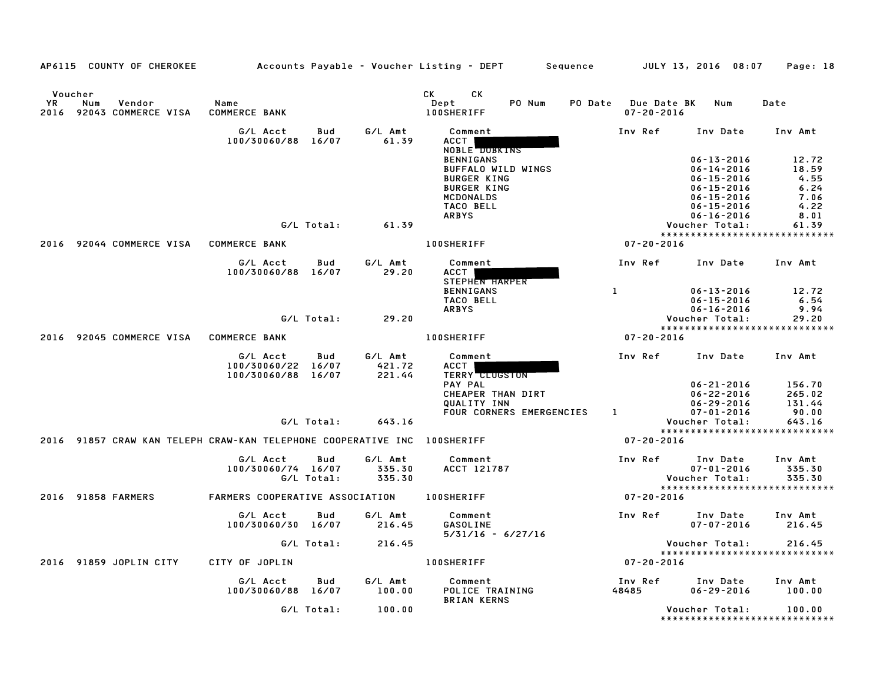|           | AP6115 COUNTY OF CHEROKEE                                                |                                          |              |                   | Accounts Payable – Voucher Listing – DEPT  | Sequence                           | JULY 13, 2016 08:07                  | Page: 18          |
|-----------|--------------------------------------------------------------------------|------------------------------------------|--------------|-------------------|--------------------------------------------|------------------------------------|--------------------------------------|-------------------|
| <b>YR</b> | Voucher<br>Num<br>Vendor<br>2016 92043 COMMERCE VISA                     | Name<br>COMMERCE BANK                    |              |                   | CK<br>СK<br>Dept<br>PO Num<br>100SHERIFF   | <b>PO Date</b><br>$07 - 20 - 2016$ | Due Date BK Num                      | Date              |
|           |                                                                          | G/L Acct<br>100/30060/88                 | Bud<br>16/07 | G/L Amt<br>61.39  | Comment<br>ACCT  <br>NOBLE DOBKINS         | Inv Ref                            | Inv Date                             | Inv Amt           |
|           |                                                                          |                                          |              |                   | <b>BENNIGANS</b>                           |                                    | $06 - 13 - 2016$                     | 12.72             |
|           |                                                                          |                                          |              |                   | BUFFALO WILD WINGS                         |                                    | $06 - 14 - 2016$                     | 18.59             |
|           |                                                                          |                                          |              |                   | <b>BURGER KING</b>                         |                                    | $06 - 15 - 2016$                     | 4.55              |
|           |                                                                          |                                          |              |                   | <b>BURGER KING</b>                         |                                    | $06 - 15 - 2016$                     | 6.24              |
|           |                                                                          |                                          |              |                   | MCDONALDS<br><b>TACO BELL</b>              |                                    | $06 - 15 - 2016$                     | 7.06<br>4.22      |
|           |                                                                          |                                          |              |                   | <b>ARBYS</b>                               |                                    | $06 - 15 - 2016$<br>$06 - 16 - 2016$ | 8.01              |
|           |                                                                          |                                          | G/L Total:   | 61.39             |                                            |                                    | Voucher Total:                       | 61.39             |
|           |                                                                          |                                          |              |                   |                                            |                                    | *****************************        |                   |
| 2016      | 92044 COMMERCE VISA                                                      | <b>COMMERCE BANK</b>                     |              |                   | <b>100SHERIFF</b>                          | $07 - 20 - 2016$                   |                                      |                   |
|           |                                                                          | G/L Acct<br>100/30060/88 16/07           | Bud          | G/L Amt<br>29.20  | Comment<br>ACCT  <br><b>STEPHEN HARPER</b> | Inv Ref                            | Inv Date                             | Inv Amt           |
|           |                                                                          |                                          |              |                   | <b>BENNIGANS</b>                           | $\mathbf{1}$                       | $06 - 13 - 2016$                     | 12.72             |
|           |                                                                          |                                          |              |                   | TACO BELL                                  |                                    | $06 - 15 - 2016$                     | 6.54              |
|           |                                                                          |                                          |              |                   | <b>ARBYS</b>                               |                                    | $06 - 16 - 2016$                     | 9.94              |
|           |                                                                          |                                          | G/L Total:   | 29.20             |                                            |                                    | Voucher Total:                       | 29.20             |
|           |                                                                          |                                          |              |                   |                                            |                                    | *****************************        |                   |
|           | 2016 92045 COMMERCE VISA                                                 | <b>COMMERCE BANK</b>                     |              |                   | <b>100SHERIFF</b>                          | 07-20-2016                         |                                      |                   |
|           |                                                                          | G/L Acct                                 | Bud          | G/L Amt           | Comment                                    | Inv Ref                            | Inv Date                             | Inv Amt           |
|           |                                                                          | 100/30060/22 16/07<br>100/30060/88 16/07 |              | 421.72<br>221.44  | ACCT<br><b>TERRY CLUGSTON</b>              |                                    |                                      |                   |
|           |                                                                          |                                          |              |                   | PAY PAL                                    |                                    | $06 - 21 - 2016$                     | 156.70            |
|           |                                                                          |                                          |              |                   | CHEAPER THAN DIRT                          |                                    | $06 - 22 - 2016$                     | 265.02            |
|           |                                                                          |                                          |              |                   | QUALITY INN<br>FOUR CORNERS EMERGENCIES    | $\mathbf{1}$                       | $06 - 29 - 2016$<br>$07 - 01 - 2016$ | 131.44<br>90.00   |
|           |                                                                          |                                          | G/L Total:   | 643.16            |                                            |                                    | Voucher Total:                       | 643.16            |
|           |                                                                          |                                          |              |                   |                                            |                                    | *****************************        |                   |
|           | 2016 91857 CRAW KAN TELEPH CRAW-KAN TELEPHONE COOPERATIVE INC 100SHERIFF |                                          |              |                   |                                            | $07 - 20 - 2016$                   |                                      |                   |
|           |                                                                          | G/L Acct<br>100/30060/74 16/07           | Bud          | G/L Amt<br>335.30 | Comment<br>ACCT 121787                     | Inv Ref                            | Inv Date<br>$07 - 01 - 2016$         | Inv Amt<br>335.30 |
|           |                                                                          |                                          | G/L Total:   | 335.30            |                                            |                                    | Voucher Total:                       | 335.30            |
|           |                                                                          |                                          |              |                   |                                            |                                    | *****************************        |                   |
| 2016      | 91858 FARMERS                                                            | FARMERS COOPERATIVE ASSOCIATION          |              |                   | <b>100SHERIFF</b>                          | $07 - 20 - 2016$                   |                                      |                   |
|           |                                                                          | G/L Acct                                 | Bud          | G/L Amt           | Comment                                    | Inv Ref                            | Inv Date                             | Inv Amt           |
|           |                                                                          | 100/30060/30 16/07                       |              | 216.45            | <b>GASOLINE</b>                            |                                    | $07 - 07 - 2016$                     | 216.45            |
|           |                                                                          |                                          |              |                   | $5/31/16 - 6/27/16$                        |                                    |                                      |                   |
|           |                                                                          |                                          | G/L Total:   | 216.45            |                                            |                                    | Voucher Total:                       | 216.45            |
|           |                                                                          |                                          |              |                   |                                            |                                    | *****************************        |                   |
|           | 2016 91859 JOPLIN CITY                                                   | CITY OF JOPLIN                           |              |                   | <b>100SHERIFF</b>                          | $07 - 20 - 2016$                   |                                      |                   |
|           |                                                                          | G/L Acct                                 | Bud          | G/L Amt           | Comment                                    | Inv Ref                            | Inv Date                             | Inv Amt           |
|           |                                                                          | 100/30060/88 16/07                       |              | 100.00            | POLICE TRAINING<br><b>BRIAN KERNS</b>      | 48485                              | $06 - 29 - 2016$                     | 100.00            |
|           |                                                                          |                                          | G/L Total:   | 100.00            |                                            |                                    | Voucher Total:                       | 100.00            |
|           |                                                                          |                                          |              |                   |                                            |                                    | *******************************      |                   |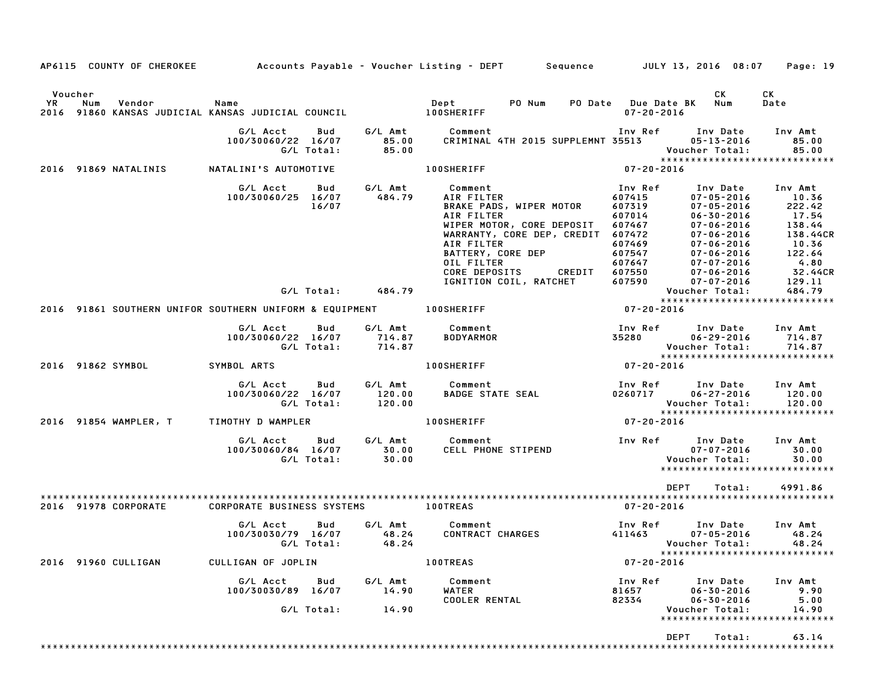|         | AP6115 COUNTY OF CHEROKEE Accounts Payable – Voucher Listing – DEPT Sequence JULY 13, 2016 08:07                     |             |                                              |                   |                                                          |                                                           |                                                                                                                                                                    |        |                           |                                                                                                                                                                                                                                                                                         | Page: 19                                                                                                                     |
|---------|----------------------------------------------------------------------------------------------------------------------|-------------|----------------------------------------------|-------------------|----------------------------------------------------------|-----------------------------------------------------------|--------------------------------------------------------------------------------------------------------------------------------------------------------------------|--------|---------------------------|-----------------------------------------------------------------------------------------------------------------------------------------------------------------------------------------------------------------------------------------------------------------------------------------|------------------------------------------------------------------------------------------------------------------------------|
| Voucher | YR Num Vendor – Name<br>2016 91860 KANSAS JUDICIAL KANSAS JUDICIAL COUNCIL                                100SHERIFF |             |                                              |                   |                                                          |                                                           | PO Num                                                                                                                                                             |        | $07 - 20 - 2016$          | CK<br>PO Date Due Date BK Num                                                                                                                                                                                                                                                           | CK<br>Date                                                                                                                   |
|         |                                                                                                                      |             | G/L Acct   Bud<br>100/30060/22 16/07         | G/L Total:        | 85.00<br>85.00                                           | G/L Amt Comment<br>85.00 CRIMINAL                         |                                                                                                                                                                    |        |                           | CRIMINAL 4TH 2015 SUPPLEMNT 35513 05-13-2016<br>Voucher Total:                                                                                                                                                                                                                          | Inv Ref Inv Date Inv Amt<br>85.00<br>85.00<br>******************************                                                 |
|         | 2016 91869 NATALINIS                                                                                                 |             | NATALINI'S AUTOMOTIVE                        |                   |                                                          | <b>100SHERIFF</b>                                         |                                                                                                                                                                    |        | $07 - 20 - 2016$          |                                                                                                                                                                                                                                                                                         |                                                                                                                              |
|         |                                                                                                                      |             | G/L Acct<br>100/30060/25 16/07               | Bud<br>16/07      | 484.79                                                   | G/L Amt Comment<br>AIR FILTER<br>AIR FILTER<br>OIL FILTER | <b>ισωπηρητης</b><br>ΑΙΡ FILTER<br>BRAKE PADS, WIPER MOTOR<br>WIPER MOTOR, CORE DEPOSIT<br>WARRANTY, CORE DEP, CREDIT 607472<br>BATTERY, CORE DEP<br>CORE DEPOSITS | CREDIT | Inv Ref<br>607415         | 07-05-2016<br>$\begin{array}{cccc} 607415 & 07-05-2016 \\ 607319 & 07-05-2016 \\ 607014 & 06-30-2016 \\ 607467 & 07-06-2016 \\ 607469 & 07-06-2016 \\ 607547 & 07-06-2016 \\ 607550 & 07-06-2016 \\ 607550 & 07-06-2016 \\ 607550 & 07-07-2016 \\ 607590 & 07-07-2016 \\ 7-06-2016 & 0$ | Inv Date Inv Amt<br>10.36<br>222.42<br>17.54<br>138.44<br>138.44CR<br>$10.36$<br>$122.64$<br>$4.80$<br>$32.44CR$<br>$129.11$ |
|         |                                                                                                                      |             |                                              |                   | G/L Total: 484.79                                        |                                                           | IGNITION COIL, RATCHET                                                                                                                                             |        |                           | Voucher Total:<br>Youcher Total:                                                                                                                                                                                                                                                        | 484.79                                                                                                                       |
|         | 2016 91861 SOUTHERN UNIFOR SOUTHERN UNIFORM & EQUIPMENT 100SHERIFF                                                   |             |                                              |                   |                                                          |                                                           |                                                                                                                                                                    |        | $07 - 20 - 2016$          |                                                                                                                                                                                                                                                                                         | *****************************                                                                                                |
|         |                                                                                                                      |             | G/L Acct                                     | Bud<br>G/L Total: | 100/30060/22 16/07 714.87<br>G/L Total: 714.87<br>714.87 | G/L Amt Comment<br>BODYARMOR                              |                                                                                                                                                                    |        |                           |                                                                                                                                                                                                                                                                                         | 714.87<br>*****************************                                                                                      |
|         | 2016 91862 SYMBOL                                                                                                    | SYMBOL ARTS |                                              |                   |                                                          | <b>100SHERIFF</b>                                         |                                                                                                                                                                    |        |                           |                                                                                                                                                                                                                                                                                         |                                                                                                                              |
|         |                                                                                                                      |             | G/L Acct Bud<br>100/30060/22 16/07           | G/L Total:        | $120.00$<br>$120.00$                                     | G/L Amt Comment                                           |                                                                                                                                                                    |        |                           | Voucher Total:                                                                                                                                                                                                                                                                          | $0260717$ $06-27-2016$ $120.00$<br>120.00<br>*****************************                                                   |
|         | 2016 91854 WAMPLER, T                                                                                                |             | TIMOTHY D WAMPLER                            |                   |                                                          | <b>100SHERIFF</b>                                         |                                                                                                                                                                    |        | $07 - 20 - 2016$          |                                                                                                                                                                                                                                                                                         |                                                                                                                              |
|         |                                                                                                                      |             | G/L Acct<br>100/30060/84 16/07<br>G/L Total: | Bud               | 30.00<br>30.00                                           | G/L Amt Comment<br>30.00 CELL PHOM                        | <b>comment<br/>CELL PHONE STIPEND</b>                                                                                                                              |        |                           | Inv Ref Inv Date<br>$07 - 07 - 2016$<br>Voucher Total:                                                                                                                                                                                                                                  | Inv Amt<br>30.00<br>30.00<br>*****************************                                                                   |
|         |                                                                                                                      |             |                                              |                   |                                                          |                                                           |                                                                                                                                                                    |        |                           | DEPT<br>Total:                                                                                                                                                                                                                                                                          | 4991.86                                                                                                                      |
|         | 2016 91978 CORPORATE                                                                                                 |             | CORPORATE BUSINESS SYSTEMS                   |                   |                                                          | <b>100TREAS</b>                                           |                                                                                                                                                                    |        | 07-20-2016                |                                                                                                                                                                                                                                                                                         |                                                                                                                              |
|         |                                                                                                                      |             | G/L Acct<br>100/30030/79 16/07               | Bud               | 48.24<br>G/L Total:         48.24                        | G/L Amt Comment<br>CONTRACT CHARGES                       |                                                                                                                                                                    |        | 411463                    | Inv Ref Inv Date<br>$07 - 05 - 2016$                                                                                                                                                                                                                                                    | Inv Amt<br>48.24<br>Voucher Total:         48.24                                                                             |
|         | 2016 91960 CULLIGAN                                                                                                  |             | CULLIGAN OF JOPLIN                           |                   |                                                          | 100TREAS                                                  |                                                                                                                                                                    |        | $07 - 20 - 2016$          |                                                                                                                                                                                                                                                                                         | *****************************                                                                                                |
|         |                                                                                                                      |             | G/L Acct Bud<br>100/30030/89 16/07           | G/L Total:        | G/L Amt<br>14.90<br>14.90                                | Comment<br>WATER<br><b>COOLER RENTAL</b>                  |                                                                                                                                                                    |        | Inv Ref<br>81657<br>82334 | Inv Date<br>$06 - 30 - 2016$<br>$06 - 30 - 2016$<br>Voucher Total:                                                                                                                                                                                                                      | Inv Amt<br>9.90<br>5.00<br>14.90<br>*****************************                                                            |
|         |                                                                                                                      |             |                                              |                   |                                                          |                                                           |                                                                                                                                                                    |        |                           | DEPT<br>Total:                                                                                                                                                                                                                                                                          | 63.14                                                                                                                        |
|         |                                                                                                                      |             |                                              |                   |                                                          |                                                           |                                                                                                                                                                    |        |                           |                                                                                                                                                                                                                                                                                         |                                                                                                                              |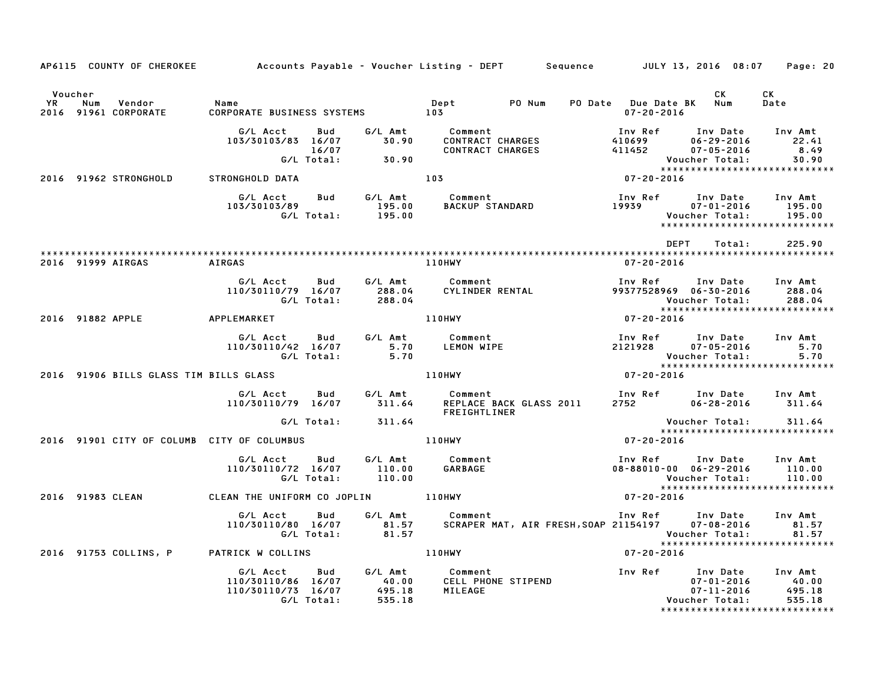|                      |                                            |                                                                                  |                                      | AP6115 COUNTY OF CHEROKEE         Accounts Payable – Voucher Listing – DEPT     Sequence     JULY 13, 2016 08:07 |                                                                                    |                                                                    | Page: 20                                                                |
|----------------------|--------------------------------------------|----------------------------------------------------------------------------------|--------------------------------------|------------------------------------------------------------------------------------------------------------------|------------------------------------------------------------------------------------|--------------------------------------------------------------------|-------------------------------------------------------------------------|
| Voucher<br><b>YR</b> | Num<br>Vendor<br>2016 91961 CORPORATE      | Name<br>CORPORATE BUSINESS SYSTEMS 103                                           |                                      | Dept PO Num                                                                                                      | PO Date Due Date BK Num<br>$07 - 20 - 2016$                                        | CK                                                                 | CK<br>Date                                                              |
|                      |                                            | G/L Acct<br>Bud<br>103/30103/83 16/07<br>16/07<br>G/L Total:                     | 30.90<br>30.90                       | G/L Amt Comment<br><b>CONTRACT CHARGES</b><br><b>CONTRACT CHARGES</b>                                            | Inv Ref<br>410699<br>411452                                                        | Inv Date<br>$06 - 29 - 2016$<br>$07 - 05 - 2016$<br>Voucher Total: | Inv Amt<br>22.41<br>8.49<br>30.90<br>******************************     |
|                      | 2016 91962 STRONGHOLD                      | STRONGHOLD DATA<br>G/L Acct<br>Bud<br>103/30103/89<br>G/L Total:                 | G/L Amt<br>195.00<br>195.00          | 103<br>Comment<br><b>BACKUP STANDARD</b>                                                                         | $07 - 20 - 2016$<br>Inv Ref<br>100 Ket<br>19939                                    | Inv Date<br>07-01-2016<br>Voucher Total:                           | Inv Amt<br>195.00<br>195.00<br>*****************************            |
|                      | 2016 91999 AIRGAS                          | <b>AIRGAS</b>                                                                    |                                      | <b>110HWY</b>                                                                                                    | DEPT<br>$07 - 20 - 2016$                                                           | Total:                                                             | 225.90                                                                  |
|                      |                                            | G/L Acct<br>Bud<br>110/30110/79 16/07<br>G/L Total:                              | G/L Amt<br>288.04<br>288.04          | Comment<br>CYLINDER RENTAL                                                                                       | Inv Ref<br>99377528969 06-30-2016                                                  | Inv Date<br>Voucher Total:                                         | Inv Amt<br>288.04<br>288.04                                             |
|                      | 2016 91882 APPLE                           | <b>APPLEMARKET</b>                                                               |                                      | 110HWY                                                                                                           | $07 - 20 - 2016$                                                                   |                                                                    | *****************************                                           |
|                      |                                            | G/L Acct<br>Bud<br>110/30110/42 16/07<br>G/L Total:                              | G/L Amt<br>5.70<br>5.70              | Comment<br>LEMON WIPE                                                                                            | Inv Ref      Inv Date<br>2121928                                                   | $07 - 05 - 2016$<br>Voucher Total:                                 | Inv Amt<br>5.70<br>5.70                                                 |
|                      | 2016 91906 BILLS GLASS TIM BILLS GLASS     |                                                                                  |                                      | 110HWY                                                                                                           | $07 - 20 - 2016$                                                                   |                                                                    | *****************************                                           |
|                      |                                            | G/L Acct<br>Bud<br>110/30110/79 16/07                                            | G/L Amt<br>311.64                    | Comment<br>REPLACE BACK GLASS 2011<br><b>FREIGHTLINER</b>                                                        | Inv Ref Inv Date Inv Amt<br>2752 06-28-2016                                        |                                                                    | 311.64                                                                  |
|                      |                                            | G/L Total:                                                                       | 311.64                               |                                                                                                                  |                                                                                    | Voucher Total:                                                     | 311.64<br>*****************************                                 |
|                      | 2016 91901 CITY OF COLUMB CITY OF COLUMBUS | Bud<br>G/L Acct<br>110/30110/72 16/07<br>G/L Total:                              | G/L Amt<br>110.00<br>110.00          | <b>110HWY</b><br>Comment<br>GARBAGE                                                                              | $07 - 20 - 2016$<br>Inv Ref Inv Date Inv Amt<br>$08 - 88010 - 00$ $06 - 29 - 2016$ | Voucher Total:                                                     | 110.00<br>110.00                                                        |
|                      | 2016 91983 CLEAN                           | CLEAN THE UNIFORM CO JOPLIN 110HWY                                               |                                      |                                                                                                                  | $07 - 20 - 2016$                                                                   |                                                                    | *****************************                                           |
|                      |                                            | G/L Acct<br>Bud<br>110/30110/80 16/07<br>G/L Total:                              | G/L Amt<br>81.57<br>81.57            | Comment                                                                                                          |                                                                                    | Voucher Total:                                                     | Inv Amt<br>81.57<br>81.57                                               |
|                      | 2016 91753 COLLINS, P                      | PATRICK W COLLINS                                                                |                                      | <b>110HWY</b>                                                                                                    | $07 - 20 - 2016$                                                                   |                                                                    |                                                                         |
|                      |                                            | G/L Acct<br><b>Bud</b><br>110/30110/86 16/07<br>110/30110/73 16/07<br>G/L Total: | G/L Amt<br>40.00<br>495.18<br>535.18 | <b>Comment</b><br>CELL PHONE STIPEND<br>MILEAGE                                                                  | Inv Ref                                                                            | Inv Date<br>$07 - 01 - 2016$<br>$07 - 11 - 2016$<br>Voucher Total: | Inv Amt<br>40.00<br>495.18<br>535.18<br>******************************* |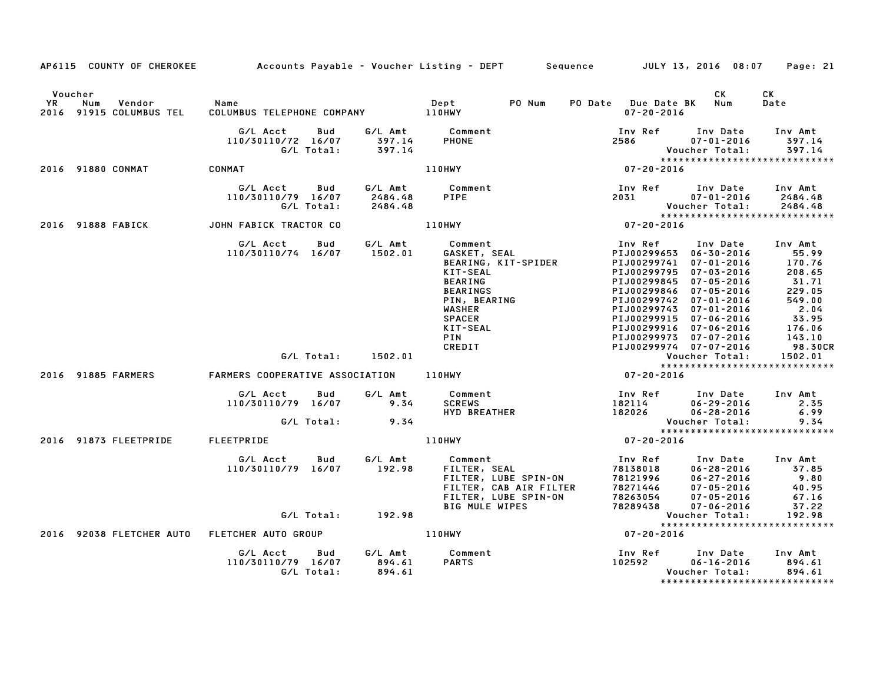|    | AP6115 COUNTY OF CHEROKEE                           | Accounts Payable - Voucher Listing - DEPT |                   |                               |                                                                                                                                            |                                                                        | Sequence JULY 13, 2016 08:07                                        |                                                                                                                                                                                                                                                                                            | Page: 21                                                                                                                 |
|----|-----------------------------------------------------|-------------------------------------------|-------------------|-------------------------------|--------------------------------------------------------------------------------------------------------------------------------------------|------------------------------------------------------------------------|---------------------------------------------------------------------|--------------------------------------------------------------------------------------------------------------------------------------------------------------------------------------------------------------------------------------------------------------------------------------------|--------------------------------------------------------------------------------------------------------------------------|
| YR | Voucher<br>Vendor<br>Num<br>2016 91915 COLUMBUS TEL | Name                                      |                   |                               | Dept                                                                                                                                       | PO Num                                                                 | PO Date Due Date BK                                                 | CK<br>Num<br>$07 - 20 - 2016$                                                                                                                                                                                                                                                              | СK<br>Date                                                                                                               |
|    |                                                     | G/L Acct<br>110/30110/72 16/07            | Bud<br>G/L Total: | G/L Amt<br>397.14<br>397.14   | Comment<br><b>PHONE</b>                                                                                                                    |                                                                        | Inv Ref<br>2586                                                     | Inv Date<br>$07 - 01 - 2016$<br>Voucher Total:                                                                                                                                                                                                                                             | Inv Amt<br>397.14<br>397.14                                                                                              |
|    | 2016 91880 CONMAT                                   | CONMAT                                    |                   |                               | <b>110HWY</b>                                                                                                                              |                                                                        | $07 - 20 - 2016$                                                    |                                                                                                                                                                                                                                                                                            | *****************************                                                                                            |
|    |                                                     | G/L Acct<br>110/30110/79 16/07            | Bud<br>G/L Total: | G/L Amt<br>2484.48<br>2484.48 | Comment<br>PIPE                                                                                                                            |                                                                        | Inv Ref<br>2031                                                     | Inv Date<br>$07 - 01 - 2016$<br>Voucher Total:                                                                                                                                                                                                                                             | Inv Amt<br>2484.48<br>2484.48                                                                                            |
|    | 2016 91888 FABICK                                   | JOHN FABICK TRACTOR CO                    |                   |                               | 110HWY                                                                                                                                     |                                                                        | $*****$<br>07-20-2016                                               |                                                                                                                                                                                                                                                                                            | *****************************                                                                                            |
|    |                                                     | G/L Acct<br>110/30110/74 16/07            | Bud               | G/L Amt<br>1502.01            | <b>KIT-SEAL</b><br><b>BEARING</b><br><b>BEARINGS</b><br>PIN, BEARING<br><b>WASHER</b><br><b>SPACER</b><br>KIT-SEAL<br><b>PIN</b><br>CREDIT | – ……∝ill<br>GASKET, SEAL<br>BEARING – …<br>BEARING, KIT-SPIDER         | Inv Ref<br>PIJ00299795<br>PIJ00299845                               | Inv Date<br>PIJ00299653 06-30-2016<br>PIJ00299741 07-01-2016<br>$07 - 03 - 2016$<br>$07 - 05 - 2016$<br>PIJ00299846 07-05-2016<br>PIJ00299742 07-01-2016<br>PIJ00299743 07-01-2016<br>PIJ00299915 07-06-2016<br>PIJ00299916 07-06-2016<br>PIJ00299973 07-07-2016<br>PIJ00299974 07-07-2016 | Inv Amt<br>55.99<br>170.76<br>208.65<br>31.71<br>229.05<br>549.00<br>2.04<br>33.95<br>176.06<br>143.10<br><b>98.30CR</b> |
|    |                                                     |                                           | G/L Total:        | 1502.01                       |                                                                                                                                            |                                                                        |                                                                     | Voucher Total:                                                                                                                                                                                                                                                                             | 1502.01<br>*****************************                                                                                 |
|    | 2016 91885 FARMERS                                  | FARMERS COOPERATIVE ASSOCIATION           |                   |                               | 110HWY                                                                                                                                     |                                                                        | $07 - 20 - 2016$                                                    |                                                                                                                                                                                                                                                                                            |                                                                                                                          |
|    |                                                     | G/L Acct<br>110/30110/79 16/07            | Bud<br>G/L Total: | G/L Amt<br>9.34<br>9.34       | Comment<br><b>SCREWS</b><br><b>HYD BREATHER</b>                                                                                            |                                                                        | Inv Ref<br>182114<br>182026                                         | Inv Date<br>$06 - 29 - 2016$<br>$06 - 28 - 2016$<br>Voucher Total:                                                                                                                                                                                                                         | Inv Amt<br>2.35<br>6.99<br>9.34                                                                                          |
|    | 2016 91873 FLEETPRIDE                               | FLEETPRIDE                                |                   |                               | 110HWY                                                                                                                                     |                                                                        | $07 - 20 - 2016$                                                    |                                                                                                                                                                                                                                                                                            | *****************************                                                                                            |
|    |                                                     | G/L Acct<br>110/30110/79 16/07            | Bud               | G/L Amt<br>192.98             | Comment<br>FILTER, SEAL<br><b>BIG MULE WIPES</b>                                                                                           | FILTER, LUBE SPIN-ON<br>FILTER, CAB AIR FILTER<br>FILTER, LUBE SPIN-ON | Inv Ref<br>78138018<br>78121996<br>78271446<br>78263054<br>78289438 | Inv Date<br>$06 - 28 - 2016$<br>$06 - 27 - 2016$<br>$07 - 05 - 2016$<br>$07 - 05 - 2016$<br>07-06-2016                                                                                                                                                                                     | Inv Amt<br>37.85<br>9.80<br>40.95<br>67.16<br>37.22                                                                      |
|    |                                                     |                                           | G/L Total:        | 192.98                        |                                                                                                                                            |                                                                        |                                                                     | Voucher Total:                                                                                                                                                                                                                                                                             | 192.98                                                                                                                   |
|    | 2016 92038 FLETCHER AUTO                            | FLETCHER AUTO GROUP                       |                   |                               | 110HWY                                                                                                                                     |                                                                        | $07 - 20 - 2016$                                                    |                                                                                                                                                                                                                                                                                            | ******************************                                                                                           |
|    |                                                     | G/L Acct<br>110/30110/79 16/07            | Bud<br>G/L Total: | G/L Amt<br>894.61<br>894.61   | Comment<br><b>PARTS</b>                                                                                                                    |                                                                        | Inv Ref<br>102592                                                   | Inv Date<br>$06 - 16 - 2016$<br>Voucher Total:                                                                                                                                                                                                                                             | Inv Amt<br>894.61<br>894.61<br>*****************************                                                             |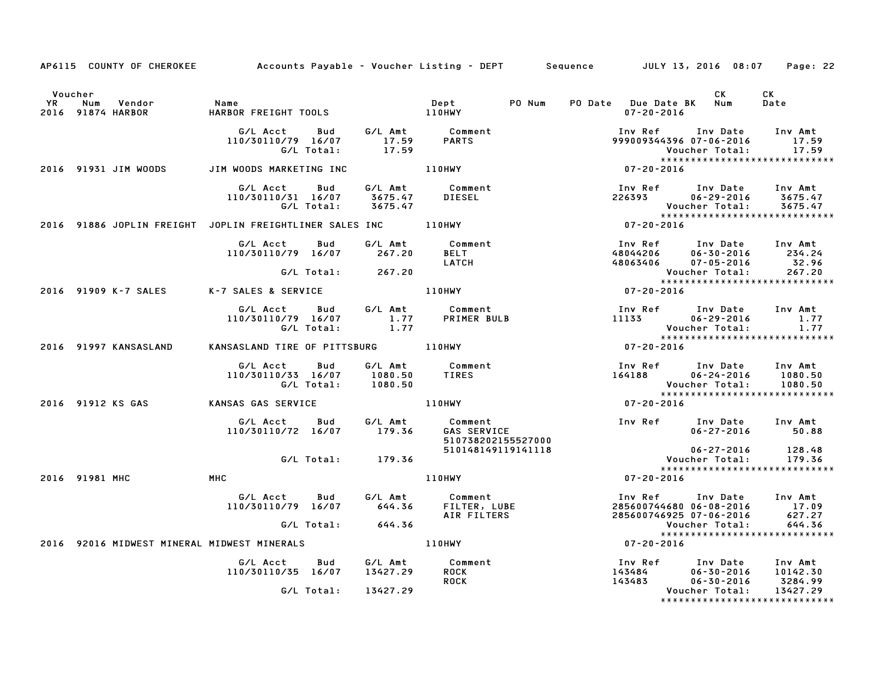|           |                                               | AP6115 COUNTY OF CHEROKEE Accounts Payable - Voucher Listing - DEPT Sequence JULY 13, 2016 08:07 Page: 22 |          |                                                                                                                      |                                                                                                                               |                                      |                                                               |
|-----------|-----------------------------------------------|-----------------------------------------------------------------------------------------------------------|----------|----------------------------------------------------------------------------------------------------------------------|-------------------------------------------------------------------------------------------------------------------------------|--------------------------------------|---------------------------------------------------------------|
| <b>YR</b> | Voucher<br>Vendor<br>Num<br>2016 91874 HARBOR | Name<br>HARBOR FREIGHT TOOLS <b>THARBOR</b> FREIGHT TOOLS                                                 |          | PO Num<br>Dept                                                                                                       | PO Date Due Date BK Num<br>$07 - 20 - 2016$                                                                                   | CK .                                 | CK<br>Date                                                    |
|           |                                               | G/L Acct Bud G/L Amt Comment<br>110/30110/79 16/07 17.59 PARTS<br>G/L Total: 17.59                        |          | Comment<br>PARTS                                                                                                     | Inv Ref      Inv Date     Inv Amt<br>999009344396 07-06-2016                                                                  | Voucher Total:                       | 17.59<br>17.59                                                |
|           | 2016 91931 JIM WOODS                          | JIM WOODS MARKETING INC                                                                                   |          | <b>110HWY</b>                                                                                                        | $07 - 20 - 2016$                                                                                                              |                                      |                                                               |
|           |                                               | G/L Acct<br>Bud<br>110/30110/31 16/07<br>G/L Total:                                                       |          | G/L Amt Comment                                                                                                      | Inv Ref      Inv Date     Inv Amt<br>226393                                                                                   | 06-29-2016 3675.47<br>Voucher Total: | 3675.47                                                       |
|           |                                               | 2016 91886 JOPLIN FREIGHT JOPLIN FREIGHTLINER SALES INC ________________________                          |          |                                                                                                                      | $07 - 20 - 2016$                                                                                                              |                                      |                                                               |
|           |                                               | G/L Acct<br><b>Bud</b><br>110/30110/79 16/07 267.20                                                       |          | G/L Amt Comment<br>267.20 BELT<br>LATCH                                                                              | Inv Ref      Inv Date    Inv Amt<br>48044206      06–30–2016       234.24<br>48063406 07-05-2016                              | 06-30-2016 234.24                    | 32.96                                                         |
|           |                                               | G/L Total: 267.20                                                                                         |          |                                                                                                                      |                                                                                                                               |                                      | Voucher Total: 267.20<br>*****************************        |
|           |                                               | 2016 91909 K-7 SALES K-7 SALES & SERVICE                                                                  |          | 110HWY                                                                                                               | $07 - 20 - 2016$                                                                                                              |                                      |                                                               |
|           |                                               | G/L Acct Bud<br>110/30110/79 16/07<br>G/L Total:                                                          | 1.77     | G/L Amt Comment<br>1.77 PRIMER BULB                                                                                  | Inv Ref Inv Date Inv Amt<br>11133 06–29–2016 1.77                                                                             | Voucher Total:                       | 1.77<br><b>Voucher iviai.</b><br>**************************** |
|           | 2016 91997 KANSASLAND                         | KANSASLAND TIRE OF PITTSBURG 110HWY                                                                       |          |                                                                                                                      | Vouc<br>* * * *<br>07- 20- 2016                                                                                               |                                      |                                                               |
|           |                                               | G/L Acct<br>110/30110/33 16/07 1080.50 TIRES<br>G/L Total: 1080.50                                        |          | Bud G/L Amt Comment                                                                                                  | Inv Ref Inv Date Inv Amt<br>$164188$ $06-24-2016$ $1080.50$                                                                   |                                      | Voucher Total: 1080.50<br>****************************        |
|           | 2016 91912 KS GAS                             | KANSAS GAS SERVICE                                                                                        |          | <b>110HWY</b>                                                                                                        | $07 - 20 - 2016$                                                                                                              |                                      |                                                               |
|           |                                               | 110/30110/72 16/07 179.36                                                                                 |          | <b>GAS SERVICE</b><br>510738202155527000                                                                             | Inv Ref Inv Date Inv Amt                                                                                                      | $06 - 27 - 2016$ 50.88               |                                                               |
|           |                                               | G/L Total: 179.36                                                                                         |          | 510148149119141118                                                                                                   |                                                                                                                               | 06-27-2016 128.48<br>Voucher Total:  | 179.36                                                        |
|           | 2016 91981 MHC                                | MHC                                                                                                       |          | <b>110HWY</b>                                                                                                        | $07 - 20 - 2016$                                                                                                              |                                      | *****************************                                 |
|           |                                               | G/L Acct      Bud      G/L Amt         Comment                                                            |          | 110/30110/79 16/07 – 9/1 Amic Lomment<br>110/30110/79 16/07 – 644.36 FILTER, LUBE<br>6/1 Total: 200 70 – AIR FILTERS | Inv Ref      Inv Date     Inv Amt<br>285600744680 06-08-2016 17.09<br>285600746925 07-06-2016 627.27                          |                                      |                                                               |
|           |                                               |                                                                                                           |          |                                                                                                                      |                                                                                                                               | Voucher Total:                       | 644.36                                                        |
|           |                                               | 2016 92016 MIDWEST MINERAL MIDWEST MINERALS                                                               |          | 110HWY                                                                                                               | $07 - 20 - 2016$                                                                                                              |                                      |                                                               |
|           |                                               | G/L Acct<br><b>Bud</b><br>110/30110/35 16/07 13427.29                                                     |          | G/L Amt Comment<br><b>ROCK</b><br><b>ROCK</b>                                                                        | 1nv Ref        Inv Date      Inv Amt<br>143484           06-30-2016      10142.30<br>143483          06-30-2016       3284.99 |                                      | 3284.99                                                       |
|           |                                               | G/L Total:                                                                                                | 13427.29 |                                                                                                                      |                                                                                                                               | Voucher Total:                       | 13427.29<br>*****************************                     |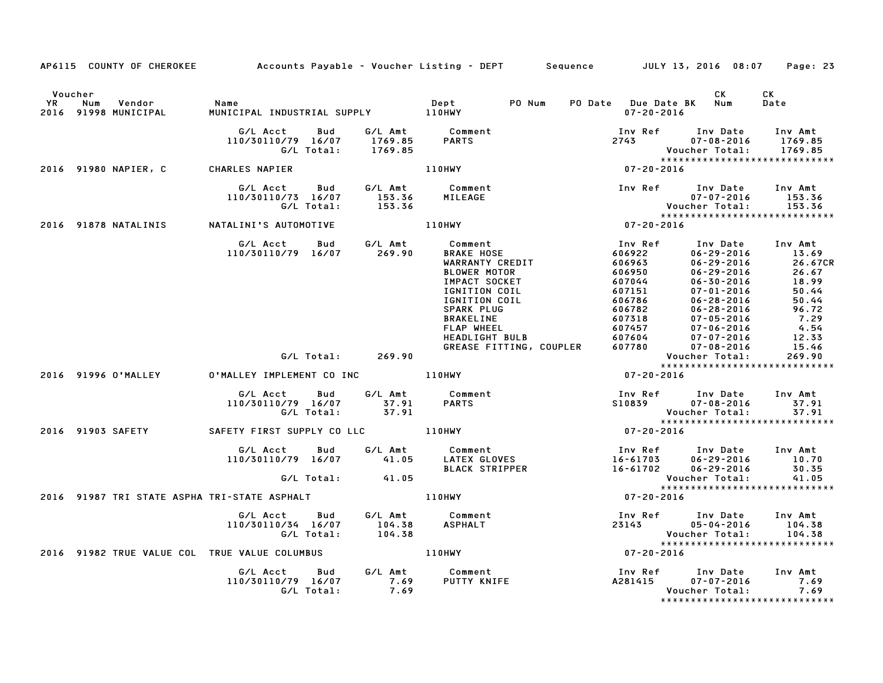|                      |                                                                               |                                                                             |                                |                                                                                                                                                                                                                            | AP6115 COUNTY OF CHEROKEE Accounts Payable - Voucher Listing - DEPT Sequence JULY 13, 2016 08:07                                                                                                                                                                                            |                                                                                   | Page: 23                                                                                            |
|----------------------|-------------------------------------------------------------------------------|-----------------------------------------------------------------------------|--------------------------------|----------------------------------------------------------------------------------------------------------------------------------------------------------------------------------------------------------------------------|---------------------------------------------------------------------------------------------------------------------------------------------------------------------------------------------------------------------------------------------------------------------------------------------|-----------------------------------------------------------------------------------|-----------------------------------------------------------------------------------------------------|
| Voucher<br><b>YR</b> | Num<br>Vendor<br>2016 91998 MUNICIPAL                                         | Name                                                                        |                                | PO Num<br>Dept                                                                                                                                                                                                             | PO Date Due Date BK Num<br>$07 - 20 - 2016$                                                                                                                                                                                                                                                 | CK                                                                                | CK<br>Date                                                                                          |
|                      |                                                                               | G/L Acct<br>Bud<br>110/30110/79 16/07 1769.85 PARTS<br>G/L Total: 1769.85   |                                | G/L Amt Comment                                                                                                                                                                                                            | Inv Ref Inv Date Inv Amt<br>2743                                                                                                                                                                                                                                                            | $07 - 08 - 2016$<br>Voucher Total:                                                | 1769.85<br>1769.85                                                                                  |
|                      | 2016 91980 NAPIER, C                                                          | CHARLES NAPIER                                                              |                                | <b>110HWY</b>                                                                                                                                                                                                              | $***$<br>07-20-2016                                                                                                                                                                                                                                                                         |                                                                                   |                                                                                                     |
|                      |                                                                               | G/L Acct<br>110/30110/73 16/07<br>G/L Total:                                | <b>Bud</b><br>153.36<br>153.36 | G/L Amt Comment<br>MILEAGE                                                                                                                                                                                                 | Inv Ref Inv Date Inv Amt<br>Vouc<br>*****<br>07-20-2016                                                                                                                                                                                                                                     | $07 - 07 - 2016$ 153.36<br>Voucher Total: 153.36<br>***************************** |                                                                                                     |
|                      | 2016 91878 NATALINIS                                                          | NATALINI'S AUTOMOTIVE                                                       |                                | 110HWY                                                                                                                                                                                                                     |                                                                                                                                                                                                                                                                                             |                                                                                   |                                                                                                     |
|                      |                                                                               | G/L Acct  Bud  G/L Amt  Comment<br>110/30110/79  16/07  269.90  BRAKE  HOSE |                                | SSAMENT<br>BRAKE HOSE<br>WARRANT<br>WARRANTY CREDIT<br>BLOWER MOTOR<br>IMPACT SOCKET<br>IGNITION COIL<br>IGNITION COIL<br>SPARK PLUG<br>SPARK PLUG<br>BRAKELINE<br>FLAP WHEEL<br>HEADLIGHT BULB<br>GREASE FITTING, COUPLER | Inv Ref<br>Inv Ref Inv Date<br>606923<br>606963<br>606950<br>607044<br>607044<br>607151<br>60782<br>606782<br>606782<br>60782<br>60782<br>60782<br>60782<br>607318<br>607457<br>7-05-2016<br>607604<br>607604<br>7-05-2016<br>607604<br>7-05-2016<br>607604<br>7-05-2016<br>607604<br>7-05- | Inv Date Inv Amt<br>06–29–2016 13.69                                              | 26.67CR<br>26.67<br>26.67<br>18.99<br>50.44<br>50.44<br>$96.72$<br>$7.29$<br>4.54<br>12.33<br>15.46 |
|                      |                                                                               | G/L Total:                                                                  | 269.90                         |                                                                                                                                                                                                                            | Voucher Total: 269.90<br>****************************                                                                                                                                                                                                                                       |                                                                                   |                                                                                                     |
|                      | 2016 91996 O'MALLEY                                                           |                                                                             |                                |                                                                                                                                                                                                                            | $07 - 20 - 2016$                                                                                                                                                                                                                                                                            |                                                                                   |                                                                                                     |
|                      |                                                                               | G/L Acct<br>110/30110/79 16/07<br>G/L Total:                                | <b>Bud</b><br>37.91<br>37.91   | G/L Amt Comment<br><b>PARTS</b>                                                                                                                                                                                            | Inv Ref Inv Date Inv Amt<br>S10839                                                                                                                                                                                                                                                          | $07 - 08 - 2016$<br>Voucher Total:<br>*****************************               | 37.91<br>37.91                                                                                      |
|                      | 2016 91903 SAFETY               SAFETY FIRST SUPPLY CO LLC             110HWY |                                                                             |                                |                                                                                                                                                                                                                            | $07 - 20 - 2016$                                                                                                                                                                                                                                                                            |                                                                                   |                                                                                                     |
|                      |                                                                               |                                                                             |                                |                                                                                                                                                                                                                            | 6/L Acct     Bud     G/L Amt     Comment                           Inv Ref     Inv Date                       G/L Amt     Comment                    Inv Ref     Inv Date                    41.05     LATEX GLOVES<br>Inv Ref Inv Date Inv Amt                                             | $06 - 29 - 2016$                                                                  | 10.70<br>30.35<br>41.05                                                                             |
|                      |                                                                               |                                                                             |                                |                                                                                                                                                                                                                            |                                                                                                                                                                                                                                                                                             | *****************************                                                     |                                                                                                     |
|                      | 2016 91987 TRI STATE ASPHA TRI-STATE ASPHALT AND MALL RESPONDENT RESPONDENT   |                                                                             |                                |                                                                                                                                                                                                                            | $07 - 20 - 2016$                                                                                                                                                                                                                                                                            |                                                                                   |                                                                                                     |
|                      |                                                                               | G/L Acct Bud<br>110/30110/34 16/07<br>G/L Total:                            | 104.38<br>104.38               | G/L Amt Comment<br>ASPHALT                                                                                                                                                                                                 | Inv Ref Inv Date Inv Amt<br>23143 05-04-2016<br>Vouc<br>﴿ ٭ ٭ ٭ ٭<br>1020-20-2016                                                                                                                                                                                                           | Voucher Total:<br>*****************************                                   | 104.38<br>104.38                                                                                    |
|                      | 2016 91982 TRUE VALUE COL TRUE VALUE COLUMBUS                                 |                                                                             |                                | 110HWY                                                                                                                                                                                                                     |                                                                                                                                                                                                                                                                                             |                                                                                   |                                                                                                     |
|                      |                                                                               | G/L Acct<br>110/30110/79 16/07<br>G/L Total:                                | <b>Bud</b><br>7.69<br>7.69     |                                                                                                                                                                                                                            | Inv Ref<br>A281415                                                                                                                                                                                                                                                                          | Inv Date<br>$07 - 07 - 2016$<br>Voucher Total:<br>*****************************   | Inv Amt<br>7.69<br>7.69                                                                             |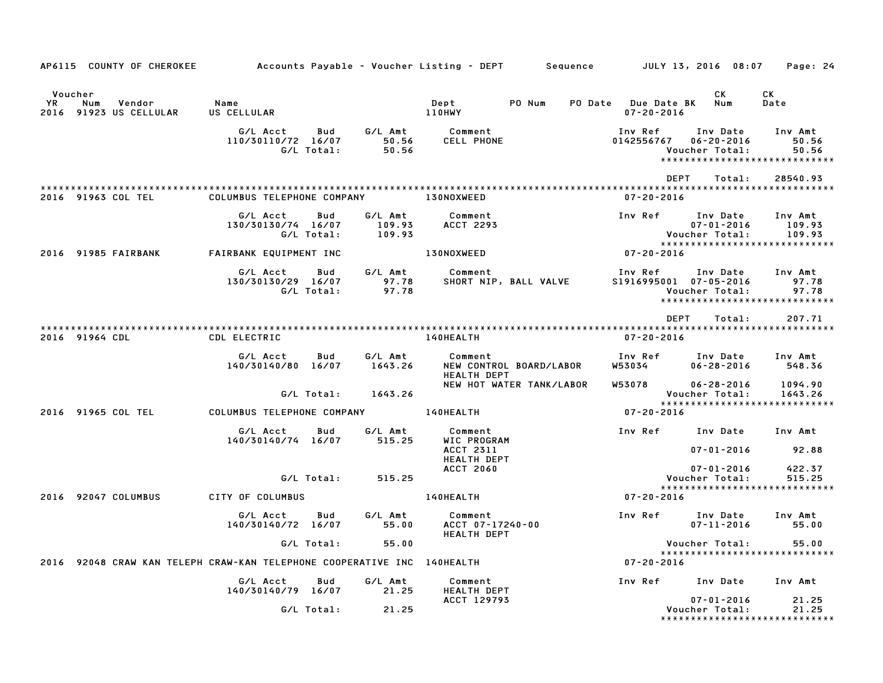|                        | AP6115 COUNTY OF CHEROKEE          |                                                                         |                             | Accounts Payable – Voucher Listing – DEPT         Sequence | JULY 13, 2016 08:07                                 | Page: 24                                                                                   |
|------------------------|------------------------------------|-------------------------------------------------------------------------|-----------------------------|------------------------------------------------------------|-----------------------------------------------------|--------------------------------------------------------------------------------------------|
| Voucher<br>YR.<br>2016 | Vendor<br>Num<br>91923 US CELLULAR | Name<br>US CELLULAR                                                     |                             | PO Num<br>Dept<br><b>110HWY</b>                            | PO Date Due Date BK<br>$07 - 20 - 2016$             | СK<br>CK<br>Num<br>Date                                                                    |
|                        |                                    | G/L Acct<br>Bud<br>110/30110/72 16/07<br>G/L Total:                     | G/L Amt<br>50.56<br>50.56   | Comment<br>CELL PHONE                                      | Inv Ref<br>0142556767<br>Voucher Total:             | Inv Date<br>Inv Amt<br>$06 - 20 - 2016$<br>50.56<br>50.56<br>***************************** |
|                        | 2016 91963 COL TEL                 | COLUMBUS TELEPHONE COMPANY                                              |                             | <b>130NOXWEED</b>                                          | <b>DEPT</b><br>$07 - 20 - 2016$                     | Total:<br>28540.93                                                                         |
|                        |                                    | G/L Acct<br>Bud<br>130/30130/74 16/07<br>G/L Total:                     | G/L Amt<br>109.93<br>109.93 | Comment<br>ACCT 2293                                       | Inv Ref<br>Voucher Total:                           | Inv Date<br>Inv Amt<br>$07 - 01 - 2016$<br>109.93<br>109.93                                |
|                        | 2016 91985 FAIRBANK                | FAIRBANK EQUIPMENT INC                                                  |                             | 130NOXWEED                                                 | 07-20-2016                                          |                                                                                            |
|                        |                                    | G/L Acct<br>Bud<br>130/30130/29 16/07<br>G/L Total:                     | G/L Amt<br>97.78<br>97.78   | Comment<br>SHORT NIP, BALL VALVE                           | Inv Ref<br>S1916995001 07-05-2016<br>Voucher Total: | Inv Date<br>Inv Amt<br>97.78<br>97.78<br>*****************************                     |
|                        | 2016 91964 CDL                     | CDL ELECTRIC                                                            |                             | 140HEALTH                                                  | <b>DEPT</b><br>$07 - 20 - 2016$                     | Total:<br>207.71                                                                           |
|                        |                                    | G/L Acct<br>Bud<br>140/30140/80<br>16/07                                | G/L Amt<br>1643.26          | Comment<br>NEW CONTROL BOARD/LABOR<br>HEALTH DEPT          | Inv Ref<br><b>W53034</b>                            | Inv Amt<br>Inv Date<br>$06 - 28 - 2016$<br>548.36                                          |
|                        |                                    | G/L Total:                                                              | 1643.26                     | NEW HOT WATER TANK/LABOR                                   | W53078<br>Voucher Total:                            | $06 - 28 - 2016$<br>1094.90<br>1643.26                                                     |
|                        | 2016 91965 COL TEL                 | COLUMBUS TELEPHONE COMPANY                                              |                             | 140HEALTH                                                  | 07-20-2016                                          | *****************************                                                              |
|                        |                                    | G/L Acct<br>Bud<br>140/30140/74 16/07                                   | G/L Amt<br>515.25           | Comment<br>WIC PROGRAM<br>ACCT 2311                        | Inv Ref                                             | Inv Date<br>Inv Amt<br>$07 - 01 - 2016$<br>92.88                                           |
|                        |                                    | G/L Total:                                                              | 515.25                      | <b>HEALTH DEPT</b><br><b>ACCT 2060</b>                     | Voucher Total:                                      | 422.37<br>$07 - 01 - 2016$<br>515.25                                                       |
|                        | 2016 92047 COLUMBUS                | CITY OF COLUMBUS                                                        |                             | 140HEALTH                                                  | $07 - 20 - 2016$                                    | *****************************                                                              |
|                        |                                    | G/L Acct<br>Bud                                                         | G/L Amt                     | Comment                                                    | Inv Ref                                             | Inv Date<br>Inv Amt                                                                        |
|                        |                                    | 140/30140/72 16/07                                                      | 55.00                       | ACCT 07-17240-00<br><b>HEALTH DEPT</b>                     |                                                     | $07 - 11 - 2016$<br>55.00                                                                  |
|                        |                                    | G/L Total:                                                              | 55.00                       |                                                            | Voucher Total:                                      | 55.00<br>*****************************                                                     |
|                        |                                    | 2016 92048 CRAW KAN TELEPH CRAW-KAN TELEPHONE COOPERATIVE INC 140HEALTH |                             |                                                            | $07 - 20 - 2016$                                    |                                                                                            |
|                        |                                    | G/L Acct<br>Bud<br>140/30140/79 16/07                                   | G/L Amt<br>21.25            | Comment<br><b>HEALTH DEPT</b>                              | Inv Ref                                             | Inv Date<br>Inv Amt                                                                        |
|                        |                                    | G/L Total:                                                              | 21.25                       | ACCT 129793                                                | Voucher Total:                                      | $07 - 01 - 2016$<br>21.25<br>21.25<br>*****************************                        |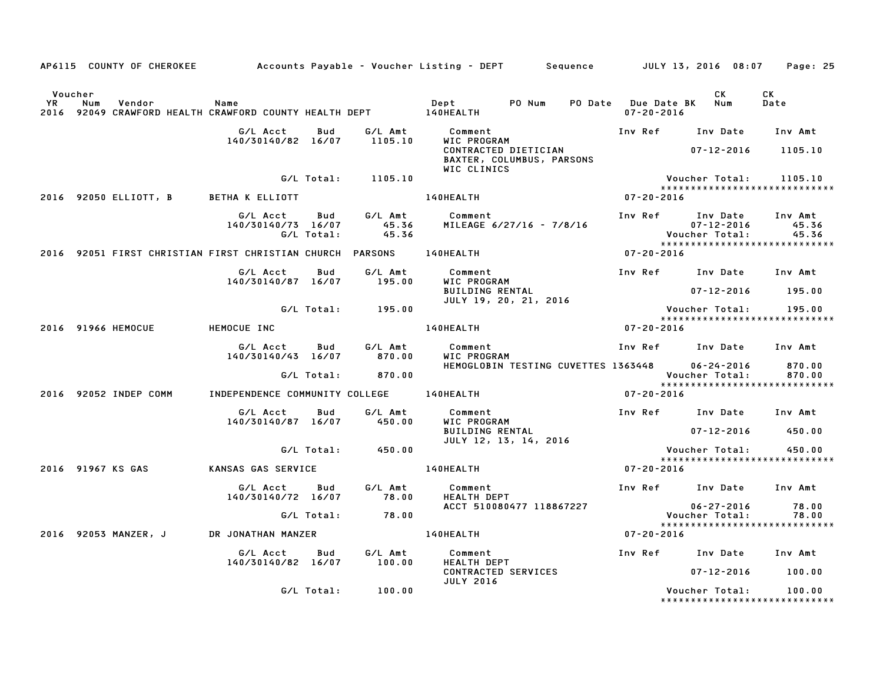|                |     |                       |                                                                             |                   |                           | AP6115 COUNTY OF CHEROKEE         Accounts Payable – Voucher Listing – DEPT      Sequence        JULY 13, 2016 08:07 |                                             |                                                | Page: 25                                 |
|----------------|-----|-----------------------|-----------------------------------------------------------------------------|-------------------|---------------------------|----------------------------------------------------------------------------------------------------------------------|---------------------------------------------|------------------------------------------------|------------------------------------------|
| Voucher<br>YR. | Num | Vendor                | Name<br>2016 92049 CRAWFORD HEALTH CRAWFORD COUNTY HEALTH DEPT 140HEALTH    |                   |                           | Dept PO Num                                                                                                          | PO Date Due Date BK Num<br>$07 - 20 - 2016$ | CK                                             | CK<br>Date                               |
|                |     |                       | G/L Acct<br>140/30140/82 16/07                                              | Bud               | G/L Amt<br>1105.10        | Comment<br>WIC PROGRAM                                                                                               |                                             | Inv Ref Inv Date Inv Amt                       |                                          |
|                |     |                       |                                                                             |                   |                           | CONTRACTED DIETICIAN<br>BAXTER, COLUMBUS, PARSONS<br>WIC CLINICS                                                     |                                             | 07-12-2016                                     | 1105.10                                  |
|                |     |                       |                                                                             |                   | G/L Total: 1105.10        |                                                                                                                      |                                             | Voucher Total:                                 | 1105.10<br>***************************** |
|                |     | 2016 92050 ELLIOTT, B | BETHA K ELLIOTT                                                             |                   |                           | <b>140HEALTH</b>                                                                                                     | $07 - 20 - 2016$                            |                                                |                                          |
|                |     |                       | G/L Acct<br>140/30140/73 16/07                                              | Bud<br>G/L Total: | G/L Amt<br>45.36<br>45.36 | Comment<br>MILEAGE 6/27/16 - 7/8/16                                                                                  | Inv Ref                                     | Inv Date<br>$07 - 12 - 2016$<br>Voucher Total: | Inv Amt<br>45.36<br>45.36                |
|                |     |                       | 2016   92051 FIRST CHRISTIAN FIRST CHRISTIAN CHURCH PARSONS       140HEALTH |                   |                           |                                                                                                                      | $07 - 20 - 2016$                            |                                                |                                          |
|                |     |                       | G/L Acct                                                                    | Bud               | G/L Amt                   | Comment                                                                                                              |                                             | Inv Ref Inv Date Inv Amt                       |                                          |
|                |     |                       | 140/30140/87 16/07                                                          |                   | 195.00                    | WIC PROGRAM<br>BUILDING RENTAL                                                                                       |                                             | 07-12-2016 195.00                              |                                          |
|                |     |                       |                                                                             |                   | G/L Total: 195.00         | JULY 19, 20, 21, 2016                                                                                                |                                             | Voucher Total:                                 | 195.00<br>*****************************  |
|                |     | 2016 91966 HEMOCUE    | HEMOCUE INC                                                                 |                   |                           | <b>140HEALTH</b>                                                                                                     | $07 - 20 - 2016$                            |                                                |                                          |
|                |     |                       | G/L Acct<br>140/30140/43 16/07                                              | Bud               | G/L Amt<br>870.00         | Comment<br>WIC PROGRAM                                                                                               |                                             | Inv Ref Inv Date Inv Amt                       |                                          |
|                |     |                       |                                                                             |                   | G/L Total: 870.00         | HEMOGLOBIN TESTING CUVETTES 1363448                                                                                  |                                             | 06-24-2016<br>Voucher Total:                   | 870.00<br>870.00                         |
|                |     | 2016 92052 INDEP COMM | INDEPENDENCE COMMUNITY COLLEGE 140HEALTH                                    |                   |                           |                                                                                                                      | $07 - 20 - 2016$                            |                                                | *****************************            |
|                |     |                       | G/L Acct                                                                    | Bud               | G/L Amt                   | Comment<br>WIC PROGRAM                                                                                               | Inv Ref      Inv Date     Inv Amt           |                                                |                                          |
|                |     |                       | 140/30140/87 16/07                                                          |                   | 450.00                    | <b>BUILDING RENTAL</b>                                                                                               |                                             | 07-12-2016                                     | 450.00                                   |
|                |     |                       |                                                                             | G/L Total:        | 450.00                    | JULY 12, 13, 14, 2016                                                                                                |                                             | Voucher Total:                                 | 450.00                                   |
|                |     | 2016 91967 KS GAS     | KANSAS GAS SERVICE                                                          |                   |                           | 140HEALTH                                                                                                            | $07 - 20 - 2016$                            |                                                | *****************************            |
|                |     |                       | G/L Acct<br>140/30140/72 16/07                                              | Bud               | G/L Amt<br>78.00          | Comment<br><b>HEALTH DEPT</b>                                                                                        |                                             | Inv Ref Inv Date                               | Inv Amt                                  |
|                |     |                       |                                                                             | G/L Total:        | 78.00                     | ACCT 510080477 118867227                                                                                             |                                             | $06 - 27 - 2016$<br>Voucher Total:             | 78.00<br>78.00                           |
|                |     | 2016 92053 MANZER, J  | DR JONATHAN MANZER                                                          |                   |                           | <b>140HEALTH</b>                                                                                                     | $07 - 20 - 2016$                            |                                                | ******************************           |
|                |     |                       | G/L Acct<br>140/30140/82 16/07                                              | Bud               | G/L Amt<br>100.00         | Comment<br><b>HEALTH DEPT</b>                                                                                        |                                             | Inv Ref Inv Date Inv Amt                       |                                          |
|                |     |                       |                                                                             |                   |                           | <b>CONTRACTED SERVICES</b><br><b>JULY 2016</b>                                                                       |                                             | 07-12-2016                                     | 100.00                                   |
|                |     |                       |                                                                             | G/L Total:        | 100.00                    |                                                                                                                      |                                             | Voucher Total:                                 | 100.00<br>*****************************  |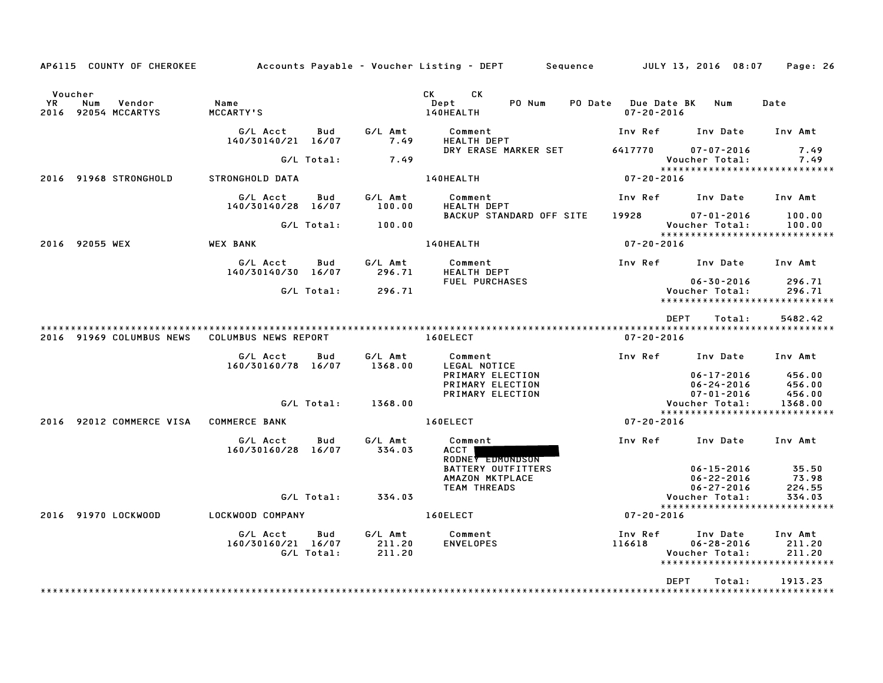| AP6115 COUNTY OF CHEROKEE                                    |                                |                   |                             | Accounts Payable – Voucher Listing – DEPT         Sequence                                                                                                                                                                                                                 |                                             | JULY 13, 2016 08:07                                                             | Page: 26                    |
|--------------------------------------------------------------|--------------------------------|-------------------|-----------------------------|----------------------------------------------------------------------------------------------------------------------------------------------------------------------------------------------------------------------------------------------------------------------------|---------------------------------------------|---------------------------------------------------------------------------------|-----------------------------|
| Voucher<br><b>YR</b><br>Num<br>Vendor<br>2016 92054 MCCARTYS | Name<br>MCCARTY'S              |                   |                             | CK and the set of the set of the set of the set of the set of the set of the set of the set of the set of the set of the set of the set of the set of the set of the set of the set of the set of the set of the set of the se<br><b>CK</b><br>PO Num<br>Dept<br>140HEALTH | PO Date Due Date BK Num<br>$07 - 20 - 2016$ |                                                                                 | Date                        |
|                                                              | G/L Acct<br>140/30140/21 16/07 | Bud               | G/L Amt<br>7.49             | Comment<br><b>HEALTH DEPT</b>                                                                                                                                                                                                                                              |                                             | Inv Ref      Inv Date                                                           | Inv Amt                     |
|                                                              |                                | G/L Total:        | 7.49                        | DRY ERASE MARKER SET                                                                                                                                                                                                                                                       | 6417770                                     | $07 - 07 - 2016$<br>Voucher Total:                                              | 7.49<br>7.49                |
| 2016 91968 STRONGHOLD                                        | STRONGHOLD DATA                |                   |                             | 140HEALTH                                                                                                                                                                                                                                                                  | $07 - 20 - 2016$                            | *****************************                                                   |                             |
|                                                              | G/L Acct<br>140/30140/28 16/07 | Bud               | G/L Amt<br>100.00           | Comment<br><b>HEALTH DEPT</b>                                                                                                                                                                                                                                              |                                             | Inv Ref Inv Date                                                                | Inv Amt                     |
|                                                              |                                | G/L Total:        | 100.00                      | BACKUP STANDARD OFF SITE                                                                                                                                                                                                                                                   | 19928                                       | $07 - 01 - 2016$<br>Voucher Total:                                              | 100.00<br>100.00            |
| 2016 92055 WEX                                               | <b>WEX BANK</b>                |                   |                             | 140HEALTH                                                                                                                                                                                                                                                                  | $07 - 20 - 2016$                            | *****************************                                                   |                             |
|                                                              | G/L Acct<br>140/30140/30 16/07 | Bud               | G/L Amt<br>296.71           | Comment<br><b>HEALTH DEPT</b>                                                                                                                                                                                                                                              |                                             | Inv Ref Inv Date                                                                | Inv Amt                     |
|                                                              |                                | G/L Total:        | 296.71                      | <b>FUEL PURCHASES</b>                                                                                                                                                                                                                                                      |                                             | $06 - 30 - 2016$<br>Voucher Total:<br>*****************************             | 296.71<br>296.71            |
|                                                              |                                |                   |                             |                                                                                                                                                                                                                                                                            |                                             | DEPT<br>Total:                                                                  | 5482.42                     |
| 2016 91969 COLUMBUS NEWS                                     | COLUMBUS NEWS REPORT           |                   |                             | 160ELECT                                                                                                                                                                                                                                                                   | $07 - 20 - 2016$                            |                                                                                 |                             |
|                                                              | G/L Acct                       | Bud               | G/L Amt                     | Comment                                                                                                                                                                                                                                                                    |                                             | Inv Ref Inv Date                                                                | Inv Amt                     |
|                                                              | 160/30160/78 16/07             |                   | 1368.00                     | LEGAL NOTICE                                                                                                                                                                                                                                                               |                                             | $06 - 17 - 2016$                                                                | 456.00                      |
|                                                              |                                |                   |                             | <b>PRIMARY ELECTION<br/>PRIMARY ELECTION<br/>PRIMARY ELECTION</b>                                                                                                                                                                                                          |                                             | $06 - 24 - 2016$<br>$07 - 01 - 2016$                                            | 456.00<br>456.00            |
|                                                              |                                | G/L Total:        | 1368.00                     |                                                                                                                                                                                                                                                                            |                                             | Voucher Total:                                                                  | 1368.00                     |
| 2016 92012 COMMERCE VISA                                     | <b>COMMERCE BANK</b>           |                   |                             | 160ELECT                                                                                                                                                                                                                                                                   | $07 - 20 - 2016$                            | *****************************                                                   |                             |
|                                                              | G/L Acct<br>160/30160/28 16/07 | Bud               | G/L Amt<br>334.03           | Comment<br><b>ACCT</b><br>RODNEY EDMONDSON                                                                                                                                                                                                                                 | Inv Ref                                     | Inv Date                                                                        | Inv Amt                     |
|                                                              |                                |                   |                             | <b>BATTERY OUTFITTERS</b><br>AMAZON MKTPLACE<br><b>TEAM THREADS</b>                                                                                                                                                                                                        |                                             | $06 - 15 - 2016$<br>$06 - 22 - 2016$<br>$06 - 27 - 2016$                        | 35.50<br>73.98<br>224.55    |
|                                                              |                                | G/L Total:        | 334.03                      |                                                                                                                                                                                                                                                                            |                                             | Voucher Total:                                                                  | 334.03                      |
| 2016 91970 LOCKWOOD                                          | LOCKWOOD COMPANY               |                   |                             | 160ELECT                                                                                                                                                                                                                                                                   | 07-20-2016                                  | ******************************                                                  |                             |
|                                                              | G/L Acct<br>160/30160/21 16/07 | Bud<br>G/L Total: | G/L Amt<br>211.20<br>211.20 | Comment<br><b>ENVELOPES</b>                                                                                                                                                                                                                                                | Inv Ref<br>116618                           | Inv Date<br>$06 - 28 - 2016$<br>Voucher Total:<br>***************************** | Inv Amt<br>211.20<br>211.20 |
|                                                              |                                |                   |                             |                                                                                                                                                                                                                                                                            |                                             | <b>DEPT</b><br>Total:                                                           | 1913.23                     |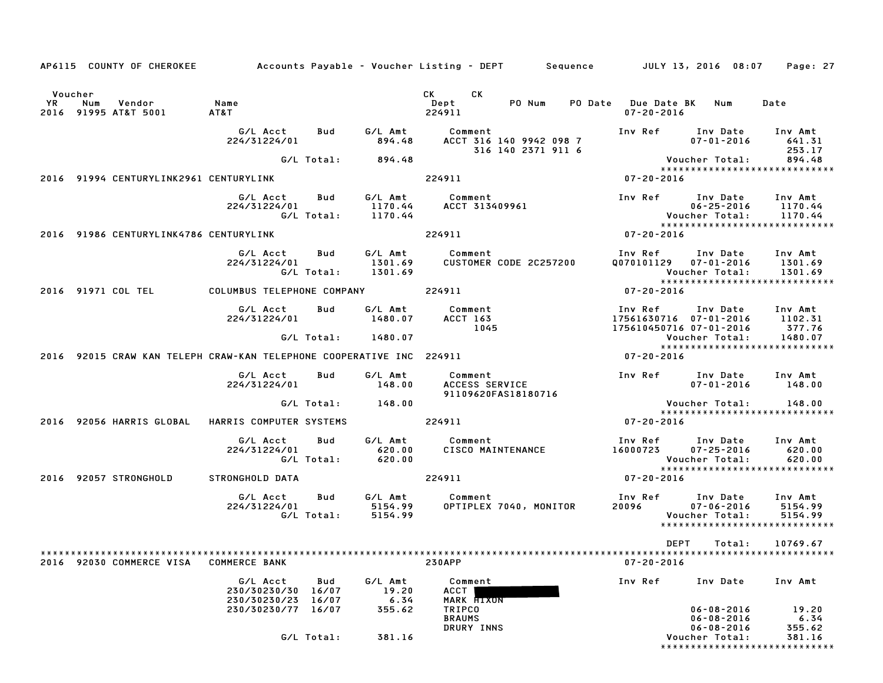|           |                                    |                                                      |                   |                               | AP6115 COUNTY OF CHEROKEE Accounts Payable - Voucher Listing - DEPT Sequence JULY 13, 2016 08:07 |                  |                                                                                                                                | Page: 27                                |
|-----------|------------------------------------|------------------------------------------------------|-------------------|-------------------------------|--------------------------------------------------------------------------------------------------|------------------|--------------------------------------------------------------------------------------------------------------------------------|-----------------------------------------|
| Voucher   |                                    |                                                      |                   |                               | CK<br>CK <sub>2</sub>                                                                            |                  |                                                                                                                                |                                         |
| <b>YR</b> | Num Vendor<br>2016 91995 AT&T 5001 | Name<br>AT&T                                         |                   |                               | PO Num<br>Dept<br>224911                                                                         | $07 - 20 - 2016$ | PO Date Due Date BK Num                                                                                                        | Date                                    |
|           |                                    | G/L Acct Bud<br>224/31224/01                         |                   |                               | G/L Amt      Comment<br>894.48     ACCT 316 140 9942 098 7<br>316 140 2371 911 6                 |                  | Inv Ref Inv Date Inv Amt<br>$07 - 01 - 2016$                                                                                   | 641.31<br>253.17                        |
|           |                                    |                                                      |                   | G/L Total: 894.48             |                                                                                                  |                  | Voucher Total: 894.48                                                                                                          |                                         |
|           |                                    | 2016 91994 CENTURYLINK2961 CENTURYLINK               |                   |                               | 224911                                                                                           | 07-20-2016       | *****************************                                                                                                  |                                         |
|           |                                    | G/L Acct Bud                                         |                   | G/L Total: 1170.44            | G/L Amt Comment<br>224/31224/01 1170.44 ACCT 313409961                                           |                  | Inv Ref Inv Date Inv Amt<br>*****************************                                                                      |                                         |
|           |                                    | 2016 91986 CENTURYLINK4786 CENTURYLINK               |                   |                               | 224911                                                                                           | $07 - 20 - 2016$ |                                                                                                                                |                                         |
|           |                                    | G/L Acct   Bud<br>224/31224/01                       |                   | G/L Total: 1301.69            | G/L Amt           Comment<br>1301.69       CUSTOMER<br>CUSTOMER CODE 2C257200                    |                  | Inv Ref      Inv Date     Inv Amt<br>Q070101129    07-01-2016      1301.69<br>Voucher Total:<br>*****************************  | 1301.69                                 |
|           |                                    | 2016 91971 COL TEL COLUMBUS TELEPHONE COMPANY 224911 |                   |                               |                                                                                                  | $07 - 20 - 2016$ |                                                                                                                                |                                         |
|           |                                    | G/L Acct<br>224/31224/01                             | Bud               | 1480.07                       | 1045                                                                                             |                  | Inv Ref      Inv Date    Inv Amt<br>17561630716   07–01–2016       1102.31<br>175610450716 07-01-2016 377.76                   |                                         |
|           |                                    |                                                      |                   | G/L Total: 1480.07            |                                                                                                  |                  | Voucher Total: 1480.07<br>*****************************                                                                        |                                         |
|           |                                    |                                                      |                   |                               | 2016 92015 CRAW KAN TELEPH CRAW-KAN TELEPHONE COOPERATIVE INC 224911                             | 07-20-2016       |                                                                                                                                |                                         |
|           |                                    | G/L Acct<br>224/31224/01                             | Bud               | G/L Amt<br>148.00             | Comment<br>ACCESS SERVICE<br>Comment<br>91109620FAS18180716                                      |                  | Inv Ref Inv Date Inv Amt<br>$07 - 01 - 2016$ 148.00                                                                            |                                         |
|           |                                    |                                                      |                   | G/L Total: 148.00             |                                                                                                  |                  | Voucher Total:         148.00<br>*****************************                                                                 |                                         |
|           | 2016 92056 HARRIS GLOBAL           | HARRIS COMPUTER SYSTEMS                              |                   |                               | 224911                                                                                           | $07 - 20 - 2016$ |                                                                                                                                |                                         |
|           |                                    | G/L Acct<br>224/31224/01                             | Bud<br>G/L Total: | 620.00<br>620.00              | G/L Amt Comment<br>620.00 CISCO MAI<br><b>CISCO MAINTENANCE</b>                                  |                  | Inv Ref      Inv Date    Inv Amt<br>16000723       07–25–2016        620.00<br>Voucher Total:<br>***************************** | 620.00<br>620.00                        |
|           | 2016 92057 STRONGHOLD              | STRONGHOLD DATA                                      |                   |                               | 224911                                                                                           | 07-20-2016       |                                                                                                                                |                                         |
|           |                                    | G/L Acct<br>224/31224/01                             | Bud               | 5154.99<br>G/L Total: 5154.99 | G/L Amt Comment<br>OPTIPLEX 7040, MONITOR                                                        | 20096            | Inv Ref      Inv Date     Inv Amt<br>$07 - 06 - 2016$ 5154.99<br>Voucher Total:<br>*****************************               | 5154.99                                 |
|           | 2016 92030 COMMERCE VISA           | <b>COMMERCE BANK</b>                                 |                   |                               | <b>230APP</b>                                                                                    | $07 - 20 - 2016$ | DEPT Total: 10769.67                                                                                                           |                                         |
|           |                                    | G/L Acct<br>230/30230/30 16/07<br>230/30230/23 16/07 | Bud               | G/L Amt<br>19.20<br>6.34      | Comment<br><b>ACCT</b><br><b>MARK HIXON</b>                                                      | Inv Ref          | Inv Date                                                                                                                       | Inv Amt                                 |
|           |                                    | 230/30230/77 16/07                                   |                   | 355.62                        | TRIPCO<br><b>BRAUMS</b><br>DRURY INNS                                                            |                  | $06 - 08 - 2016$<br>$06 - 08 - 2016$<br>$06 - 08 - 2016$                                                                       | 19.20<br>6.34<br>355.62                 |
|           |                                    |                                                      | G/L Total:        | 381.16                        |                                                                                                  |                  | Voucher Total:                                                                                                                 | 381.16<br>***************************** |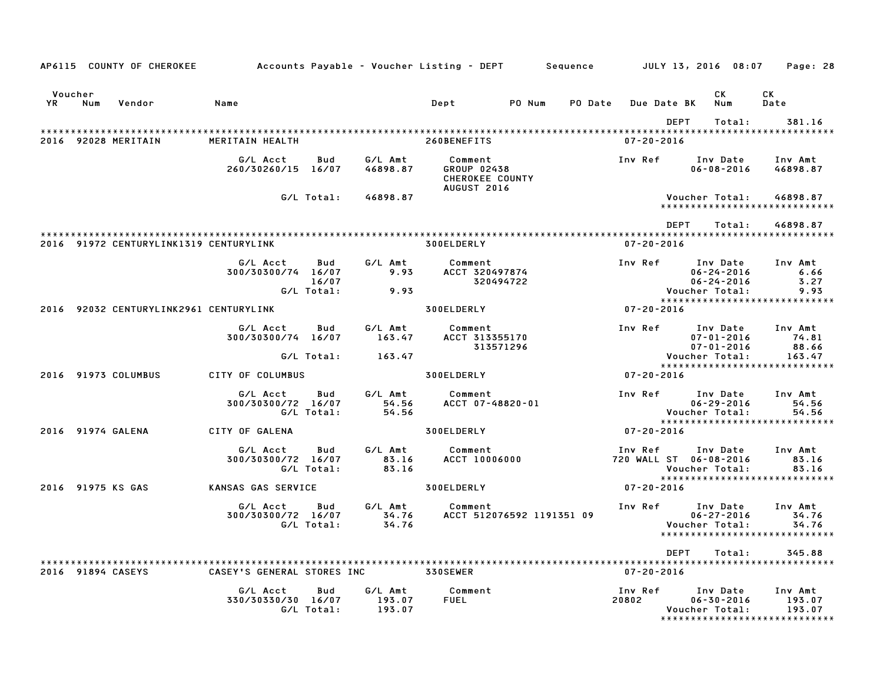|                   |     | AP6115 COUNTY OF CHEROKEE              | Accounts Payable – Voucher Listing – DEPT         Sequence |                   |                             |                                                  |                           |         |                                   |             |                                                  | JULY 13, 2016 08:07 Page: 28                                 |
|-------------------|-----|----------------------------------------|------------------------------------------------------------|-------------------|-----------------------------|--------------------------------------------------|---------------------------|---------|-----------------------------------|-------------|--------------------------------------------------|--------------------------------------------------------------|
| Voucher<br>YR     | Num | Vendor                                 | Name                                                       |                   |                             | Dept                                             | PO Num                    | PO Date | <b>Due Date BK</b>                |             | СK<br>Num                                        | CK.<br>Date                                                  |
|                   |     | 2016 92028 MERITAIN                    | MERITAIN HEALTH                                            |                   |                             | 260BENEFITS                                      |                           |         | $07 - 20 - 2016$                  | <b>DEPT</b> | Total:                                           | 381.16                                                       |
|                   |     |                                        | G/L Acct<br>260/30260/15 16/07                             | Bud               | G/L Amt<br>46898.87         | Comment<br><b>GROUP 02438</b><br>CHEROKEE COUNTY |                           |         | Inv Ref                           |             | Inv Date<br>$06 - 08 - 2016$                     | Inv Amt<br>46898.87                                          |
|                   |     |                                        |                                                            | G/L Total:        | 46898.87                    | <b>AUGUST 2016</b>                               |                           |         |                                   |             | Voucher Total:                                   | 46898.87<br>*****************************                    |
|                   |     |                                        |                                                            |                   |                             |                                                  |                           |         |                                   | <b>DEPT</b> | Total:                                           | 46898.87                                                     |
|                   |     | 2016 91972 CENTURYLINK1319 CENTURYLINK |                                                            |                   |                             | 300ELDERLY                                       |                           |         | $07 - 20 - 2016$                  |             |                                                  |                                                              |
|                   |     |                                        | G/L Acct<br>300/30300/74 16/07                             | Bud<br>16/07      | G/L Amt<br>9.93             | Comment<br>ACCT 320497874                        | 320494722                 |         | Inv Ref                           |             | Inv Date<br>$06 - 24 - 2016$<br>$06 - 24 - 2016$ | Inv Amt<br>6.66<br>3.27                                      |
|                   |     |                                        |                                                            | G/L Total:        | 9.93                        |                                                  |                           |         |                                   |             | Voucher Total:                                   | 9.93<br>*****************************                        |
|                   |     | 2016 92032 CENTURYLINK2961 CENTURYLINK |                                                            |                   |                             | 300ELDERLY                                       |                           |         | $07 - 20 - 2016$                  |             |                                                  |                                                              |
|                   |     |                                        | G/L Acct<br>300/30300/74 16/07                             | Bud               | G/L Amt<br>163.47           | Comment<br>ACCT 313355170                        | 313571296                 |         | Inv Ref                           |             | $07 - 01 - 2016$<br>$07 - 01 - 2016$             | Inv Date Inv Amt<br>74.81<br>88.66                           |
|                   |     |                                        |                                                            | G/L Total:        | 163.47                      |                                                  |                           |         |                                   |             | Voucher Total:                                   | 163.47<br>*****************************                      |
|                   |     | 2016 91973 COLUMBUS                    | CITY OF COLUMBUS                                           |                   |                             | 300ELDERLY                                       |                           |         | 07-20-2016                        |             |                                                  |                                                              |
|                   |     |                                        | G/L Acct<br>300/30300/72 16/07                             | Bud<br>G/L Total: | G/L Amt<br>54.56<br>54.56   | Comment<br>ACCT 07-48820-01                      |                           |         | Inv Ref                           |             | Inv Date<br>$06 - 29 - 2016$<br>Voucher Total:   | Inv Amt<br>54.56<br>54.56<br>*****************************   |
| 2016 91974 GALENA |     |                                        | CITY OF GALENA                                             |                   |                             | 300ELDERLY                                       |                           |         | 07-20-2016                        |             |                                                  |                                                              |
|                   |     |                                        | G/L Acct<br>300/30300/72 16/07                             | Bud<br>G/L Total: | G/L Amt<br>83.16<br>83.16   | Comment<br>ACCT 10006000                         |                           |         | Inv Ref<br>720 WALL ST 06-08-2016 |             | Inv Date<br>Voucher Total:                       | Inv Amt<br>83.16<br>83.16                                    |
| 2016 91975 KS GAS |     |                                        | KANSAS GAS SERVICE                                         |                   |                             | 300ELDERLY                                       |                           |         | $07 - 20 - 2016$                  |             |                                                  | *****************************                                |
|                   |     |                                        | G/L Acct<br>300/30300/72 16/07                             | Bud<br>G/L Total: | G/L Amt<br>34.76<br>34.76   | Comment                                          | ACCT 512076592 1191351 09 |         | Inv Ref                           |             | Inv Date<br>$06 - 27 - 2016$<br>Voucher Total:   | Inv Amt<br>34.76<br>34.76<br>******************************  |
|                   |     |                                        |                                                            |                   |                             |                                                  |                           |         |                                   | <b>DEPT</b> | Total:                                           | 345.88                                                       |
| 2016 91894 CASEYS |     |                                        | CASEY'S GENERAL STORES INC                                 |                   |                             | <b>330SEWER</b>                                  |                           |         | $07 - 20 - 2016$                  |             |                                                  |                                                              |
|                   |     |                                        | G/L Acct<br>330/30330/30 16/07                             | Bud<br>G/L Total: | G/L Amt<br>193.07<br>193.07 | Comment<br><b>FUEL</b>                           |                           |         | Inv Ref<br>20802                  |             | Inv Date<br>$06 - 30 - 2016$<br>Voucher Total:   | Inv Amt<br>193.07<br>193.07<br>***************************** |